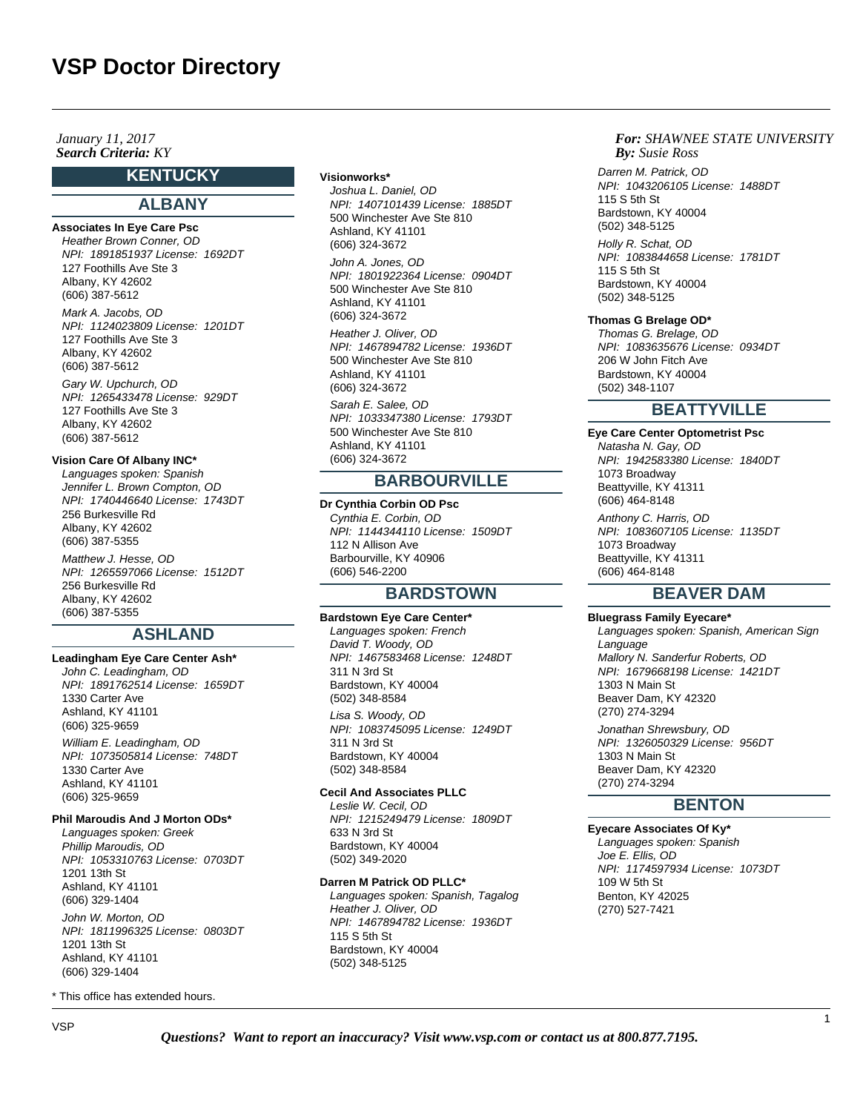## **Search Criteria:** KY *By:* **By:** *By: By: By: By: By: By: By: By: By: By: By: By: By: By: By: By: By: By: By: By: By: By: By: January 11, 2017*

# **KENTUCKY**

# **ALBANY**

# **Associates In Eye Care Psc**

Heather Brown Conner, OD NPI: 1891851937 License: 1692DT 127 Foothills Ave Ste 3 Albany, KY 42602 (606) 387-5612

Mark A. Jacobs, OD NPI: 1124023809 License: 1201DT 127 Foothills Ave Ste 3 Albany, KY 42602 (606) 387-5612 Gary W. Upchurch, OD NPI: 1265433478 License: 929DT 127 Foothills Ave Ste 3 Albany, KY 42602 (606) 387-5612

#### **Vision Care Of Albany INC\***

Languages spoken: Spanish Jennifer L. Brown Compton, OD NPI: 1740446640 License: 1743DT 256 Burkesville Rd Albany, KY 42602 (606) 387-5355 Matthew J. Hesse, OD NPI: 1265597066 License: 1512DT 256 Burkesville Rd Albany, KY 42602 (606) 387-5355

# **ASHLAND**

## **Leadingham Eye Care Center Ash\***

John C. Leadingham, OD NPI: 1891762514 License: 1659DT 1330 Carter Ave Ashland, KY 41101 (606) 325-9659 William E. Leadingham, OD NPI: 1073505814 License: 748DT 1330 Carter Ave Ashland, KY 41101 (606) 325-9659

#### **Phil Maroudis And J Morton ODs\***

Languages spoken: Greek Phillip Maroudis, OD NPI: 1053310763 License: 0703DT 1201 13th St Ashland, KY 41101 (606) 329-1404 John W. Morton, OD NPI: 1811996325 License: 0803DT 1201 13th St Ashland, KY 41101 (606) 329-1404

\* This office has extended hours.

#### **Visionworks\***

Joshua L. Daniel, OD NPI: 1407101439 License: 1885DT 500 Winchester Ave Ste 810 Ashland, KY 41101 (606) 324-3672

John A. Jones, OD NPI: 1801922364 License: 0904DT 500 Winchester Ave Ste 810 Ashland, KY 41101 (606) 324-3672

Heather J. Oliver, OD NPI: 1467894782 License: 1936DT 500 Winchester Ave Ste 810 Ashland, KY 41101 (606) 324-3672

Sarah E. Salee, OD NPI: 1033347380 License: 1793DT 500 Winchester Ave Ste 810 Ashland, KY 41101 (606) 324-3672

# **BARBOURVILLE**

**Dr Cynthia Corbin OD Psc** Cynthia E. Corbin, OD NPI: 1144344110 License: 1509DT 112 N Allison Ave Barbourville, KY 40906 (606) 546-2200

# **BARDSTOWN**

# **Bardstown Eye Care Center\***

Languages spoken: French David T. Woody, OD NPI: 1467583468 License: 1248DT 311 N 3rd St Bardstown, KY 40004 (502) 348-8584

Lisa S. Woody, OD NPI: 1083745095 License: 1249DT 311 N 3rd St Bardstown, KY 40004 (502) 348-8584

#### **Cecil And Associates PLLC**

Leslie W. Cecil, OD NPI: 1215249479 License: 1809DT 633 N 3rd St Bardstown, KY 40004 (502) 349-2020

#### **Darren M Patrick OD PLLC\***

Languages spoken: Spanish, Tagalog Heather J. Oliver, OD NPI: 1467894782 License: 1936DT 115 S 5th St Bardstown, KY 40004 (502) 348-5125

## *For: SHAWNEE STATE UNIVERSITY Susie Ross*

Darren M. Patrick, OD NPI: 1043206105 License: 1488DT 115 S 5th St Bardstown, KY 40004 (502) 348-5125 Holly R. Schat, OD NPI: 1083844658 License: 1781DT 115 S 5th St Bardstown, KY 40004 (502) 348-5125

## **Thomas G Brelage OD\***

Thomas G. Brelage, OD NPI: 1083635676 License: 0934DT 206 W John Fitch Ave Bardstown, KY 40004 (502) 348-1107

# **BEATTYVILLE**

**Eye Care Center Optometrist Psc** Natasha N. Gay, OD NPI: 1942583380 License: 1840DT 1073 Broadway Beattyville, KY 41311 (606) 464-8148 Anthony C. Harris, OD NPI: 1083607105 License: 1135DT 1073 Broadway Beattyville, KY 41311 (606) 464-8148

# **BEAVER DAM**

## **Bluegrass Family Eyecare\***

Languages spoken: Spanish, American Sign **Language** Mallory N. Sanderfur Roberts, OD NPI: 1679668198 License: 1421DT 1303 N Main St Beaver Dam, KY 42320 (270) 274-3294 Jonathan Shrewsbury, OD NPI: 1326050329 License: 956DT 1303 N Main St Beaver Dam, KY 42320 (270) 274-3294

# **BENTON**

**Eyecare Associates Of Ky\*** Languages spoken: Spanish Joe E. Ellis, OD NPI: 1174597934 License: 1073DT 109 W 5th St Benton, KY 42025 (270) 527-7421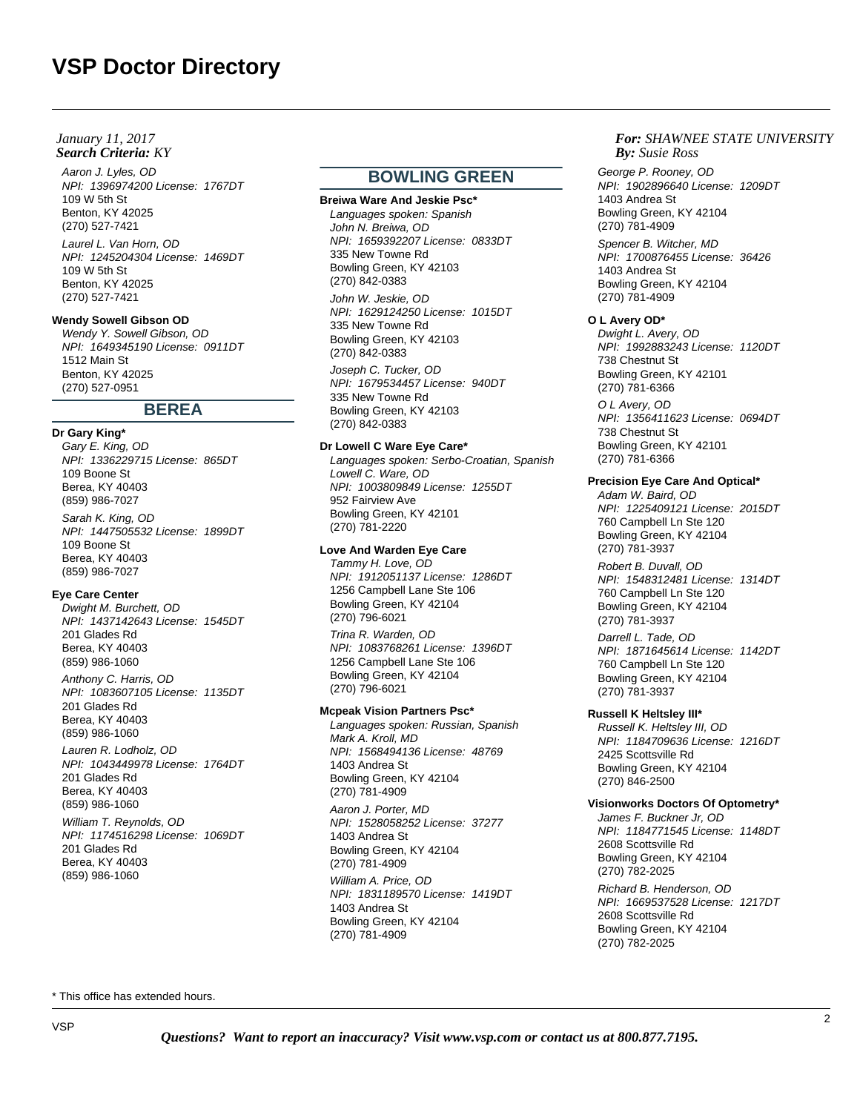## **Search Criteria:** KY *By:* **By:** *By: By: By: By: By: By: By: By: By: By: By: By: By: By: By: By: By: By: By: By: By: By: By: January 11, 2017*

Aaron J. Lyles, OD NPI: 1396974200 License: 1767DT 109 W 5th St Benton, KY 42025 (270) 527-7421 Laurel L. Van Horn, OD NPI: 1245204304 License: 1469DT 109 W 5th St Benton, KY 42025 (270) 527-7421

## **Wendy Sowell Gibson OD**

Wendy Y. Sowell Gibson, OD NPI: 1649345190 License: 0911DT 1512 Main St Benton, KY 42025 (270) 527-0951

# **BEREA**

**Dr Gary King\*** Gary E. King, OD

NPI: 1336229715 License: 865DT 109 Boone St Berea, KY 40403 (859) 986-7027

Sarah K. King, OD NPI: 1447505532 License: 1899DT 109 Boone St Berea, KY 40403 (859) 986-7027

# **Eye Care Center**

Dwight M. Burchett, OD NPI: 1437142643 License: 1545DT 201 Glades Rd Berea, KY 40403 (859) 986-1060

Anthony C. Harris, OD NPI: 1083607105 License: 1135DT 201 Glades Rd Berea, KY 40403 (859) 986-1060

Lauren R. Lodholz, OD NPI: 1043449978 License: 1764DT 201 Glades Rd Berea, KY 40403 (859) 986-1060 William T. Reynolds, OD NPI: 1174516298 License: 1069DT 201 Glades Rd Berea, KY 40403

(859) 986-1060

# **BOWLING GREEN**

**Breiwa Ware And Jeskie Psc\*** Languages spoken: Spanish John N. Breiwa, OD NPI: 1659392207 License: 0833DT 335 New Towne Rd Bowling Green, KY 42103 (270) 842-0383 John W. Jeskie, OD NPI: 1629124250 License: 1015DT 335 New Towne Rd Bowling Green, KY 42103 (270) 842-0383 Joseph C. Tucker, OD NPI: 1679534457 License: 940DT 335 New Towne Rd Bowling Green, KY 42103

#### **Dr Lowell C Ware Eye Care\***

(270) 842-0383

Languages spoken: Serbo-Croatian, Spanish Lowell C. Ware, OD NPI: 1003809849 License: 1255DT 952 Fairview Ave Bowling Green, KY 42101 (270) 781-2220

#### **Love And Warden Eye Care**

Tammy H. Love, OD NPI: 1912051137 License: 1286DT 1256 Campbell Lane Ste 106 Bowling Green, KY 42104 (270) 796-6021

Trina R. Warden, OD NPI: 1083768261 License: 1396DT 1256 Campbell Lane Ste 106 Bowling Green, KY 42104 (270) 796-6021

#### **Mcpeak Vision Partners Psc\***

Languages spoken: Russian, Spanish Mark A. Kroll, MD NPI: 1568494136 License: 48769 1403 Andrea St Bowling Green, KY 42104 (270) 781-4909

Aaron J. Porter, MD NPI: 1528058252 License: 37277 1403 Andrea St Bowling Green, KY 42104 (270) 781-4909 William A. Price, OD NPI: 1831189570 License: 1419DT 1403 Andrea St Bowling Green, KY 42104 (270) 781-4909

# *For: SHAWNEE STATE UNIVERSITY Susie Ross*

George P. Rooney, OD NPI: 1902896640 License: 1209DT 1403 Andrea St Bowling Green, KY 42104 (270) 781-4909

Spencer B. Witcher, MD NPI: 1700876455 License: 36426 1403 Andrea St Bowling Green, KY 42104 (270) 781-4909

#### **O L Avery OD\***

Dwight L. Avery, OD NPI: 1992883243 License: 1120DT 738 Chestnut St Bowling Green, KY 42101 (270) 781-6366 O L Avery, OD NPI: 1356411623 License: 0694DT 738 Chestnut St Bowling Green, KY 42101 (270) 781-6366

## **Precision Eye Care And Optical\***

Adam W. Baird, OD NPI: 1225409121 License: 2015DT 760 Campbell Ln Ste 120 Bowling Green, KY 42104 (270) 781-3937

Robert B. Duvall, OD NPI: 1548312481 License: 1314DT 760 Campbell Ln Ste 120 Bowling Green, KY 42104 (270) 781-3937

Darrell L. Tade, OD NPI: 1871645614 License: 1142DT 760 Campbell Ln Ste 120 Bowling Green, KY 42104 (270) 781-3937

#### **Russell K Heltsley III\***

Russell K. Heltsley III, OD NPI: 1184709636 License: 1216DT 2425 Scottsville Rd Bowling Green, KY 42104 (270) 846-2500

# **Visionworks Doctors Of Optometry\***

James F. Buckner Jr, OD NPI: 1184771545 License: 1148DT 2608 Scottsville Rd Bowling Green, KY 42104 (270) 782-2025

Richard B. Henderson, OD NPI: 1669537528 License: 1217DT 2608 Scottsville Rd Bowling Green, KY 42104 (270) 782-2025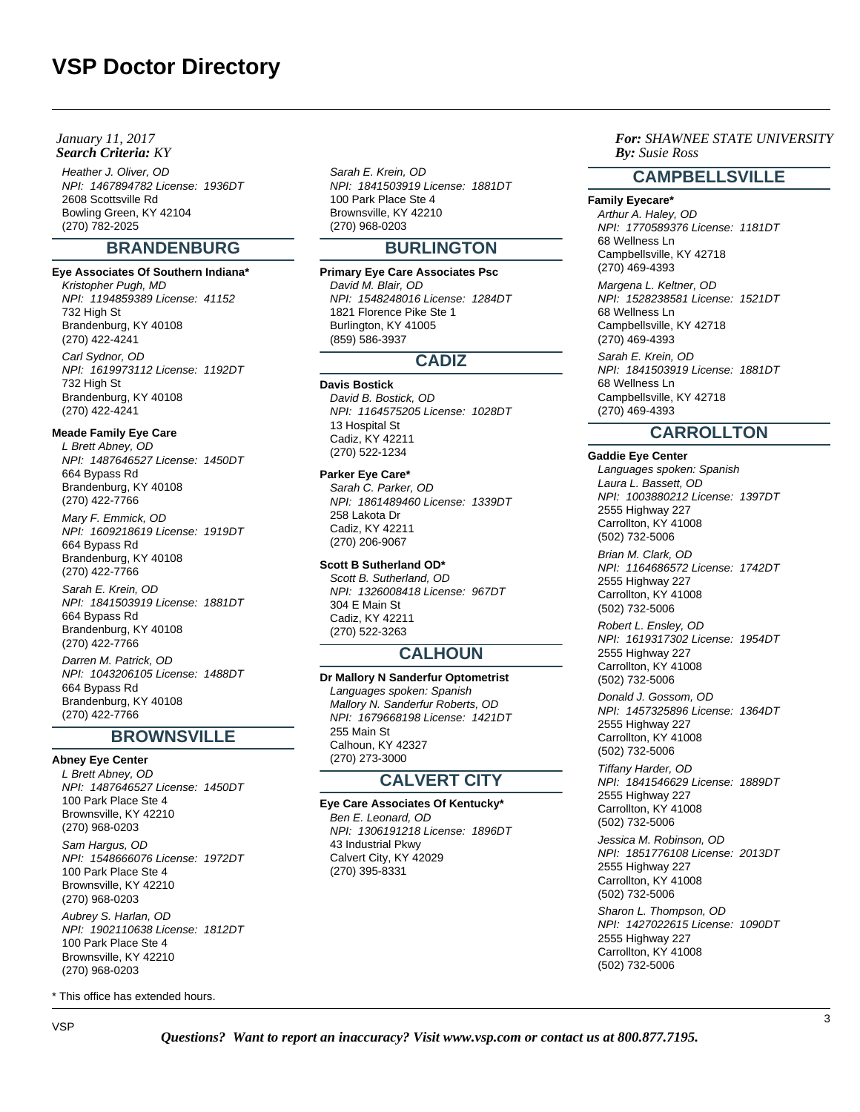Heather J. Oliver, OD NPI: 1467894782 License: 1936DT 2608 Scottsville Rd Bowling Green, KY 42104 (270) 782-2025

# **BRANDENBURG**

# **Eye Associates Of Southern Indiana\***

Kristopher Pugh, MD NPI: 1194859389 License: 41152 732 High St Brandenburg, KY 40108 (270) 422-4241 Carl Sydnor, OD NPI: 1619973112 License: 1192DT 732 High St

# Brandenburg, KY 40108 (270) 422-4241

# **Meade Family Eye Care**

L Brett Abney, OD NPI: 1487646527 License: 1450DT 664 Bypass Rd Brandenburg, KY 40108 (270) 422-7766

Mary F. Emmick, OD NPI: 1609218619 License: 1919DT 664 Bypass Rd Brandenburg, KY 40108 (270) 422-7766

Sarah E. Krein, OD NPI: 1841503919 License: 1881DT 664 Bypass Rd Brandenburg, KY 40108 (270) 422-7766 Darren M. Patrick, OD NPI: 1043206105 License: 1488DT 664 Bypass Rd Brandenburg, KY 40108 (270) 422-7766

# **BROWNSVILLE**

**Abney Eye Center** L Brett Abney, OD NPI: 1487646527 License: 1450DT 100 Park Place Ste 4 Brownsville, KY 42210 (270) 968-0203 Sam Hargus, OD NPI: 1548666076 License: 1972DT 100 Park Place Ste 4 Brownsville, KY 42210 (270) 968-0203

Aubrey S. Harlan, OD NPI: 1902110638 License: 1812DT 100 Park Place Ste 4 Brownsville, KY 42210 (270) 968-0203

\* This office has extended hours.

Sarah E. Krein, OD NPI: 1841503919 License: 1881DT 100 Park Place Ste 4 Brownsville, KY 42210 (270) 968-0203

# **BURLINGTON**

**Primary Eye Care Associates Psc** David M. Blair, OD NPI: 1548248016 License: 1284DT 1821 Florence Pike Ste 1 Burlington, KY 41005 (859) 586-3937

# **CADIZ**

**Davis Bostick** David B. Bostick, OD NPI: 1164575205 License: 1028DT 13 Hospital St Cadiz, KY 42211 (270) 522-1234

**Parker Eye Care\*** Sarah C. Parker, OD NPI: 1861489460 License: 1339DT 258 Lakota Dr Cadiz, KY 42211 (270) 206-9067

# **Scott B Sutherland OD\***

Scott B. Sutherland, OD NPI: 1326008418 License: 967DT 304 E Main St Cadiz, KY 42211 (270) 522-3263

# **CALHOUN**

**Dr Mallory N Sanderfur Optometrist** Languages spoken: Spanish Mallory N. Sanderfur Roberts, OD NPI: 1679668198 License: 1421DT 255 Main St Calhoun, KY 42327 (270) 273-3000

# **CALVERT CITY**

**Eye Care Associates Of Kentucky\*** Ben E. Leonard, OD NPI: 1306191218 License: 1896DT 43 Industrial Pkwy Calvert City, KY 42029 (270) 395-8331

*For: SHAWNEE STATE UNIVERSITY Susie Ross*

# **CAMPBELLSVILLE**

# **Family Eyecare\***

Arthur A. Haley, OD NPI: 1770589376 License: 1181DT 68 Wellness Ln Campbellsville, KY 42718 (270) 469-4393

Margena L. Keltner, OD NPI: 1528238581 License: 1521DT 68 Wellness Ln Campbellsville, KY 42718 (270) 469-4393

Sarah E. Krein, OD NPI: 1841503919 License: 1881DT 68 Wellness Ln Campbellsville, KY 42718 (270) 469-4393

# **CARROLLTON**

**Gaddie Eye Center** Languages spoken: Spanish Laura L. Bassett, OD NPI: 1003880212 License: 1397DT 2555 Highway 227 Carrollton, KY 41008 (502) 732-5006 Brian M. Clark, OD NPI: 1164686572 License: 1742DT 2555 Highway 227 Carrollton, KY 41008 (502) 732-5006 Robert L. Ensley, OD NPI: 1619317302 License: 1954DT 2555 Highway 227 Carrollton, KY 41008 (502) 732-5006 Donald J. Gossom, OD

NPI: 1457325896 License: 1364DT 2555 Highway 227 Carrollton, KY 41008 (502) 732-5006

Tiffany Harder, OD NPI: 1841546629 License: 1889DT 2555 Highway 227 Carrollton, KY 41008 (502) 732-5006

Jessica M. Robinson, OD NPI: 1851776108 License: 2013DT 2555 Highway 227 Carrollton, KY 41008 (502) 732-5006

Sharon L. Thompson, OD NPI: 1427022615 License: 1090DT 2555 Highway 227 Carrollton, KY 41008 (502) 732-5006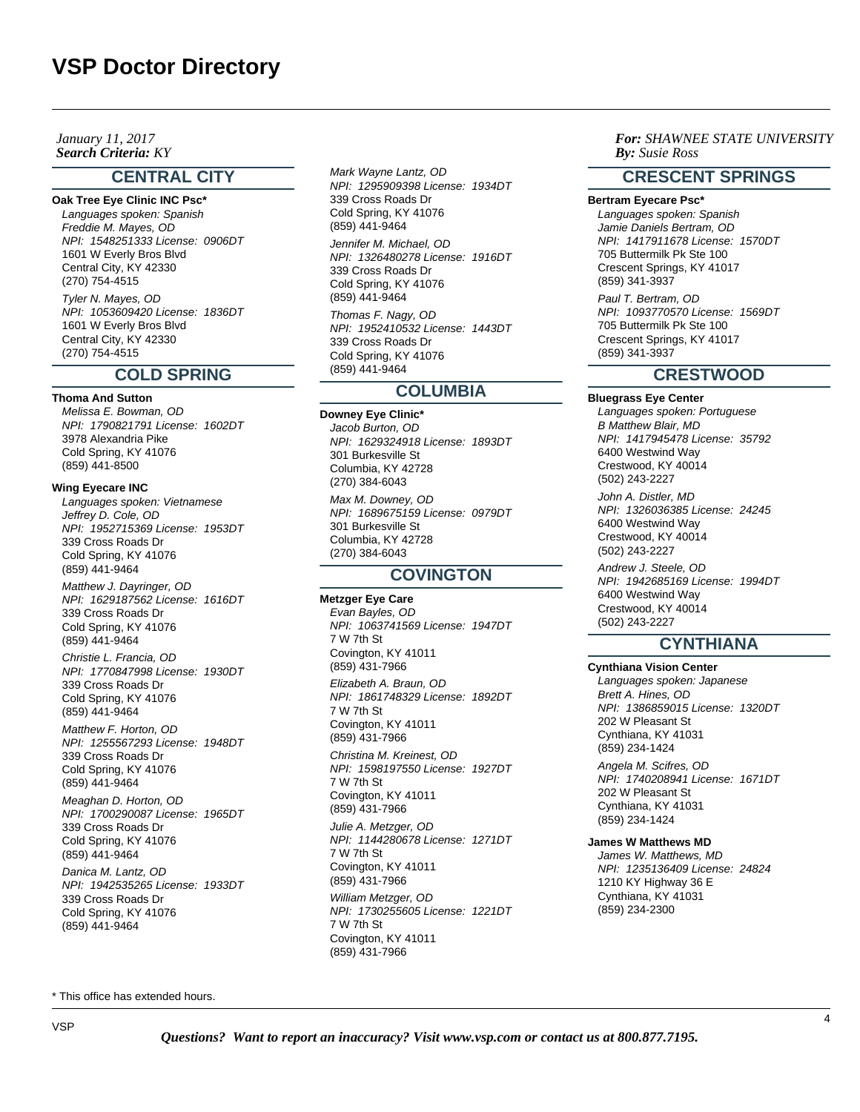**Search Criteria:** KY *By:* **By:** *By: By: By: By: By: By: By: By: By: By: By: By: By: By: By: By: By: By: By: By: By: By: By: January 11, 2017*

# **CENTRAL CITY**

**Oak Tree Eye Clinic INC Psc\*** Languages spoken: Spanish Freddie M. Mayes, OD NPI: 1548251333 License: 0906DT 1601 W Everly Bros Blvd Central City, KY 42330 (270) 754-4515 Tyler N. Mayes, OD

NPI: 1053609420 License: 1836DT 1601 W Everly Bros Blvd Central City, KY 42330 (270) 754-4515

# **COLD SPRING**

**Thoma And Sutton**

Melissa E. Bowman, OD NPI: 1790821791 License: 1602DT 3978 Alexandria Pike Cold Spring, KY 41076 (859) 441-8500

#### **Wing Eyecare INC**

Languages spoken: Vietnamese Jeffrey D. Cole, OD NPI: 1952715369 License: 1953DT 339 Cross Roads Dr Cold Spring, KY 41076 (859) 441-9464

Matthew J. Dayringer, OD NPI: 1629187562 License: 1616DT 339 Cross Roads Dr Cold Spring, KY 41076 (859) 441-9464

Christie L. Francia, OD NPI: 1770847998 License: 1930DT 339 Cross Roads Dr Cold Spring, KY 41076 (859) 441-9464

Matthew F. Horton, OD NPI: 1255567293 License: 1948DT 339 Cross Roads Dr Cold Spring, KY 41076 (859) 441-9464

Meaghan D. Horton, OD NPI: 1700290087 License: 1965DT 339 Cross Roads Dr Cold Spring, KY 41076 (859) 441-9464

Danica M. Lantz, OD NPI: 1942535265 License: 1933DT 339 Cross Roads Dr Cold Spring, KY 41076 (859) 441-9464

Mark Wayne Lantz, OD NPI: 1295909398 License: 1934DT 339 Cross Roads Dr Cold Spring, KY 41076 (859) 441-9464

Jennifer M. Michael, OD NPI: 1326480278 License: 1916DT 339 Cross Roads Dr Cold Spring, KY 41076 (859) 441-9464

Thomas F. Nagy, OD NPI: 1952410532 License: 1443DT 339 Cross Roads Dr Cold Spring, KY 41076 (859) 441-9464

# **COLUMBIA**

**Downey Eye Clinic\*** Jacob Burton, OD NPI: 1629324918 License: 1893DT 301 Burkesville St Columbia, KY 42728 (270) 384-6043 Max M. Downey, OD NPI: 1689675159 License: 0979DT 301 Burkesville St Columbia, KY 42728 (270) 384-6043

# **COVINGTON**

**Metzger Eye Care** Evan Bayles, OD NPI: 1063741569 License: 1947DT 7 W 7th St Covington, KY 41011 (859) 431-7966 Elizabeth A. Braun, OD NPI: 1861748329 License: 1892DT 7 W 7th St Covington, KY 41011 (859) 431-7966 Christina M. Kreinest, OD NPI: 1598197550 License: 1927DT 7 W 7th St Covington, KY 41011 (859) 431-7966 Julie A. Metzger, OD NPI: 1144280678 License: 1271DT 7 W 7th St Covington, KY 41011 (859) 431-7966 William Metzger, OD NPI: 1730255605 License: 1221DT 7 W 7th St Covington, KY 41011

*For: SHAWNEE STATE UNIVERSITY Susie Ross*

# **CRESCENT SPRINGS**

**Bertram Eyecare Psc\*** Languages spoken: Spanish Jamie Daniels Bertram, OD NPI: 1417911678 License: 1570DT 705 Buttermilk Pk Ste 100 Crescent Springs, KY 41017 (859) 341-3937 Paul T. Bertram, OD NPI: 1093770570 License: 1569DT 705 Buttermilk Pk Ste 100 Crescent Springs, KY 41017 (859) 341-3937

# **CRESTWOOD**

**Bluegrass Eye Center** Languages spoken: Portuguese B Matthew Blair, MD NPI: 1417945478 License: 35792 6400 Westwind Way Crestwood, KY 40014 (502) 243-2227 John A. Distler, MD NPI: 1326036385 License: 24245 6400 Westwind Way Crestwood, KY 40014 (502) 243-2227 Andrew J. Steele, OD NPI: 1942685169 License: 1994DT 6400 Westwind Way Crestwood, KY 40014 (502) 243-2227

# **CYNTHIANA**

**Cynthiana Vision Center** Languages spoken: Japanese Brett A. Hines, OD NPI: 1386859015 License: 1320DT 202 W Pleasant St Cynthiana, KY 41031 (859) 234-1424

Angela M. Scifres, OD NPI: 1740208941 License: 1671DT 202 W Pleasant St Cynthiana, KY 41031 (859) 234-1424

# **James W Matthews MD**

James W. Matthews, MD NPI: 1235136409 License: 24824 1210 KY Highway 36 E Cynthiana, KY 41031 (859) 234-2300

\* This office has extended hours.

(859) 431-7966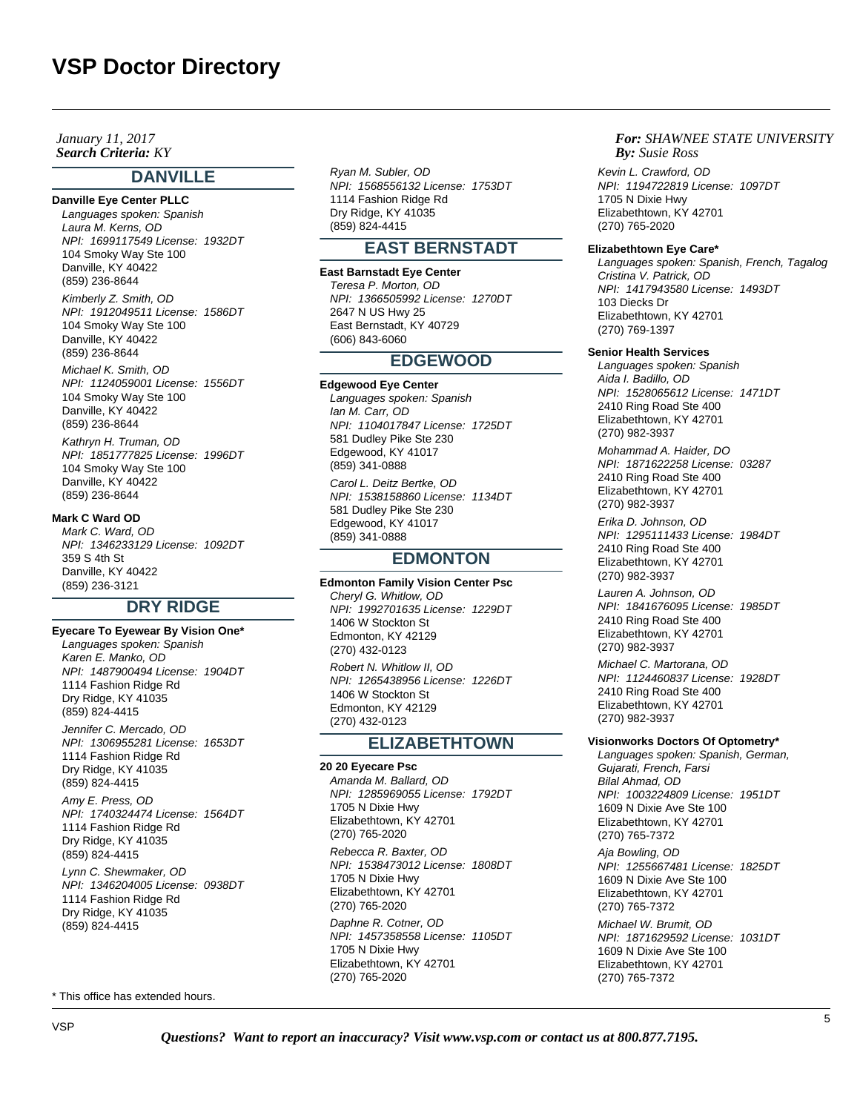**Search Criteria:** KY *By:* **By:** *By: By: By: By: By: By: By: By: By: By: By: By: By: By: By: By: By: By: By: By: By: By: By: January 11, 2017*

# **DANVILLE**

**Danville Eye Center PLLC** Languages spoken: Spanish Laura M. Kerns, OD NPI: 1699117549 License: 1932DT 104 Smoky Way Ste 100 Danville, KY 40422 (859) 236-8644

Kimberly Z. Smith, OD NPI: 1912049511 License: 1586DT 104 Smoky Way Ste 100 Danville, KY 40422 (859) 236-8644

Michael K. Smith, OD NPI: 1124059001 License: 1556DT 104 Smoky Way Ste 100 Danville, KY 40422 (859) 236-8644

Kathryn H. Truman, OD NPI: 1851777825 License: 1996DT 104 Smoky Way Ste 100 Danville, KY 40422 (859) 236-8644

#### **Mark C Ward OD**

Mark C. Ward, OD NPI: 1346233129 License: 1092DT 359 S 4th St Danville, KY 40422 (859) 236-3121

# **DRY RIDGE**

**Eyecare To Eyewear By Vision One\*** Languages spoken: Spanish Karen E. Manko, OD NPI: 1487900494 License: 1904DT 1114 Fashion Ridge Rd Dry Ridge, KY 41035 (859) 824-4415 Jennifer C. Mercado, OD NPI: 1306955281 License: 1653DT 1114 Fashion Ridge Rd Dry Ridge, KY 41035 (859) 824-4415 Amy E. Press, OD

NPI: 1740324474 License: 1564DT 1114 Fashion Ridge Rd Dry Ridge, KY 41035 (859) 824-4415

Lynn C. Shewmaker, OD NPI: 1346204005 License: 0938DT 1114 Fashion Ridge Rd Dry Ridge, KY 41035 (859) 824-4415

\* This office has extended hours.

Ryan M. Subler, OD NPI: 1568556132 License: 1753DT 1114 Fashion Ridge Rd Dry Ridge, KY 41035 (859) 824-4415

# **EAST BERNSTADT**

**East Barnstadt Eye Center** Teresa P. Morton, OD NPI: 1366505992 License: 1270DT 2647 N US Hwy 25 East Bernstadt, KY 40729 (606) 843-6060

# **EDGEWOOD**

#### **Edgewood Eye Center**

Languages spoken: Spanish Ian M. Carr, OD NPI: 1104017847 License: 1725DT 581 Dudley Pike Ste 230 Edgewood, KY 41017 (859) 341-0888 Carol L. Deitz Bertke, OD NPI: 1538158860 License: 1134DT

581 Dudley Pike Ste 230 Edgewood, KY 41017 (859) 341-0888

# **EDMONTON**

**Edmonton Family Vision Center Psc** Cheryl G. Whitlow, OD NPI: 1992701635 License: 1229DT 1406 W Stockton St Edmonton, KY 42129 (270) 432-0123 Robert N. Whitlow II, OD

NPI: 1265438956 License: 1226DT 1406 W Stockton St Edmonton, KY 42129 (270) 432-0123

# **ELIZABETHTOWN**

**20 20 Eyecare Psc** Amanda M. Ballard, OD NPI: 1285969055 License: 1792DT 1705 N Dixie Hwy Elizabethtown, KY 42701 (270) 765-2020

Rebecca R. Baxter, OD NPI: 1538473012 License: 1808DT 1705 N Dixie Hwy Elizabethtown, KY 42701 (270) 765-2020

Daphne R. Cotner, OD NPI: 1457358558 License: 1105DT 1705 N Dixie Hwy Elizabethtown, KY 42701 (270) 765-2020

*For: SHAWNEE STATE UNIVERSITY Susie Ross*

Kevin L. Crawford, OD NPI: 1194722819 License: 1097DT 1705 N Dixie Hwy Elizabethtown, KY 42701 (270) 765-2020

#### **Elizabethtown Eye Care\***

Languages spoken: Spanish, French, Tagalog Cristina V. Patrick, OD NPI: 1417943580 License: 1493DT 103 Diecks Dr Elizabethtown, KY 42701 (270) 769-1397

#### **Senior Health Services**

Languages spoken: Spanish Aida I. Badillo, OD NPI: 1528065612 License: 1471DT 2410 Ring Road Ste 400 Elizabethtown, KY 42701 (270) 982-3937

Mohammad A. Haider, DO NPI: 1871622258 License: 03287 2410 Ring Road Ste 400 Elizabethtown, KY 42701 (270) 982-3937

Erika D. Johnson, OD NPI: 1295111433 License: 1984DT 2410 Ring Road Ste 400 Elizabethtown, KY 42701 (270) 982-3937

Lauren A. Johnson, OD NPI: 1841676095 License: 1985DT 2410 Ring Road Ste 400 Elizabethtown, KY 42701 (270) 982-3937

Michael C. Martorana, OD NPI: 1124460837 License: 1928DT 2410 Ring Road Ste 400 Elizabethtown, KY 42701 (270) 982-3937

# **Visionworks Doctors Of Optometry\***

Languages spoken: Spanish, German, Gujarati, French, Farsi Bilal Ahmad, OD NPI: 1003224809 License: 1951DT 1609 N Dixie Ave Ste 100 Elizabethtown, KY 42701 (270) 765-7372

Aja Bowling, OD NPI: 1255667481 License: 1825DT 1609 N Dixie Ave Ste 100 Elizabethtown, KY 42701 (270) 765-7372

Michael W. Brumit, OD NPI: 1871629592 License: 1031DT 1609 N Dixie Ave Ste 100 Elizabethtown, KY 42701 (270) 765-7372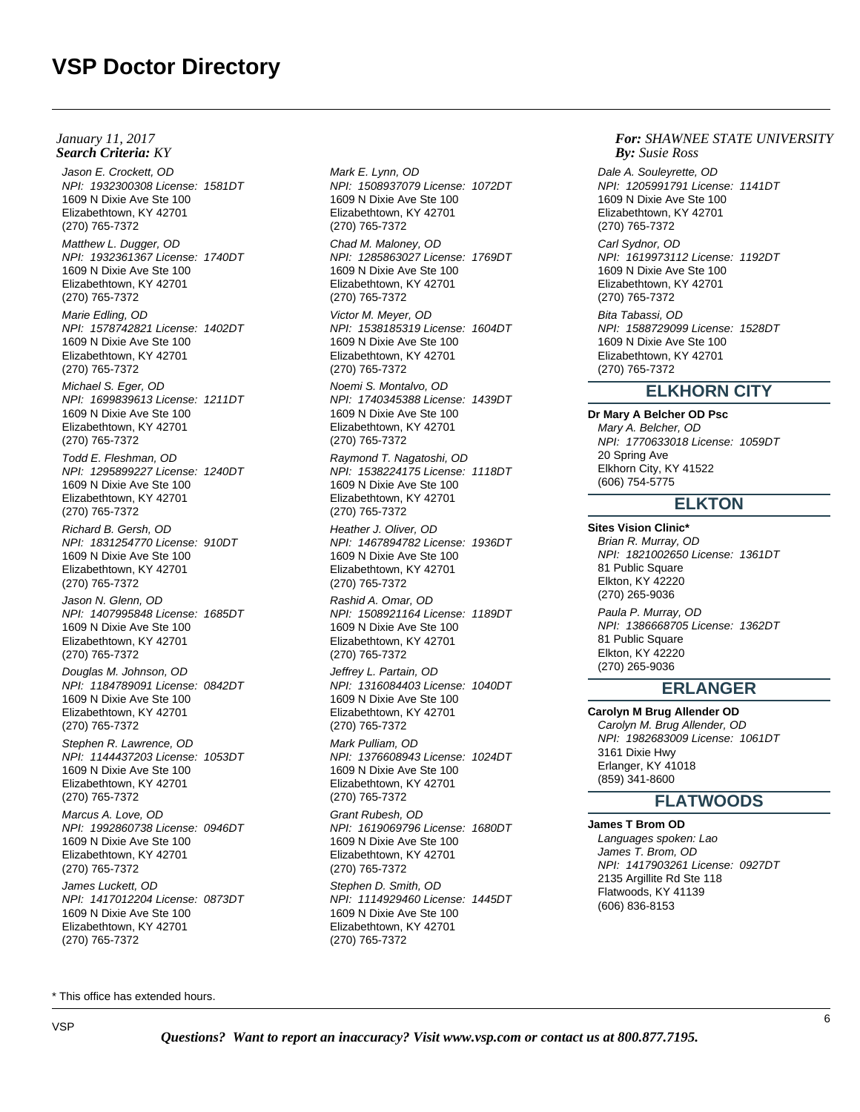Jason E. Crockett, OD NPI: 1932300308 License: 1581DT 1609 N Dixie Ave Ste 100 Elizabethtown, KY 42701 (270) 765-7372

Matthew L. Dugger, OD NPI: 1932361367 License: 1740DT 1609 N Dixie Ave Ste 100 Elizabethtown, KY 42701 (270) 765-7372

Marie Edling, OD NPI: 1578742821 License: 1402DT 1609 N Dixie Ave Ste 100 Elizabethtown, KY 42701 (270) 765-7372

Michael S. Eger, OD NPI: 1699839613 License: 1211DT 1609 N Dixie Ave Ste 100 Elizabethtown, KY 42701 (270) 765-7372

Todd E. Fleshman, OD NPI: 1295899227 License: 1240DT 1609 N Dixie Ave Ste 100 Elizabethtown, KY 42701 (270) 765-7372

Richard B. Gersh, OD NPI: 1831254770 License: 910DT 1609 N Dixie Ave Ste 100 Elizabethtown, KY 42701 (270) 765-7372

Jason N. Glenn, OD NPI: 1407995848 License: 1685DT 1609 N Dixie Ave Ste 100 Elizabethtown, KY 42701 (270) 765-7372

Douglas M. Johnson, OD NPI: 1184789091 License: 0842DT 1609 N Dixie Ave Ste 100 Elizabethtown, KY 42701 (270) 765-7372

Stephen R. Lawrence, OD NPI: 1144437203 License: 1053DT 1609 N Dixie Ave Ste 100 Elizabethtown, KY 42701 (270) 765-7372

Marcus A. Love, OD NPI: 1992860738 License: 0946DT 1609 N Dixie Ave Ste 100 Elizabethtown, KY 42701 (270) 765-7372 James Luckett, OD

NPI: 1417012204 License: 0873DT 1609 N Dixie Ave Ste 100 Elizabethtown, KY 42701 (270) 765-7372

Mark E. Lynn, OD NPI: 1508937079 License: 1072DT 1609 N Dixie Ave Ste 100 Elizabethtown, KY 42701 (270) 765-7372

Chad M. Maloney, OD NPI: 1285863027 License: 1769DT 1609 N Dixie Ave Ste 100 Elizabethtown, KY 42701 (270) 765-7372

Victor M. Meyer, OD NPI: 1538185319 License: 1604DT 1609 N Dixie Ave Ste 100 Elizabethtown, KY 42701 (270) 765-7372

Noemi S. Montalvo, OD NPI: 1740345388 License: 1439DT 1609 N Dixie Ave Ste 100 Elizabethtown, KY 42701 (270) 765-7372

Raymond T. Nagatoshi, OD NPI: 1538224175 License: 1118DT 1609 N Dixie Ave Ste 100 Elizabethtown, KY 42701 (270) 765-7372

Heather J. Oliver, OD NPI: 1467894782 License: 1936DT 1609 N Dixie Ave Ste 100 Elizabethtown, KY 42701 (270) 765-7372

Rashid A. Omar, OD NPI: 1508921164 License: 1189DT 1609 N Dixie Ave Ste 100 Elizabethtown, KY 42701 (270) 765-7372

Jeffrey L. Partain, OD NPI: 1316084403 License: 1040DT 1609 N Dixie Ave Ste 100 Elizabethtown, KY 42701 (270) 765-7372

Mark Pulliam, OD NPI: 1376608943 License: 1024DT 1609 N Dixie Ave Ste 100 Elizabethtown, KY 42701 (270) 765-7372

Grant Rubesh, OD NPI: 1619069796 License: 1680DT 1609 N Dixie Ave Ste 100 Elizabethtown, KY 42701 (270) 765-7372 Stephen D. Smith, OD NPI: 1114929460 License: 1445DT 1609 N Dixie Ave Ste 100 Elizabethtown, KY 42701 (270) 765-7372

*For: SHAWNEE STATE UNIVERSITY Susie Ross*

Dale A. Souleyrette, OD NPI: 1205991791 License: 1141DT 1609 N Dixie Ave Ste 100 Elizabethtown, KY 42701 (270) 765-7372

Carl Sydnor, OD NPI: 1619973112 License: 1192DT 1609 N Dixie Ave Ste 100 Elizabethtown, KY 42701 (270) 765-7372

Bita Tabassi, OD NPI: 1588729099 License: 1528DT 1609 N Dixie Ave Ste 100 Elizabethtown, KY 42701 (270) 765-7372

# **ELKHORN CITY**

**Dr Mary A Belcher OD Psc**

Mary A. Belcher, OD NPI: 1770633018 License: 1059DT 20 Spring Ave Elkhorn City, KY 41522 (606) 754-5775

# **ELKTON**

**Sites Vision Clinic\*** Brian R. Murray, OD NPI: 1821002650 License: 1361DT 81 Public Square Elkton, KY 42220 (270) 265-9036 Paula P. Murray, OD NPI: 1386668705 License: 1362DT 81 Public Square Elkton, KY 42220 (270) 265-9036

# **ERLANGER**

**Carolyn M Brug Allender OD** Carolyn M. Brug Allender, OD NPI: 1982683009 License: 1061DT 3161 Dixie Hwy Erlanger, KY 41018 (859) 341-8600

# **FLATWOODS**

**James T Brom OD** Languages spoken: Lao James T. Brom, OD NPI: 1417903261 License: 0927DT 2135 Argillite Rd Ste 118 Flatwoods, KY 41139 (606) 836-8153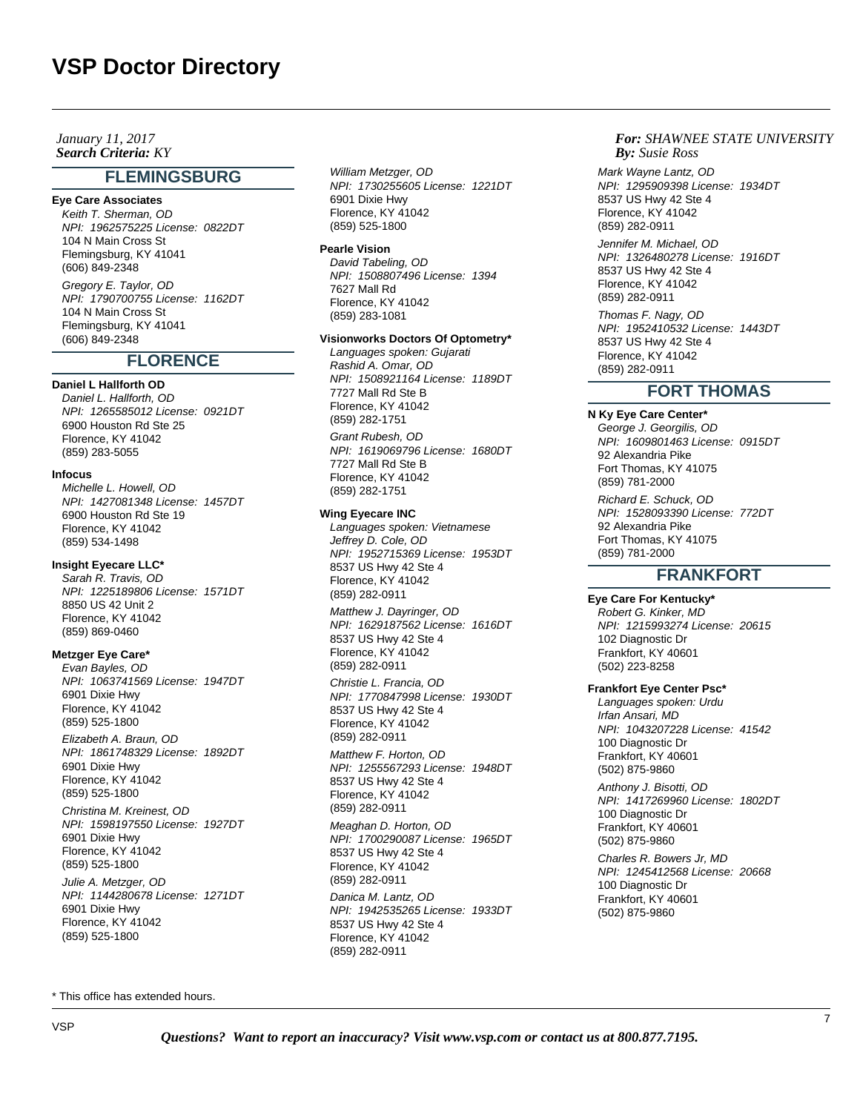## **Search Criteria:** KY *By:* **By:** *By: By: By: By: By: By: By: By: By: By: By: By: By: By: By: By: By: By: By: By: By: By: By: January 11, 2017*

# **FLEMINGSBURG**

# **Eye Care Associates**

Keith T. Sherman, OD NPI: 1962575225 License: 0822DT 104 N Main Cross St Flemingsburg, KY 41041 (606) 849-2348 Gregory E. Taylor, OD

NPI: 1790700755 License: 1162DT 104 N Main Cross St Flemingsburg, KY 41041 (606) 849-2348

# **FLORENCE**

## **Daniel L Hallforth OD**

Daniel L. Hallforth, OD NPI: 1265585012 License: 0921DT 6900 Houston Rd Ste 25 Florence, KY 41042 (859) 283-5055

## **Infocus**

Michelle L. Howell, OD NPI: 1427081348 License: 1457DT 6900 Houston Rd Ste 19 Florence, KY 41042 (859) 534-1498

# **Insight Eyecare LLC\***

Sarah R. Travis, OD NPI: 1225189806 License: 1571DT 8850 US 42 Unit 2 Florence, KY 41042 (859) 869-0460

#### **Metzger Eye Care\***

Evan Bayles, OD NPI: 1063741569 License: 1947DT 6901 Dixie Hwy Florence, KY 41042 (859) 525-1800

Elizabeth A. Braun, OD NPI: 1861748329 License: 1892DT 6901 Dixie Hwy Florence, KY 41042 (859) 525-1800

Christina M. Kreinest, OD NPI: 1598197550 License: 1927DT 6901 Dixie Hwy Florence, KY 41042 (859) 525-1800 Julie A. Metzger, OD

NPI: 1144280678 License: 1271DT 6901 Dixie Hwy Florence, KY 41042 (859) 525-1800

William Metzger, OD NPI: 1730255605 License: 1221DT 6901 Dixie Hwy Florence, KY 41042 (859) 525-1800

#### **Pearle Vision**

David Tabeling, OD NPI: 1508807496 License: 1394 7627 Mall Rd Florence, KY 41042 (859) 283-1081

# **Visionworks Doctors Of Optometry\***

Languages spoken: Gujarati Rashid A. Omar, OD NPI: 1508921164 License: 1189DT 7727 Mall Rd Ste B Florence, KY 41042 (859) 282-1751

Grant Rubesh, OD NPI: 1619069796 License: 1680DT 7727 Mall Rd Ste B Florence, KY 41042 (859) 282-1751

#### **Wing Eyecare INC**

Languages spoken: Vietnamese Jeffrey D. Cole, OD NPI: 1952715369 License: 1953DT 8537 US Hwy 42 Ste 4 Florence, KY 41042 (859) 282-0911

Matthew J. Dayringer, OD NPI: 1629187562 License: 1616DT 8537 US Hwy 42 Ste 4 Florence, KY 41042 (859) 282-0911

Christie L. Francia, OD NPI: 1770847998 License: 1930DT 8537 US Hwy 42 Ste 4 Florence, KY 41042 (859) 282-0911

Matthew F. Horton, OD NPI: 1255567293 License: 1948DT 8537 US Hwy 42 Ste 4 Florence, KY 41042 (859) 282-0911

Meaghan D. Horton, OD NPI: 1700290087 License: 1965DT 8537 US Hwy 42 Ste 4 Florence, KY 41042 (859) 282-0911

Danica M. Lantz, OD NPI: 1942535265 License: 1933DT 8537 US Hwy 42 Ste 4 Florence, KY 41042 (859) 282-0911

## *For: SHAWNEE STATE UNIVERSITY Susie Ross*

Mark Wayne Lantz, OD NPI: 1295909398 License: 1934DT 8537 US Hwy 42 Ste 4 Florence, KY 41042 (859) 282-0911

Jennifer M. Michael, OD NPI: 1326480278 License: 1916DT 8537 US Hwy 42 Ste 4 Florence, KY 41042 (859) 282-0911

Thomas F. Nagy, OD NPI: 1952410532 License: 1443DT 8537 US Hwy 42 Ste 4 Florence, KY 41042 (859) 282-0911

# **FORT THOMAS**

**N Ky Eye Care Center\*** George J. Georgilis, OD NPI: 1609801463 License: 0915DT 92 Alexandria Pike Fort Thomas, KY 41075 (859) 781-2000 Richard E. Schuck, OD NPI: 1528093390 License: 772DT 92 Alexandria Pike Fort Thomas, KY 41075 (859) 781-2000

# **FRANKFORT**

# **Eye Care For Kentucky\***

Robert G. Kinker, MD NPI: 1215993274 License: 20615 102 Diagnostic Dr Frankfort, KY 40601 (502) 223-8258

## **Frankfort Eye Center Psc\***

Languages spoken: Urdu Irfan Ansari, MD NPI: 1043207228 License: 41542 100 Diagnostic Dr Frankfort, KY 40601 (502) 875-9860

Anthony J. Bisotti, OD NPI: 1417269960 License: 1802DT 100 Diagnostic Dr Frankfort, KY 40601 (502) 875-9860

Charles R. Bowers Jr, MD NPI: 1245412568 License: 20668 100 Diagnostic Dr Frankfort, KY 40601 (502) 875-9860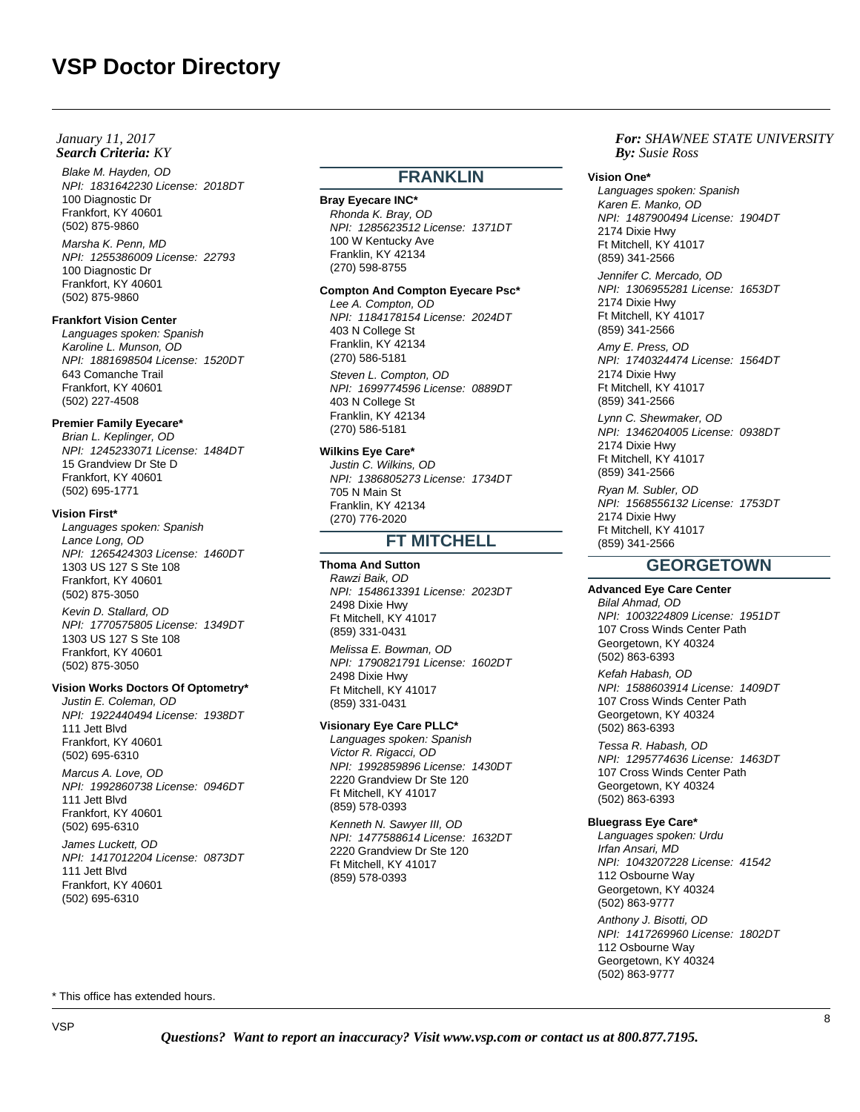## **Search Criteria:** KY *By:* **By:** *By: By: By: By: By: By: By: By: By: By: By: By: By: By: By: By: By: By: By: By: By: By: By: January 11, 2017*

Blake M. Hayden, OD NPI: 1831642230 License: 2018DT 100 Diagnostic Dr Frankfort, KY 40601 (502) 875-9860

Marsha K. Penn, MD NPI: 1255386009 License: 22793 100 Diagnostic Dr Frankfort, KY 40601 (502) 875-9860

#### **Frankfort Vision Center**

Languages spoken: Spanish Karoline L. Munson, OD NPI: 1881698504 License: 1520DT 643 Comanche Trail Frankfort, KY 40601 (502) 227-4508

# **Premier Family Eyecare\***

Brian L. Keplinger, OD NPI: 1245233071 License: 1484DT 15 Grandview Dr Ste D Frankfort, KY 40601 (502) 695-1771

#### **Vision First\***

Languages spoken: Spanish Lance Long, OD NPI: 1265424303 License: 1460DT 1303 US 127 S Ste 108 Frankfort, KY 40601 (502) 875-3050

Kevin D. Stallard, OD NPI: 1770575805 License: 1349DT 1303 US 127 S Ste 108 Frankfort, KY 40601 (502) 875-3050

#### **Vision Works Doctors Of Optometry\***

Justin E. Coleman, OD NPI: 1922440494 License: 1938DT 111 Jett Blvd Frankfort, KY 40601 (502) 695-6310

Marcus A. Love, OD NPI: 1992860738 License: 0946DT 111 Jett Blvd Frankfort, KY 40601 (502) 695-6310

James Luckett, OD NPI: 1417012204 License: 0873DT 111 Jett Blvd Frankfort, KY 40601 (502) 695-6310

# **FRANKLIN**

#### **Bray Eyecare INC\***

Rhonda K. Bray, OD NPI: 1285623512 License: 1371DT 100 W Kentucky Ave Franklin, KY 42134 (270) 598-8755

## **Compton And Compton Eyecare Psc\***

Lee A. Compton, OD NPI: 1184178154 License: 2024DT 403 N College St Franklin, KY 42134 (270) 586-5181 Steven L. Compton, OD NPI: 1699774596 License: 0889DT 403 N College St Franklin, KY 42134 (270) 586-5181

## **Wilkins Eye Care\***

Justin C. Wilkins, OD NPI: 1386805273 License: 1734DT 705 N Main St Franklin, KY 42134 (270) 776-2020

# **FT MITCHELL**

## **Thoma And Sutton**

Rawzi Baik, OD NPI: 1548613391 License: 2023DT 2498 Dixie Hwy Ft Mitchell, KY 41017 (859) 331-0431

Melissa E. Bowman, OD NPI: 1790821791 License: 1602DT 2498 Dixie Hwy Ft Mitchell, KY 41017 (859) 331-0431

## **Visionary Eye Care PLLC\***

Languages spoken: Spanish Victor R. Rigacci, OD NPI: 1992859896 License: 1430DT 2220 Grandview Dr Ste 120 Ft Mitchell, KY 41017 (859) 578-0393

Kenneth N. Sawyer III, OD NPI: 1477588614 License: 1632DT 2220 Grandview Dr Ste 120 Ft Mitchell, KY 41017 (859) 578-0393

# *For: SHAWNEE STATE UNIVERSITY Susie Ross*

#### **Vision One\***

Languages spoken: Spanish Karen E. Manko, OD NPI: 1487900494 License: 1904DT 2174 Dixie Hwy Ft Mitchell, KY 41017 (859) 341-2566 Jennifer C. Mercado, OD NPI: 1306955281 License: 1653DT 2174 Dixie Hwy Ft Mitchell, KY 41017 (859) 341-2566 Amy E. Press, OD NPI: 1740324474 License: 1564DT 2174 Dixie Hwy Ft Mitchell, KY 41017 (859) 341-2566 Lynn C. Shewmaker, OD NPI: 1346204005 License: 0938DT 2174 Dixie Hwy Ft Mitchell, KY 41017 (859) 341-2566 Ryan M. Subler, OD NPI: 1568556132 License: 1753DT 2174 Dixie Hwy Ft Mitchell, KY 41017 (859) 341-2566

# **GEORGETOWN**

## **Advanced Eye Care Center**

Bilal Ahmad, OD NPI: 1003224809 License: 1951DT 107 Cross Winds Center Path Georgetown, KY 40324 (502) 863-6393

Kefah Habash, OD NPI: 1588603914 License: 1409DT 107 Cross Winds Center Path Georgetown, KY 40324 (502) 863-6393

Tessa R. Habash, OD NPI: 1295774636 License: 1463DT 107 Cross Winds Center Path Georgetown, KY 40324 (502) 863-6393

#### **Bluegrass Eye Care\***

Languages spoken: Urdu Irfan Ansari, MD NPI: 1043207228 License: 41542 112 Osbourne Way Georgetown, KY 40324 (502) 863-9777

Anthony J. Bisotti, OD NPI: 1417269960 License: 1802DT 112 Osbourne Way Georgetown, KY 40324 (502) 863-9777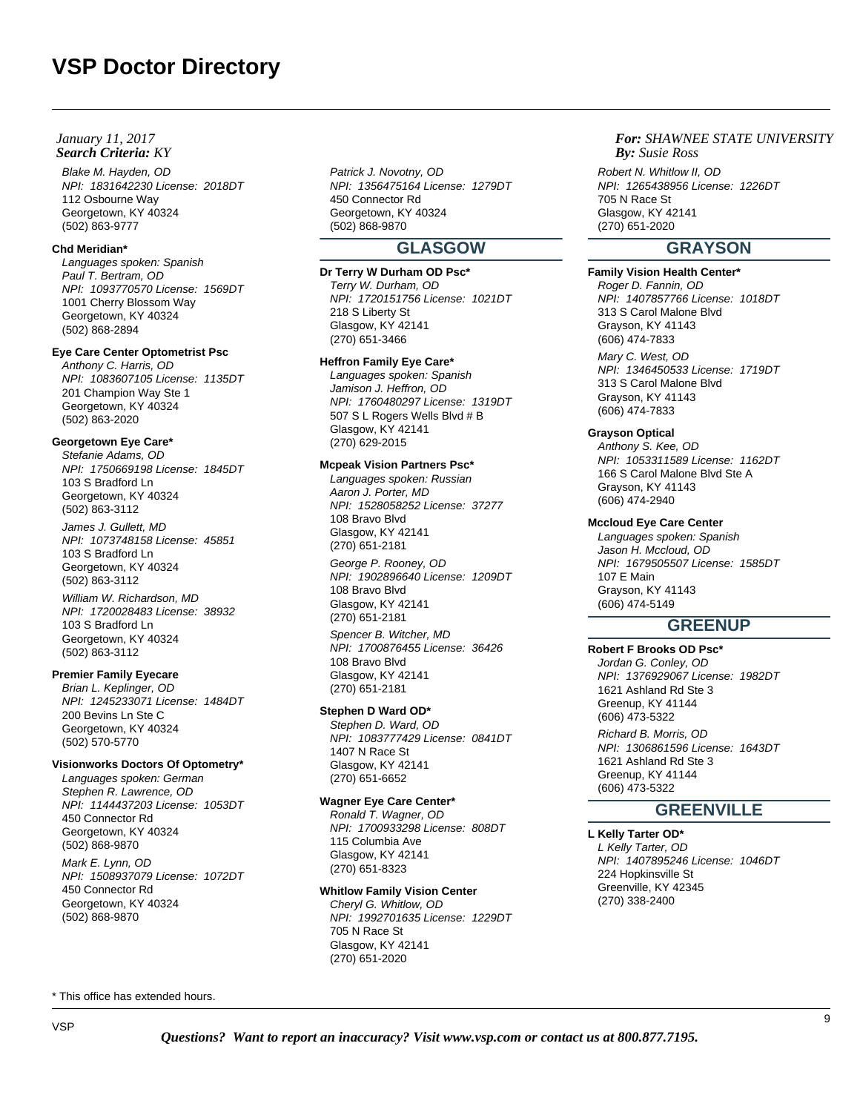## **Search Criteria:** KY *By:* **By:** *By: By: By: By: By: By: By: By: By: By: By: By: By: By: By: By: By: By: By: By: By: By: By: January 11, 2017*

Blake M. Hayden, OD NPI: 1831642230 License: 2018DT 112 Osbourne Way Georgetown, KY 40324 (502) 863-9777

#### **Chd Meridian\***

Languages spoken: Spanish Paul T. Bertram, OD NPI: 1093770570 License: 1569DT 1001 Cherry Blossom Way Georgetown, KY 40324 (502) 868-2894

## **Eye Care Center Optometrist Psc**

Anthony C. Harris, OD NPI: 1083607105 License: 1135DT 201 Champion Way Ste 1 Georgetown, KY 40324 (502) 863-2020

#### **Georgetown Eye Care\***

Stefanie Adams, OD NPI: 1750669198 License: 1845DT 103 S Bradford Ln Georgetown, KY 40324 (502) 863-3112

James J. Gullett, MD NPI: 1073748158 License: 45851 103 S Bradford Ln Georgetown, KY 40324 (502) 863-3112

William W. Richardson, MD NPI: 1720028483 License: 38932 103 S Bradford Ln Georgetown, KY 40324 (502) 863-3112

## **Premier Family Eyecare**

Brian L. Keplinger, OD NPI: 1245233071 License: 1484DT 200 Bevins Ln Ste C Georgetown, KY 40324 (502) 570-5770

# **Visionworks Doctors Of Optometry\***

Languages spoken: German Stephen R. Lawrence, OD NPI: 1144437203 License: 1053DT 450 Connector Rd Georgetown, KY 40324 (502) 868-9870 Mark E. Lynn, OD NPI: 1508937079 License: 1072DT 450 Connector Rd Georgetown, KY 40324 (502) 868-9870

Patrick J. Novotny, OD NPI: 1356475164 License: 1279DT 450 Connector Rd Georgetown, KY 40324 (502) 868-9870

# **GLASGOW**

# **Dr Terry W Durham OD Psc\***

Terry W. Durham, OD NPI: 1720151756 License: 1021DT 218 S Liberty St Glasgow, KY 42141 (270) 651-3466

### **Heffron Family Eye Care\***

Languages spoken: Spanish Jamison J. Heffron, OD NPI: 1760480297 License: 1319DT 507 S L Rogers Wells Blvd # B Glasgow, KY 42141 (270) 629-2015

# **Mcpeak Vision Partners Psc\***

Languages spoken: Russian Aaron J. Porter, MD NPI: 1528058252 License: 37277 108 Bravo Blvd Glasgow, KY 42141 (270) 651-2181 George P. Rooney, OD NPI: 1902896640 License: 1209DT 108 Bravo Blvd Glasgow, KY 42141 (270) 651-2181

Spencer B. Witcher, MD NPI: 1700876455 License: 36426 108 Bravo Blvd Glasgow, KY 42141 (270) 651-2181

## **Stephen D Ward OD\***

Stephen D. Ward, OD NPI: 1083777429 License: 0841DT 1407 N Race St Glasgow, KY 42141 (270) 651-6652

## **Wagner Eye Care Center\***

Ronald T. Wagner, OD NPI: 1700933298 License: 808DT 115 Columbia Ave Glasgow, KY 42141 (270) 651-8323

## **Whitlow Family Vision Center**

Cheryl G. Whitlow, OD NPI: 1992701635 License: 1229DT 705 N Race St Glasgow, KY 42141 (270) 651-2020

## *For: SHAWNEE STATE UNIVERSITY Susie Ross*

Robert N. Whitlow II, OD NPI: 1265438956 License: 1226DT 705 N Race St Glasgow, KY 42141 (270) 651-2020

# **GRAYSON**

# **Family Vision Health Center\***

Roger D. Fannin, OD NPI: 1407857766 License: 1018DT 313 S Carol Malone Blvd Grayson, KY 41143 (606) 474-7833

Mary C. West, OD NPI: 1346450533 License: 1719DT 313 S Carol Malone Blvd Grayson, KY 41143 (606) 474-7833

# **Grayson Optical**

Anthony S. Kee, OD NPI: 1053311589 License: 1162DT 166 S Carol Malone Blvd Ste A Grayson, KY 41143 (606) 474-2940

#### **Mccloud Eye Care Center**

Languages spoken: Spanish Jason H. Mccloud, OD NPI: 1679505507 License: 1585DT 107 E Main Grayson, KY 41143 (606) 474-5149

# **GREENUP**

# **Robert F Brooks OD Psc\***

Jordan G. Conley, OD NPI: 1376929067 License: 1982DT 1621 Ashland Rd Ste 3 Greenup, KY 41144 (606) 473-5322 Richard B. Morris, OD NPI: 1306861596 License: 1643DT 1621 Ashland Rd Ste 3 Greenup, KY 41144 (606) 473-5322

# **GREENVILLE**

#### **L Kelly Tarter OD\*** L Kelly Tarter, OD NPI: 1407895246 License: 1046DT 224 Hopkinsville St Greenville, KY 42345 (270) 338-2400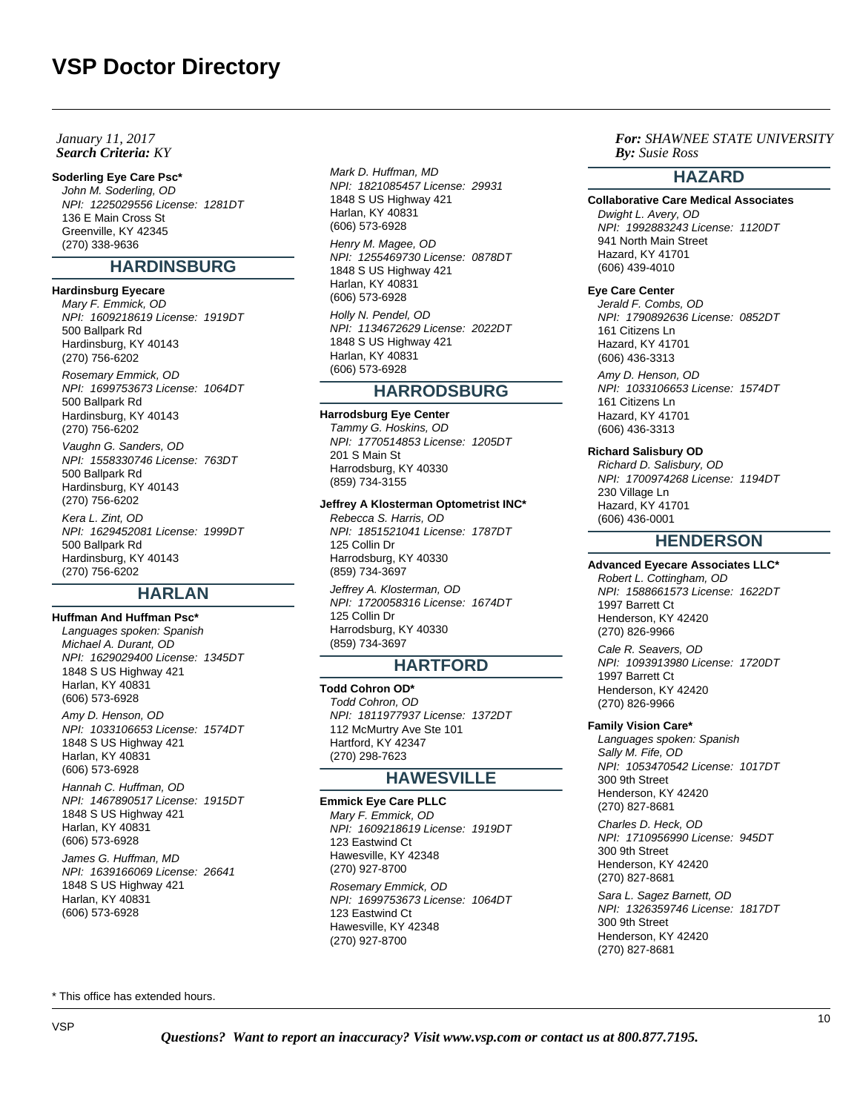## **Search Criteria:** KY *By:* **By:** *By: By: By: By: By: By: By: By: By: By: By: By: By: By: By: By: By: By: By: By: By: By: By: January 11, 2017*

## **Soderling Eye Care Psc\***

John M. Soderling, OD NPI: 1225029556 License: 1281DT 136 E Main Cross St Greenville, KY 42345 (270) 338-9636

# **HARDINSBURG**

#### **Hardinsburg Eyecare**

Mary F. Emmick, OD NPI: 1609218619 License: 1919DT 500 Ballpark Rd Hardinsburg, KY 40143 (270) 756-6202 Rosemary Emmick, OD NPI: 1699753673 License: 1064DT 500 Ballpark Rd Hardinsburg, KY 40143 (270) 756-6202 Vaughn G. Sanders, OD NPI: 1558330746 License: 763DT 500 Ballpark Rd Hardinsburg, KY 40143

(270) 756-6202 Kera L. Zint, OD NPI: 1629452081 License: 1999DT 500 Ballpark Rd Hardinsburg, KY 40143 (270) 756-6202

# **HARLAN**

**Huffman And Huffman Psc\*** Languages spoken: Spanish Michael A. Durant, OD NPI: 1629029400 License: 1345DT 1848 S US Highway 421 Harlan, KY 40831 (606) 573-6928 Amy D. Henson, OD NPI: 1033106653 License: 1574DT 1848 S US Highway 421 Harlan, KY 40831 (606) 573-6928 Hannah C. Huffman, OD NPI: 1467890517 License: 1915DT 1848 S US Highway 421 Harlan, KY 40831 (606) 573-6928 James G. Huffman, MD NPI: 1639166069 License: 26641 1848 S US Highway 421 Harlan, KY 40831

Mark D. Huffman, MD NPI: 1821085457 License: 29931 1848 S US Highway 421 Harlan, KY 40831 (606) 573-6928 Henry M. Magee, OD NPI: 1255469730 License: 0878DT

1848 S US Highway 421 Harlan, KY 40831 (606) 573-6928 Holly N. Pendel, OD

NPI: 1134672629 License: 2022DT 1848 S US Highway 421 Harlan, KY 40831 (606) 573-6928

# **HARRODSBURG**

**Harrodsburg Eye Center** Tammy G. Hoskins, OD NPI: 1770514853 License: 1205DT 201 S Main St Harrodsburg, KY 40330 (859) 734-3155

**Jeffrey A Klosterman Optometrist INC\*** Rebecca S. Harris, OD NPI: 1851521041 License: 1787DT 125 Collin Dr Harrodsburg, KY 40330 (859) 734-3697

Jeffrey A. Klosterman, OD NPI: 1720058316 License: 1674DT 125 Collin Dr Harrodsburg, KY 40330 (859) 734-3697

# **HARTFORD**

**Todd Cohron OD\*** Todd Cohron, OD NPI: 1811977937 License: 1372DT 112 McMurtry Ave Ste 101 Hartford, KY 42347 (270) 298-7623

# **HAWESVILLE**

**Emmick Eye Care PLLC** Mary F. Emmick, OD NPI: 1609218619 License: 1919DT 123 Eastwind Ct Hawesville, KY 42348 (270) 927-8700 Rosemary Emmick, OD NPI: 1699753673 License: 1064DT 123 Eastwind Ct Hawesville, KY 42348 (270) 927-8700

# *For: SHAWNEE STATE UNIVERSITY Susie Ross*

# **HAZARD**

#### **Collaborative Care Medical Associates**

Dwight L. Avery, OD NPI: 1992883243 License: 1120DT 941 North Main Street Hazard, KY 41701 (606) 439-4010

### **Eye Care Center**

Jerald F. Combs, OD NPI: 1790892636 License: 0852DT 161 Citizens Ln Hazard, KY 41701 (606) 436-3313 Amy D. Henson, OD NPI: 1033106653 License: 1574DT 161 Citizens Ln Hazard, KY 41701 (606) 436-3313

#### **Richard Salisbury OD**

Richard D. Salisbury, OD NPI: 1700974268 License: 1194DT 230 Village Ln Hazard, KY 41701 (606) 436-0001

# **HENDERSON**

# **Advanced Eyecare Associates LLC\***

Robert L. Cottingham, OD NPI: 1588661573 License: 1622DT 1997 Barrett Ct Henderson, KY 42420 (270) 826-9966

Cale R. Seavers, OD NPI: 1093913980 License: 1720DT 1997 Barrett Ct Henderson, KY 42420 (270) 826-9966

#### **Family Vision Care\***

Languages spoken: Spanish Sally M. Fife, OD NPI: 1053470542 License: 1017DT 300 9th Street Henderson, KY 42420 (270) 827-8681

Charles D. Heck, OD NPI: 1710956990 License: 945DT 300 9th Street Henderson, KY 42420 (270) 827-8681

Sara L. Sagez Barnett, OD NPI: 1326359746 License: 1817DT 300 9th Street Henderson, KY 42420 (270) 827-8681

\* This office has extended hours.

(606) 573-6928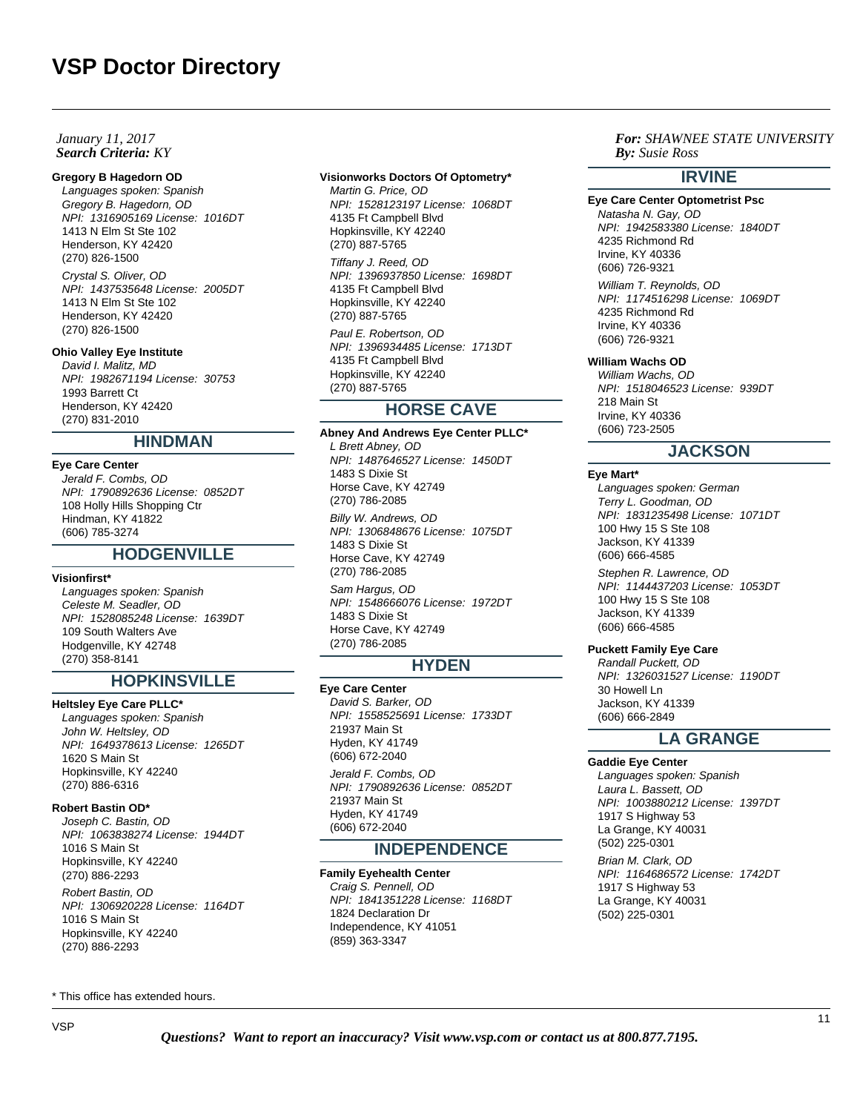## **Search Criteria:** KY *By:* **By:** *By: By: By: By: By: By: By: By: By: By: By: By: By: By: By: By: By: By: By: By: By: By: By: January 11, 2017*

#### **Gregory B Hagedorn OD**

Languages spoken: Spanish Gregory B. Hagedorn, OD NPI: 1316905169 License: 1016DT 1413 N Elm St Ste 102 Henderson, KY 42420 (270) 826-1500

Crystal S. Oliver, OD NPI: 1437535648 License: 2005DT 1413 N Elm St Ste 102 Henderson, KY 42420 (270) 826-1500

### **Ohio Valley Eye Institute**

David I. Malitz, MD NPI: 1982671194 License: 30753 1993 Barrett Ct Henderson, KY 42420 (270) 831-2010

# **HINDMAN**

**Eye Care Center** Jerald F. Combs, OD NPI: 1790892636 License: 0852DT 108 Holly Hills Shopping Ctr Hindman, KY 41822 (606) 785-3274

#### **HODGENVILLE**

#### **Visionfirst\***

Languages spoken: Spanish Celeste M. Seadler, OD NPI: 1528085248 License: 1639DT 109 South Walters Ave Hodgenville, KY 42748 (270) 358-8141

# **HOPKINSVILLE**

**Heltsley Eye Care PLLC\*** Languages spoken: Spanish John W. Heltsley, OD NPI: 1649378613 License: 1265DT 1620 S Main St Hopkinsville, KY 42240 (270) 886-6316

#### **Robert Bastin OD\***

Joseph C. Bastin, OD NPI: 1063838274 License: 1944DT 1016 S Main St Hopkinsville, KY 42240 (270) 886-2293

Robert Bastin, OD NPI: 1306920228 License: 1164DT 1016 S Main St Hopkinsville, KY 42240 (270) 886-2293

#### \* This office has extended hours.

# **Visionworks Doctors Of Optometry\***

Martin G. Price, OD NPI: 1528123197 License: 1068DT 4135 Ft Campbell Blvd Hopkinsville, KY 42240 (270) 887-5765 Tiffany J. Reed, OD NPI: 1396937850 License: 1698DT

4135 Ft Campbell Blvd Hopkinsville, KY 42240 (270) 887-5765

Paul E. Robertson, OD NPI: 1396934485 License: 1713DT 4135 Ft Campbell Blvd Hopkinsville, KY 42240 (270) 887-5765

# **HORSE CAVE**

**Abney And Andrews Eye Center PLLC\*** L Brett Abney, OD NPI: 1487646527 License: 1450DT 1483 S Dixie St Horse Cave, KY 42749 (270) 786-2085 Billy W. Andrews, OD NPI: 1306848676 License: 1075DT 1483 S Dixie St Horse Cave, KY 42749 (270) 786-2085 Sam Hargus, OD NPI: 1548666076 License: 1972DT 1483 S Dixie St Horse Cave, KY 42749 (270) 786-2085

# **HYDEN**

# **Eye Care Center**

David S. Barker, OD NPI: 1558525691 License: 1733DT 21937 Main St Hyden, KY 41749 (606) 672-2040

Jerald F. Combs, OD NPI: 1790892636 License: 0852DT 21937 Main St Hyden, KY 41749 (606) 672-2040

# **INDEPENDENCE**

#### **Family Eyehealth Center**

Craig S. Pennell, OD NPI: 1841351228 License: 1168DT 1824 Declaration Dr Independence, KY 41051 (859) 363-3347

# *For: SHAWNEE STATE UNIVERSITY Susie Ross*

# **IRVINE**

**Eye Care Center Optometrist Psc** Natasha N. Gay, OD NPI: 1942583380 License: 1840DT 4235 Richmond Rd Irvine, KY 40336 (606) 726-9321 William T. Reynolds, OD NPI: 1174516298 License: 1069DT

4235 Richmond Rd Irvine, KY 40336 (606) 726-9321

# **William Wachs OD**

William Wachs, OD NPI: 1518046523 License: 939DT 218 Main St Irvine, KY 40336 (606) 723-2505

# **JACKSON**

#### **Eye Mart\***

Languages spoken: German Terry L. Goodman, OD NPI: 1831235498 License: 1071DT 100 Hwy 15 S Ste 108 Jackson, KY 41339 (606) 666-4585

Stephen R. Lawrence, OD NPI: 1144437203 License: 1053DT 100 Hwy 15 S Ste 108 Jackson, KY 41339 (606) 666-4585

# **Puckett Family Eye Care**

Randall Puckett, OD NPI: 1326031527 License: 1190DT 30 Howell In Jackson, KY 41339 (606) 666-2849

# **LA GRANGE**

**Gaddie Eye Center** Languages spoken: Spanish Laura L. Bassett, OD NPI: 1003880212 License: 1397DT 1917 S Highway 53 La Grange, KY 40031 (502) 225-0301 Brian M. Clark, OD NPI: 1164686572 License: 1742DT 1917 S Highway 53 La Grange, KY 40031 (502) 225-0301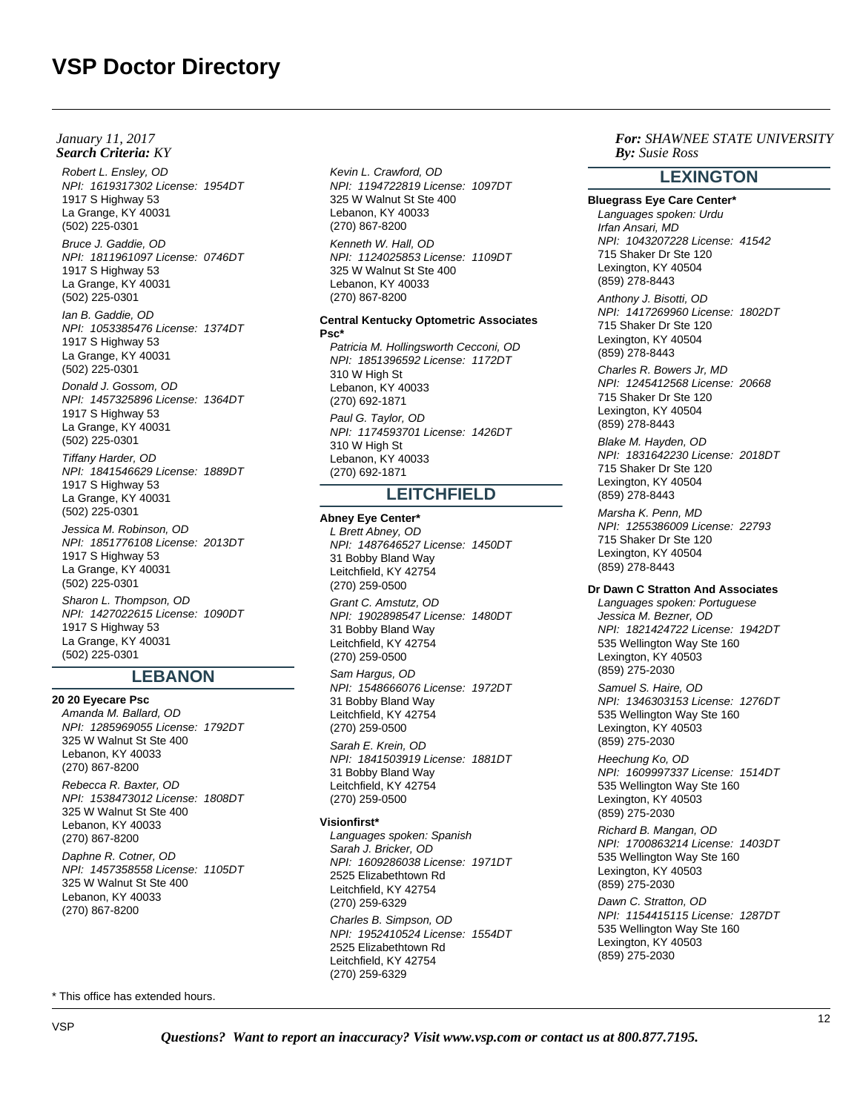*January 11, 2017*

Robert L. Ensley, OD NPI: 1619317302 License: 1954DT 1917 S Highway 53 La Grange, KY 40031 (502) 225-0301

Bruce J. Gaddie, OD NPI: 1811961097 License: 0746DT 1917 S Highway 53 La Grange, KY 40031 (502) 225-0301

Ian B. Gaddie, OD NPI: 1053385476 License: 1374DT 1917 S Highway 53 La Grange, KY 40031 (502) 225-0301

Donald J. Gossom, OD NPI: 1457325896 License: 1364DT 1917 S Highway 53 La Grange, KY 40031 (502) 225-0301

Tiffany Harder, OD NPI: 1841546629 License: 1889DT 1917 S Highway 53 La Grange, KY 40031 (502) 225-0301

Jessica M. Robinson, OD NPI: 1851776108 License: 2013DT 1917 S Highway 53 La Grange, KY 40031 (502) 225-0301 Sharon L. Thompson, OD

NPI: 1427022615 License: 1090DT 1917 S Highway 53 La Grange, KY 40031 (502) 225-0301

# **LEBANON**

**20 20 Eyecare Psc** Amanda M. Ballard, OD NPI: 1285969055 License: 1792DT 325 W Walnut St Ste 400 Lebanon, KY 40033 (270) 867-8200

Rebecca R. Baxter, OD NPI: 1538473012 License: 1808DT 325 W Walnut St Ste 400 Lebanon, KY 40033 (270) 867-8200

Daphne R. Cotner, OD NPI: 1457358558 License: 1105DT 325 W Walnut St Ste 400 Lebanon, KY 40033 (270) 867-8200

\* This office has extended hours.

Kevin L. Crawford, OD NPI: 1194722819 License: 1097DT 325 W Walnut St Ste 400 Lebanon, KY 40033 (270) 867-8200 Kenneth W. Hall, OD NPI: 1124025853 License: 1109DT 325 W Walnut St Ste 400 Lebanon, KY 40033 (270) 867-8200 **Central Kentucky Optometric Associates Search Criteria:** KY *By:* **By:** *By: By: By: By: By: By: By: By: By: By: By: By: By: By: By: By: By: By: By: By: By: By: By:*

**Psc\*** Patricia M. Hollingsworth Cecconi, OD NPI: 1851396592 License: 1172DT 310 W High St Lebanon, KY 40033 (270) 692-1871 Paul G. Taylor, OD NPI: 1174593701 License: 1426DT 310 W High St Lebanon, KY 40033 (270) 692-1871

# **LEITCHFIELD**

**Abney Eye Center\*** L Brett Abney, OD NPI: 1487646527 License: 1450DT 31 Bobby Bland Way Leitchfield, KY 42754 (270) 259-0500

Grant C. Amstutz, OD NPI: 1902898547 License: 1480DT 31 Bobby Bland Way Leitchfield, KY 42754 (270) 259-0500

Sam Hargus, OD NPI: 1548666076 License: 1972DT 31 Bobby Bland Way Leitchfield, KY 42754 (270) 259-0500

Sarah E. Krein, OD NPI: 1841503919 License: 1881DT 31 Bobby Bland Way Leitchfield, KY 42754 (270) 259-0500

## **Visionfirst\***

Languages spoken: Spanish Sarah J. Bricker, OD NPI: 1609286038 License: 1971DT 2525 Elizabethtown Rd Leitchfield, KY 42754 (270) 259-6329

Charles B. Simpson, OD NPI: 1952410524 License: 1554DT 2525 Elizabethtown Rd Leitchfield, KY 42754 (270) 259-6329

*For: SHAWNEE STATE UNIVERSITY Susie Ross*

# **LEXINGTON**

**Bluegrass Eye Care Center\*** Languages spoken: Urdu Irfan Ansari, MD NPI: 1043207228 License: 41542 715 Shaker Dr Ste 120 Lexington, KY 40504 (859) 278-8443 Anthony J. Bisotti, OD NPI: 1417269960 License: 1802DT 715 Shaker Dr Ste 120 Lexington, KY 40504 (859) 278-8443 Charles R. Bowers Jr, MD NPI: 1245412568 License: 20668 715 Shaker Dr Ste 120 Lexington, KY 40504 (859) 278-8443 Blake M. Hayden, OD NPI: 1831642230 License: 2018DT

715 Shaker Dr Ste 120 Lexington, KY 40504 (859) 278-8443 Marsha K. Penn, MD

NPI: 1255386009 License: 22793 715 Shaker Dr Ste 120 Lexington, KY 40504 (859) 278-8443

# **Dr Dawn C Stratton And Associates**

Languages spoken: Portuguese Jessica M. Bezner, OD NPI: 1821424722 License: 1942DT 535 Wellington Way Ste 160 Lexington, KY 40503 (859) 275-2030

Samuel S. Haire, OD NPI: 1346303153 License: 1276DT 535 Wellington Way Ste 160 Lexington, KY 40503 (859) 275-2030

Heechung Ko, OD NPI: 1609997337 License: 1514DT 535 Wellington Way Ste 160 Lexington, KY 40503 (859) 275-2030

Richard B. Mangan, OD NPI: 1700863214 License: 1403DT 535 Wellington Way Ste 160 Lexington, KY 40503 (859) 275-2030

Dawn C. Stratton, OD NPI: 1154415115 License: 1287DT 535 Wellington Way Ste 160 Lexington, KY 40503 (859) 275-2030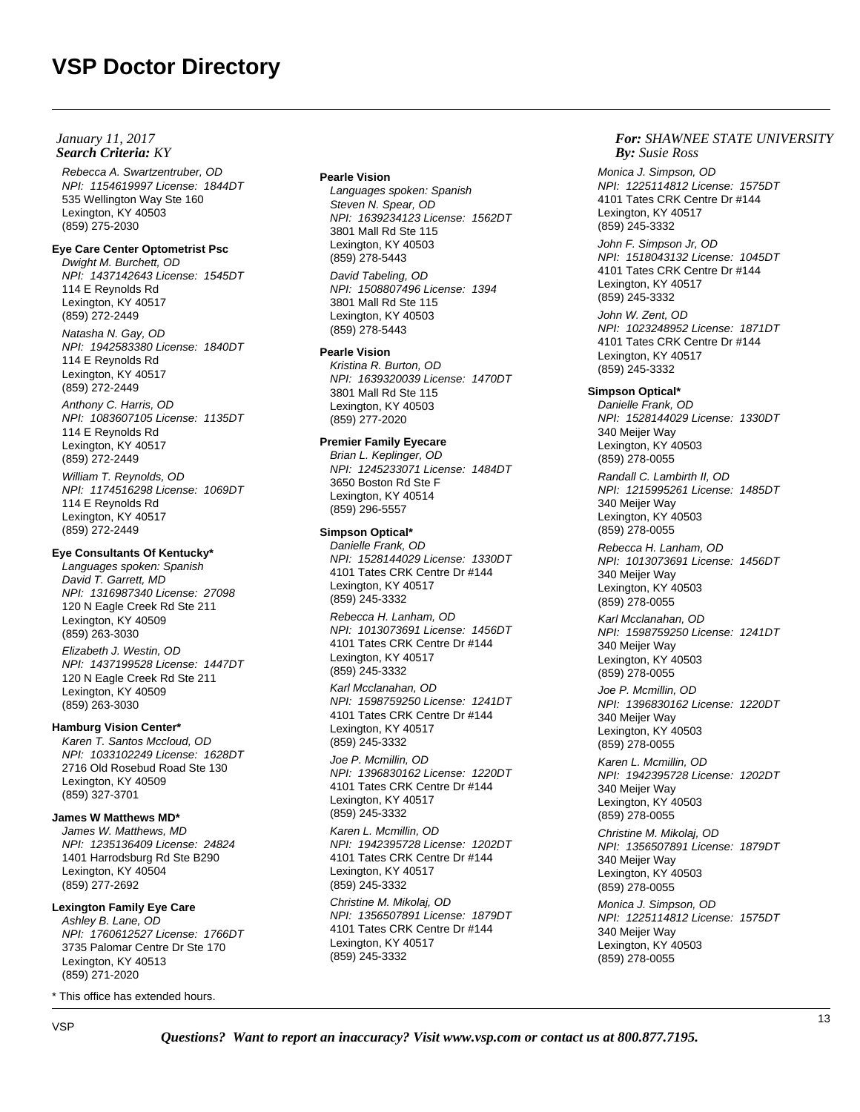## **Search Criteria:** KY *By:* **By:** *By: By: By: By: By: By: By: By: By: By: By: By: By: By: By: By: By: By: By: By: By: By: By: January 11, 2017*

Rebecca A. Swartzentruber, OD NPI: 1154619997 License: 1844DT 535 Wellington Way Ste 160 Lexington, KY 40503 (859) 275-2030

# **Eye Care Center Optometrist Psc**

Dwight M. Burchett, OD NPI: 1437142643 License: 1545DT 114 E Reynolds Rd Lexington, KY 40517 (859) 272-2449

Natasha N. Gay, OD NPI: 1942583380 License: 1840DT 114 E Reynolds Rd Lexington, KY 40517 (859) 272-2449

Anthony C. Harris, OD NPI: 1083607105 License: 1135DT 114 E Reynolds Rd Lexington, KY 40517 (859) 272-2449 William T. Reynolds, OD NPI: 1174516298 License: 1069DT 114 E Reynolds Rd Lexington, KY 40517 (859) 272-2449

#### **Eye Consultants Of Kentucky\***

Languages spoken: Spanish David T. Garrett, MD NPI: 1316987340 License: 27098 120 N Eagle Creek Rd Ste 211 Lexington, KY 40509 (859) 263-3030 Elizabeth J. Westin, OD NPI: 1437199528 License: 1447DT 120 N Eagle Creek Rd Ste 211 Lexington, KY 40509 (859) 263-3030

#### **Hamburg Vision Center\***

Karen T. Santos Mccloud, OD NPI: 1033102249 License: 1628DT 2716 Old Rosebud Road Ste 130 Lexington, KY 40509 (859) 327-3701

#### **James W Matthews MD\***

James W. Matthews, MD NPI: 1235136409 License: 24824 1401 Harrodsburg Rd Ste B290 Lexington, KY 40504 (859) 277-2692

#### **Lexington Family Eye Care**

Ashley B. Lane, OD NPI: 1760612527 License: 1766DT 3735 Palomar Centre Dr Ste 170 Lexington, KY 40513 (859) 271-2020

\* This office has extended hours.

#### **Pearle Vision**

Languages spoken: Spanish Steven N. Spear, OD NPI: 1639234123 License: 1562DT 3801 Mall Rd Ste 115 Lexington, KY 40503 (859) 278-5443

David Tabeling, OD NPI: 1508807496 License: 1394 3801 Mall Rd Ste 115 Lexington, KY 40503 (859) 278-5443

#### **Pearle Vision**

Kristina R. Burton, OD NPI: 1639320039 License: 1470DT 3801 Mall Rd Ste 115 Lexington, KY 40503 (859) 277-2020

## **Premier Family Eyecare**

Brian L. Keplinger, OD NPI: 1245233071 License: 1484DT 3650 Boston Rd Ste F Lexington, KY 40514 (859) 296-5557

## **Simpson Optical\***

Danielle Frank, OD NPI: 1528144029 License: 1330DT 4101 Tates CRK Centre Dr #144 Lexington, KY 40517 (859) 245-3332

Rebecca H. Lanham, OD NPI: 1013073691 License: 1456DT 4101 Tates CRK Centre Dr #144 Lexington, KY 40517 (859) 245-3332

Karl Mcclanahan, OD NPI: 1598759250 License: 1241DT 4101 Tates CRK Centre Dr #144 Lexington, KY 40517 (859) 245-3332

Joe P. Mcmillin, OD NPI: 1396830162 License: 1220DT 4101 Tates CRK Centre Dr #144 Lexington, KY 40517 (859) 245-3332

Karen L. Mcmillin, OD NPI: 1942395728 License: 1202DT 4101 Tates CRK Centre Dr #144 Lexington, KY 40517 (859) 245-3332

Christine M. Mikolaj, OD NPI: 1356507891 License: 1879DT 4101 Tates CRK Centre Dr #144 Lexington, KY 40517 (859) 245-3332

## *For: SHAWNEE STATE UNIVERSITY Susie Ross*

Monica J. Simpson, OD NPI: 1225114812 License: 1575DT 4101 Tates CRK Centre Dr #144 Lexington, KY 40517 (859) 245-3332

John F. Simpson Jr, OD NPI: 1518043132 License: 1045DT 4101 Tates CRK Centre Dr #144 Lexington, KY 40517 (859) 245-3332

John W. Zent, OD NPI: 1023248952 License: 1871DT 4101 Tates CRK Centre Dr #144 Lexington, KY 40517 (859) 245-3332

## **Simpson Optical\***

Danielle Frank, OD NPI: 1528144029 License: 1330DT 340 Meijer Way Lexington, KY 40503 (859) 278-0055

Randall C. Lambirth II, OD NPI: 1215995261 License: 1485DT 340 Meijer Way Lexington, KY 40503 (859) 278-0055

Rebecca H. Lanham, OD NPI: 1013073691 License: 1456DT 340 Meijer Way Lexington, KY 40503 (859) 278-0055

Karl Mcclanahan, OD NPI: 1598759250 License: 1241DT 340 Meijer Way Lexington, KY 40503 (859) 278-0055

Joe P. Mcmillin, OD NPI: 1396830162 License: 1220DT 340 Meijer Way Lexington, KY 40503 (859) 278-0055

Karen L. Mcmillin, OD NPI: 1942395728 License: 1202DT 340 Meijer Way Lexington, KY 40503 (859) 278-0055

Christine M. Mikolaj, OD NPI: 1356507891 License: 1879DT 340 Meijer Way Lexington, KY 40503 (859) 278-0055

Monica J. Simpson, OD NPI: 1225114812 License: 1575DT 340 Meijer Way Lexington, KY 40503 (859) 278-0055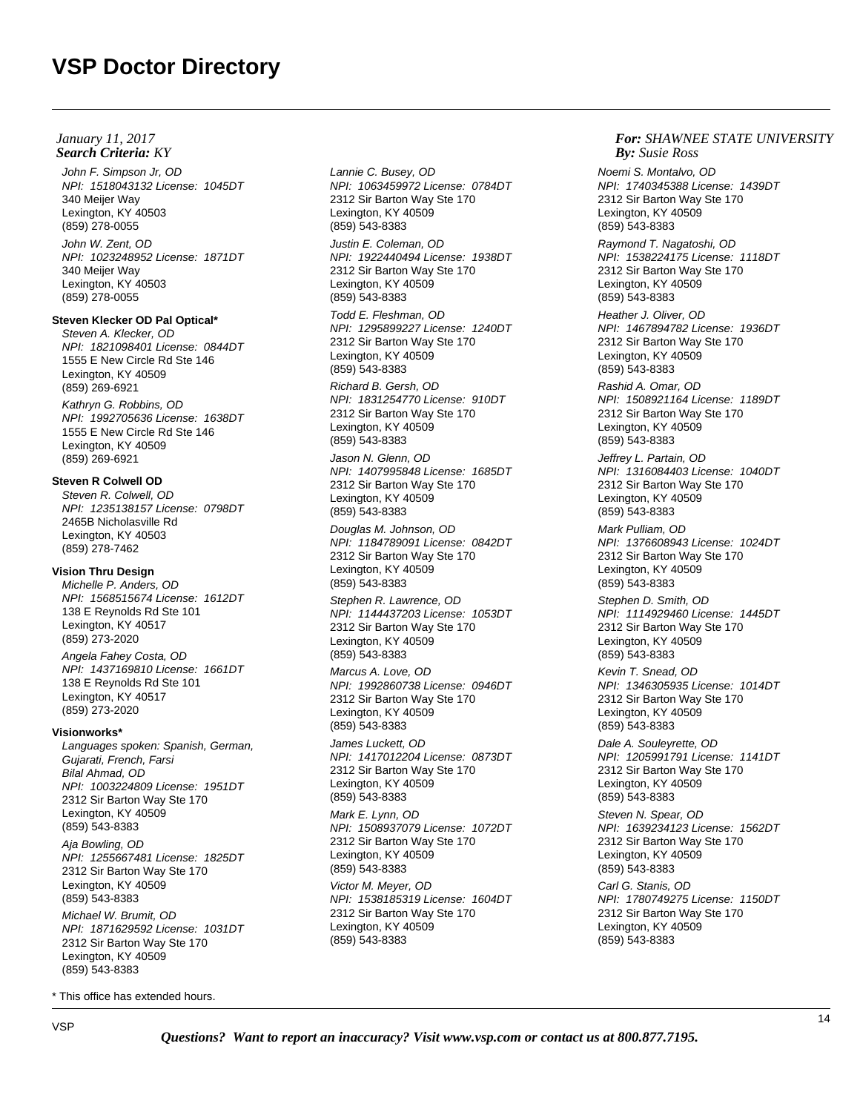John F. Simpson Jr, OD NPI: 1518043132 License: 1045DT 340 Meijer Way Lexington, KY 40503 (859) 278-0055 John W. Zent, OD

NPI: 1023248952 License: 1871DT 340 Meijer Way Lexington, KY 40503 (859) 278-0055

# **Steven Klecker OD Pal Optical\***

Steven A. Klecker, OD NPI: 1821098401 License: 0844DT 1555 E New Circle Rd Ste 146 Lexington, KY 40509 (859) 269-6921

Kathryn G. Robbins, OD NPI: 1992705636 License: 1638DT 1555 E New Circle Rd Ste 146 Lexington, KY 40509 (859) 269-6921

# **Steven R Colwell OD**

Steven R. Colwell, OD NPI: 1235138157 License: 0798DT 2465B Nicholasville Rd Lexington, KY 40503 (859) 278-7462

# **Vision Thru Design**

Michelle P. Anders, OD NPI: 1568515674 License: 1612DT 138 E Reynolds Rd Ste 101 Lexington, KY 40517 (859) 273-2020

Angela Fahey Costa, OD NPI: 1437169810 License: 1661DT 138 E Reynolds Rd Ste 101 Lexington, KY 40517 (859) 273-2020

## **Visionworks\***

Languages spoken: Spanish, German, Gujarati, French, Farsi Bilal Ahmad, OD NPI: 1003224809 License: 1951DT 2312 Sir Barton Way Ste 170 Lexington, KY 40509 (859) 543-8383

Aja Bowling, OD NPI: 1255667481 License: 1825DT 2312 Sir Barton Way Ste 170 Lexington, KY 40509 (859) 543-8383

Michael W. Brumit, OD NPI: 1871629592 License: 1031DT 2312 Sir Barton Way Ste 170 Lexington, KY 40509 (859) 543-8383

\* This office has extended hours.

Lannie C. Busey, OD NPI: 1063459972 License: 0784DT 2312 Sir Barton Way Ste 170 Lexington, KY 40509 (859) 543-8383

Justin E. Coleman, OD NPI: 1922440494 License: 1938DT 2312 Sir Barton Way Ste 170 Lexington, KY 40509 (859) 543-8383

Todd E. Fleshman, OD NPI: 1295899227 License: 1240DT 2312 Sir Barton Way Ste 170 Lexington, KY 40509 (859) 543-8383

Richard B. Gersh, OD NPI: 1831254770 License: 910DT 2312 Sir Barton Way Ste 170 Lexington, KY 40509 (859) 543-8383

Jason N. Glenn, OD NPI: 1407995848 License: 1685DT 2312 Sir Barton Way Ste 170 Lexington, KY 40509 (859) 543-8383

Douglas M. Johnson, OD NPI: 1184789091 License: 0842DT 2312 Sir Barton Way Ste 170 Lexington, KY 40509 (859) 543-8383

Stephen R. Lawrence, OD NPI: 1144437203 License: 1053DT 2312 Sir Barton Way Ste 170 Lexington, KY 40509 (859) 543-8383

Marcus A. Love, OD NPI: 1992860738 License: 0946DT 2312 Sir Barton Way Ste 170 Lexington, KY 40509 (859) 543-8383

James Luckett, OD NPI: 1417012204 License: 0873DT 2312 Sir Barton Way Ste 170 Lexington, KY 40509 (859) 543-8383

Mark E. Lynn, OD NPI: 1508937079 License: 1072DT 2312 Sir Barton Way Ste 170 Lexington, KY 40509 (859) 543-8383 Victor M. Meyer, OD NPI: 1538185319 License: 1604DT 2312 Sir Barton Way Ste 170 Lexington, KY 40509 (859) 543-8383

## *For: SHAWNEE STATE UNIVERSITY Susie Ross*

Noemi S. Montalvo, OD NPI: 1740345388 License: 1439DT 2312 Sir Barton Way Ste 170 Lexington, KY 40509 (859) 543-8383

Raymond T. Nagatoshi, OD NPI: 1538224175 License: 1118DT 2312 Sir Barton Way Ste 170 Lexington, KY 40509 (859) 543-8383

Heather J. Oliver, OD NPI: 1467894782 License: 1936DT 2312 Sir Barton Way Ste 170 Lexington, KY 40509 (859) 543-8383

Rashid A. Omar, OD NPI: 1508921164 License: 1189DT 2312 Sir Barton Way Ste 170 Lexington, KY 40509 (859) 543-8383

Jeffrey L. Partain, OD NPI: 1316084403 License: 1040DT 2312 Sir Barton Way Ste 170 Lexington, KY 40509 (859) 543-8383

Mark Pulliam, OD NPI: 1376608943 License: 1024DT 2312 Sir Barton Way Ste 170 Lexington, KY 40509 (859) 543-8383

Stephen D. Smith, OD NPI: 1114929460 License: 1445DT 2312 Sir Barton Way Ste 170 Lexington, KY 40509 (859) 543-8383

Kevin T. Snead, OD NPI: 1346305935 License: 1014DT 2312 Sir Barton Way Ste 170 Lexington, KY 40509 (859) 543-8383

Dale A. Souleyrette, OD NPI: 1205991791 License: 1141DT 2312 Sir Barton Way Ste 170 Lexington, KY 40509 (859) 543-8383

Steven N. Spear, OD NPI: 1639234123 License: 1562DT 2312 Sir Barton Way Ste 170 Lexington, KY 40509 (859) 543-8383 Carl G. Stanis, OD NPI: 1780749275 License: 1150DT 2312 Sir Barton Way Ste 170 Lexington, KY 40509

(859) 543-8383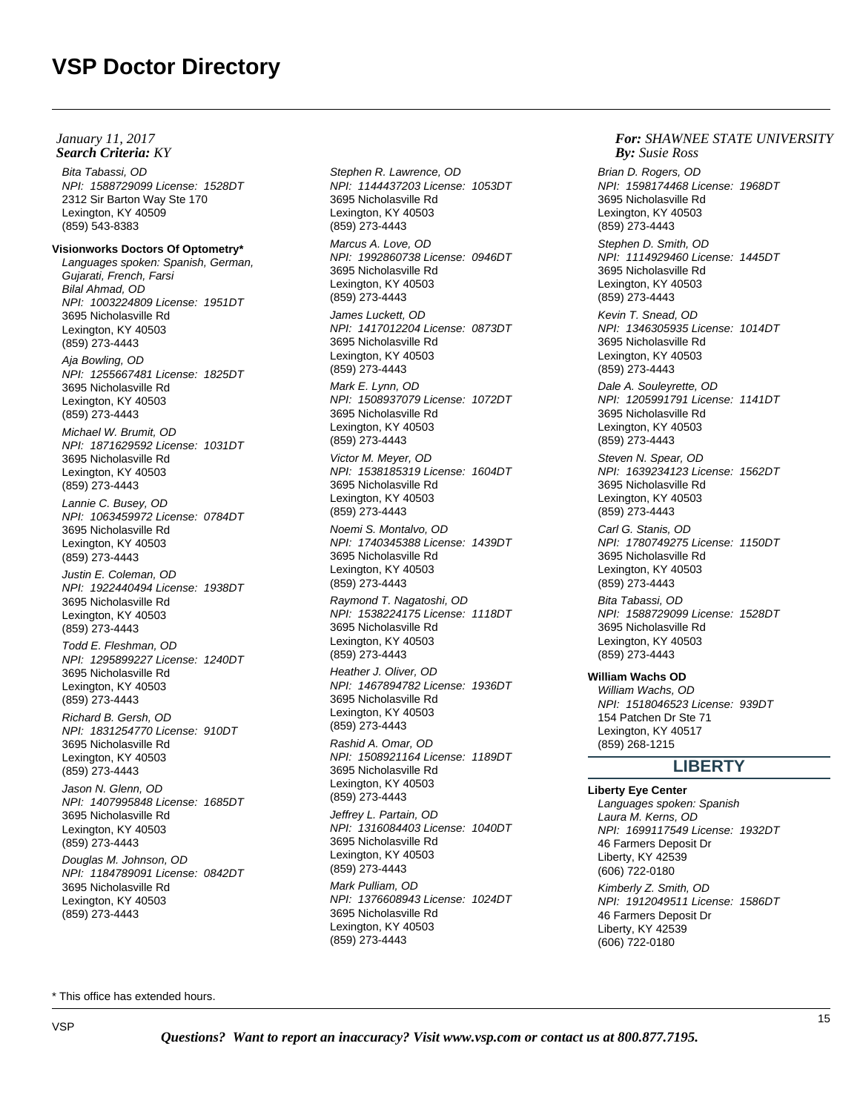Bita Tabassi, OD NPI: 1588729099 License: 1528DT 2312 Sir Barton Way Ste 170 Lexington, KY 40509 (859) 543-8383 **Visionworks Doctors Of Optometry\*** Languages spoken: Spanish, German, Gujarati, French, Farsi Bilal Ahmad, OD NPI: 1003224809 License: 1951DT 3695 Nicholasville Rd Lexington, KY 40503 (859) 273-4443 Aja Bowling, OD NPI: 1255667481 License: 1825DT 3695 Nicholasville Rd Lexington, KY 40503 (859) 273-4443 Michael W. Brumit, OD NPI: 1871629592 License: 1031DT 3695 Nicholasville Rd Lexington, KY 40503 (859) 273-4443 Lannie C. Busey, OD NPI: 1063459972 License: 0784DT 3695 Nicholasville Rd Lexington, KY 40503 (859) 273-4443 Justin E. Coleman, OD NPI: 1922440494 License: 1938DT 3695 Nicholasville Rd Lexington, KY 40503 (859) 273-4443 Todd E. Fleshman, OD NPI: 1295899227 License: 1240DT 3695 Nicholasville Rd Lexington, KY 40503 (859) 273-4443 Richard B. Gersh, OD NPI: 1831254770 License: 910DT 3695 Nicholasville Rd Lexington, KY 40503 (859) 273-4443 Jason N. Glenn, OD NPI: 1407995848 License: 1685DT 3695 Nicholasville Rd Lexington, KY 40503 (859) 273-4443 Douglas M. Johnson, OD NPI: 1184789091 License: 0842DT 3695 Nicholasville Rd Lexington, KY 40503 (859) 273-4443 **Search Criteria:** KY *By:* **By:** *By: By: By: By: By: By: By: By: By: By: By: By: By: By: By: By: By: By: By: By: By: By: By: January 11, 2017*

Stephen R. Lawrence, OD NPI: 1144437203 License: 1053DT 3695 Nicholasville Rd Lexington, KY 40503 (859) 273-4443 Marcus A. Love, OD NPI: 1992860738 License: 0946DT 3695 Nicholasville Rd Lexington, KY 40503 (859) 273-4443 James Luckett, OD NPI: 1417012204 License: 0873DT 3695 Nicholasville Rd Lexington, KY 40503 (859) 273-4443 Mark E. Lynn, OD NPI: 1508937079 License: 1072DT 3695 Nicholasville Rd Lexington, KY 40503 (859) 273-4443 Victor M. Meyer, OD NPI: 1538185319 License: 1604DT 3695 Nicholasville Rd Lexington, KY 40503 (859) 273-4443 Noemi S. Montalvo, OD NPI: 1740345388 License: 1439DT 3695 Nicholasville Rd Lexington, KY 40503 (859) 273-4443 Raymond T. Nagatoshi, OD NPI: 1538224175 License: 1118DT 3695 Nicholasville Rd Lexington, KY 40503 (859) 273-4443 Heather J. Oliver, OD NPI: 1467894782 License: 1936DT 3695 Nicholasville Rd Lexington, KY 40503 (859) 273-4443 Rashid A. Omar, OD NPI: 1508921164 License: 1189DT 3695 Nicholasville Rd Lexington, KY 40503 (859) 273-4443 Jeffrey L. Partain, OD NPI: 1316084403 License: 1040DT 3695 Nicholasville Rd Lexington, KY 40503 (859) 273-4443 Mark Pulliam, OD NPI: 1376608943 License: 1024DT 3695 Nicholasville Rd Lexington, KY 40503 (859) 273-4443

### *For: SHAWNEE STATE UNIVERSITY Susie Ross*

Brian D. Rogers, OD NPI: 1598174468 License: 1968DT 3695 Nicholasville Rd Lexington, KY 40503 (859) 273-4443 Stephen D. Smith, OD NPI: 1114929460 License: 1445DT 3695 Nicholasville Rd Lexington, KY 40503 (859) 273-4443 Kevin T. Snead, OD NPI: 1346305935 License: 1014DT 3695 Nicholasville Rd Lexington, KY 40503 (859) 273-4443 Dale A. Souleyrette, OD NPI: 1205991791 License: 1141DT 3695 Nicholasville Rd Lexington, KY 40503 (859) 273-4443 Steven N. Spear, OD NPI: 1639234123 License: 1562DT 3695 Nicholasville Rd Lexington, KY 40503 (859) 273-4443 Carl G. Stanis, OD NPI: 1780749275 License: 1150DT 3695 Nicholasville Rd Lexington, KY 40503 (859) 273-4443 Bita Tabassi, OD NPI: 1588729099 License: 1528DT 3695 Nicholasville Rd Lexington, KY 40503 (859) 273-4443 **William Wachs OD** William Wachs, OD NPI: 1518046523 License: 939DT 154 Patchen Dr Ste 71 Lexington, KY 40517 (859) 268-1215

# **LIBERTY**

## **Liberty Eye Center**

Languages spoken: Spanish Laura M. Kerns, OD NPI: 1699117549 License: 1932DT 46 Farmers Deposit Dr Liberty, KY 42539 (606) 722-0180 Kimberly Z. Smith, OD NPI: 1912049511 License: 1586DT 46 Farmers Deposit Dr Liberty, KY 42539 (606) 722-0180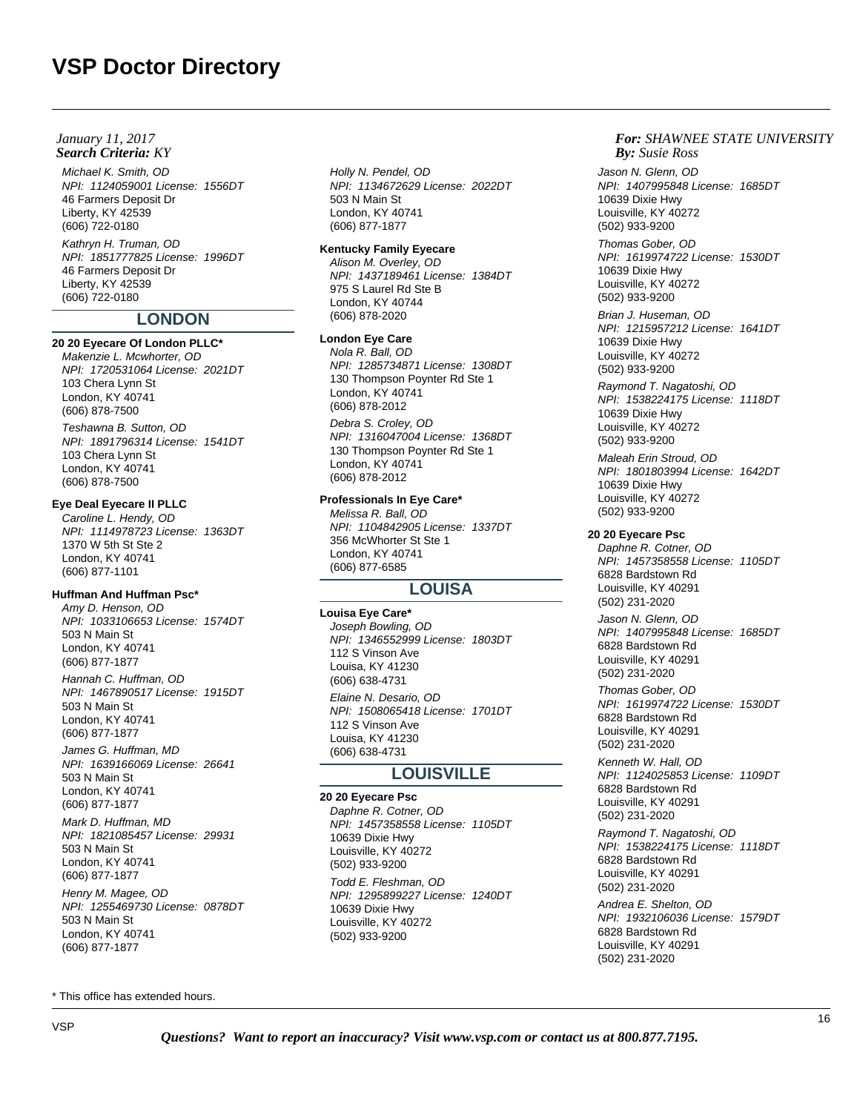## **Search Criteria:** KY *By:* **By:** *By: By: By: By: By: By: By: By: By: By: By: By: By: By: By: By: By: By: By: By: By: By: By: January 11, 2017*

(606) 722-0180

Michael K. Smith, OD NPI: 1124059001 License: 1556DT 46 Farmers Deposit Dr Liberty, KY 42539 (606) 722-0180 Kathryn H. Truman, OD NPI: 1851777825 License: 1996DT 46 Farmers Deposit Dr Liberty, KY 42539

# **LONDON**

#### **20 20 Eyecare Of London PLLC\***

Makenzie L. Mcwhorter, OD NPI: 1720531064 License: 2021DT 103 Chera Lynn St London, KY 40741 (606) 878-7500

Teshawna B. Sutton, OD NPI: 1891796314 License: 1541DT 103 Chera Lynn St London, KY 40741 (606) 878-7500

#### **Eye Deal Eyecare II PLLC**

Caroline L. Hendy, OD NPI: 1114978723 License: 1363DT 1370 W 5th St Ste 2 London, KY 40741 (606) 877-1101

## **Huffman And Huffman Psc\***

Amy D. Henson, OD NPI: 1033106653 License: 1574DT 503 N Main St London, KY 40741 (606) 877-1877

Hannah C. Huffman, OD NPI: 1467890517 License: 1915DT 503 N Main St London, KY 40741 (606) 877-1877

James G. Huffman, MD NPI: 1639166069 License: 26641 503 N Main St London, KY 40741 (606) 877-1877

Mark D. Huffman, MD NPI: 1821085457 License: 29931 503 N Main St London, KY 40741 (606) 877-1877 Henry M. Magee, OD NPI: 1255469730 License: 0878DT

503 N Main St London, KY 40741 (606) 877-1877

\* This office has extended hours.

Holly N. Pendel, OD NPI: 1134672629 License: 2022DT 503 N Main St London, KY 40741 (606) 877-1877

#### **Kentucky Family Eyecare**

Alison M. Overley, OD NPI: 1437189461 License: 1384DT 975 S Laurel Rd Ste B London, KY 40744 (606) 878-2020

## **London Eye Care**

Nola R. Ball, OD NPI: 1285734871 License: 1308DT 130 Thompson Poynter Rd Ste 1 London, KY 40741 (606) 878-2012

Debra S. Croley, OD NPI: 1316047004 License: 1368DT 130 Thompson Poynter Rd Ste 1 London, KY 40741 (606) 878-2012

# **Professionals In Eye Care\***

Melissa R. Ball, OD NPI: 1104842905 License: 1337DT 356 McWhorter St Ste 1 London, KY 40741 (606) 877-6585

# **LOUISA**

**Louisa Eye Care\*** Joseph Bowling, OD NPI: 1346552999 License: 1803DT 112 S Vinson Ave Louisa, KY 41230 (606) 638-4731 Elaine N. Desario, OD NPI: 1508065418 License: 1701DT 112 S Vinson Ave Louisa, KY 41230 (606) 638-4731

# **LOUISVILLE**

**20 20 Eyecare Psc** Daphne R. Cotner, OD NPI: 1457358558 License: 1105DT 10639 Dixie Hwy Louisville, KY 40272 (502) 933-9200 Todd E. Fleshman, OD NPI: 1295899227 License: 1240DT 10639 Dixie Hwy Louisville, KY 40272 (502) 933-9200

## *For: SHAWNEE STATE UNIVERSITY Susie Ross*

Jason N. Glenn, OD NPI: 1407995848 License: 1685DT 10639 Dixie Hwy Louisville, KY 40272 (502) 933-9200

Thomas Gober, OD NPI: 1619974722 License: 1530DT 10639 Dixie Hwy Louisville, KY 40272 (502) 933-9200

Brian J. Huseman, OD NPI: 1215957212 License: 1641DT 10639 Dixie Hwy Louisville, KY 40272 (502) 933-9200

Raymond T. Nagatoshi, OD NPI: 1538224175 License: 1118DT 10639 Dixie Hwy Louisville, KY 40272 (502) 933-9200

Maleah Erin Stroud, OD NPI: 1801803994 License: 1642DT 10639 Dixie Hwy Louisville, KY 40272 (502) 933-9200

#### **20 20 Eyecare Psc**

Daphne R. Cotner, OD NPI: 1457358558 License: 1105DT 6828 Bardstown Rd Louisville, KY 40291 (502) 231-2020

Jason N. Glenn, OD NPI: 1407995848 License: 1685DT 6828 Bardstown Rd Louisville, KY 40291 (502) 231-2020

Thomas Gober, OD NPI: 1619974722 License: 1530DT 6828 Bardstown Rd Louisville, KY 40291 (502) 231-2020

Kenneth W. Hall, OD NPI: 1124025853 License: 1109DT 6828 Bardstown Rd Louisville, KY 40291 (502) 231-2020

Raymond T. Nagatoshi, OD NPI: 1538224175 License: 1118DT 6828 Bardstown Rd Louisville, KY 40291 (502) 231-2020

Andrea E. Shelton, OD NPI: 1932106036 License: 1579DT 6828 Bardstown Rd Louisville, KY 40291 (502) 231-2020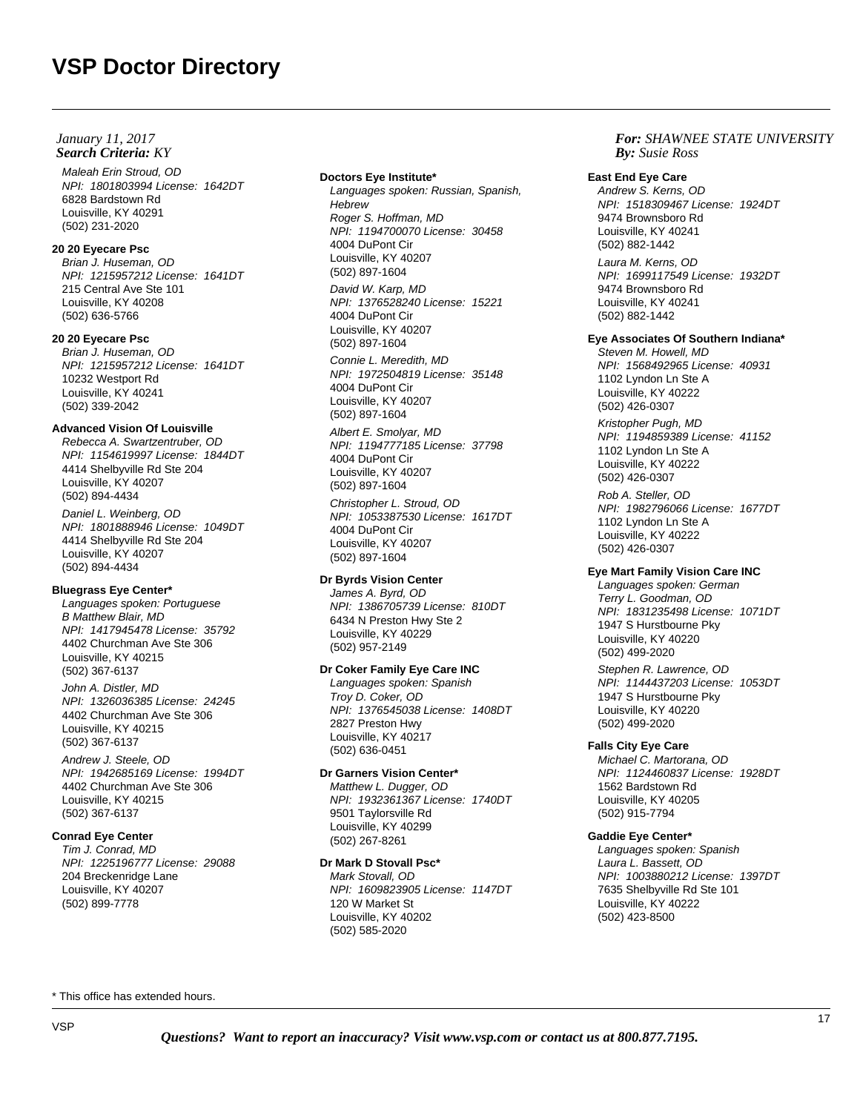Maleah Erin Stroud, OD NPI: 1801803994 License: 1642DT 6828 Bardstown Rd Louisville, KY 40291 (502) 231-2020

# **20 20 Eyecare Psc**

Brian J. Huseman, OD NPI: 1215957212 License: 1641DT 215 Central Ave Ste 101 Louisville, KY 40208 (502) 636-5766

# **20 20 Eyecare Psc**

Brian J. Huseman, OD NPI: 1215957212 License: 1641DT 10232 Westport Rd Louisville, KY 40241 (502) 339-2042

# **Advanced Vision Of Louisville**

Rebecca A. Swartzentruber, OD NPI: 1154619997 License: 1844DT 4414 Shelbyville Rd Ste 204 Louisville, KY 40207 (502) 894-4434 Daniel L. Weinberg, OD NPI: 1801888946 License: 1049DT 4414 Shelbyville Rd Ste 204 Louisville, KY 40207 (502) 894-4434

# **Bluegrass Eye Center\***

Languages spoken: Portuguese B Matthew Blair, MD NPI: 1417945478 License: 35792 4402 Churchman Ave Ste 306 Louisville, KY 40215 (502) 367-6137

# John A. Distler, MD

NPI: 1326036385 License: 24245 4402 Churchman Ave Ste 306 Louisville, KY 40215 (502) 367-6137

Andrew J. Steele, OD NPI: 1942685169 License: 1994DT 4402 Churchman Ave Ste 306 Louisville, KY 40215 (502) 367-6137

# **Conrad Eye Center**

Tim J. Conrad, MD NPI: 1225196777 License: 29088 204 Breckenridge Lane Louisville, KY 40207 (502) 899-7778

#### **Doctors Eye Institute\***

Languages spoken: Russian, Spanish, **Hebrew** Roger S. Hoffman, MD NPI: 1194700070 License: 30458 4004 DuPont Cir Louisville, KY 40207 (502) 897-1604

David W. Karp, MD NPI: 1376528240 License: 15221 4004 DuPont Cir Louisville, KY 40207 (502) 897-1604

Connie L. Meredith, MD NPI: 1972504819 License: 35148 4004 DuPont Cir Louisville, KY 40207 (502) 897-1604

Albert E. Smolyar, MD NPI: 1194777185 License: 37798 4004 DuPont Cir Louisville, KY 40207 (502) 897-1604

Christopher L. Stroud, OD NPI: 1053387530 License: 1617DT 4004 DuPont Cir Louisville, KY 40207 (502) 897-1604

# **Dr Byrds Vision Center**

James A. Byrd, OD NPI: 1386705739 License: 810DT 6434 N Preston Hwy Ste 2 Louisville, KY 40229 (502) 957-2149

# **Dr Coker Family Eye Care INC**

Languages spoken: Spanish Troy D. Coker, OD NPI: 1376545038 License: 1408DT 2827 Preston Hwy Louisville, KY 40217 (502) 636-0451

# **Dr Garners Vision Center\***

Matthew L. Dugger, OD NPI: 1932361367 License: 1740DT 9501 Taylorsville Rd Louisville, KY 40299 (502) 267-8261

## **Dr Mark D Stovall Psc\***

Mark Stovall, OD NPI: 1609823905 License: 1147DT 120 W Market St Louisville, KY 40202 (502) 585-2020

# *For: SHAWNEE STATE UNIVERSITY Susie Ross*

## **East End Eye Care**

Andrew S. Kerns, OD NPI: 1518309467 License: 1924DT 9474 Brownsboro Rd Louisville, KY 40241 (502) 882-1442

Laura M. Kerns, OD NPI: 1699117549 License: 1932DT 9474 Brownsboro Rd Louisville, KY 40241 (502) 882-1442

# **Eye Associates Of Southern Indiana\***

Steven M. Howell, MD NPI: 1568492965 License: 40931 1102 Lyndon Ln Ste A Louisville, KY 40222 (502) 426-0307

Kristopher Pugh, MD NPI: 1194859389 License: 41152 1102 Lyndon Ln Ste A Louisville, KY 40222 (502) 426-0307

Rob A. Steller, OD NPI: 1982796066 License: 1677DT 1102 Lyndon Ln Ste A Louisville, KY 40222 (502) 426-0307

# **Eye Mart Family Vision Care INC**

Languages spoken: German Terry L. Goodman, OD NPI: 1831235498 License: 1071DT 1947 S Hurstbourne Pky Louisville, KY 40220 (502) 499-2020 Stephen R. Lawrence, OD

NPI: 1144437203 License: 1053DT 1947 S Hurstbourne Pky Louisville, KY 40220 (502) 499-2020

# **Falls City Eye Care**

Michael C. Martorana, OD NPI: 1124460837 License: 1928DT 1562 Bardstown Rd Louisville, KY 40205 (502) 915-7794

# **Gaddie Eye Center\***

Languages spoken: Spanish Laura L. Bassett, OD NPI: 1003880212 License: 1397DT 7635 Shelbyville Rd Ste 101 Louisville, KY 40222 (502) 423-8500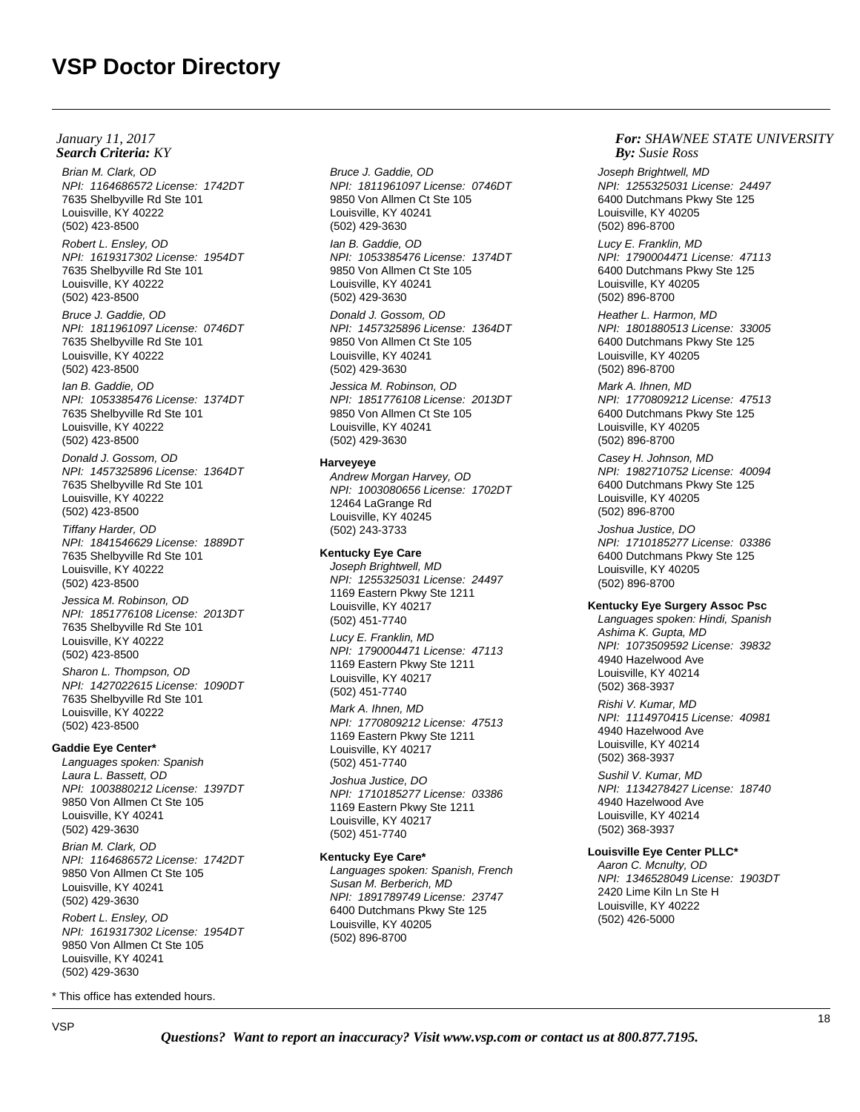## **Search Criteria:** KY *By:* **By:** *By: By: By: By: By: By: By: By: By: By: By: By: By: By: By: By: By: By: By: By: By: By: By: January 11, 2017*

Brian M. Clark, OD NPI: 1164686572 License: 1742DT 7635 Shelbyville Rd Ste 101 Louisville, KY 40222 (502) 423-8500

Robert L. Ensley, OD NPI: 1619317302 License: 1954DT 7635 Shelbyville Rd Ste 101 Louisville, KY 40222 (502) 423-8500

Bruce J. Gaddie, OD NPI: 1811961097 License: 0746DT 7635 Shelbyville Rd Ste 101 Louisville, KY 40222 (502) 423-8500

Ian B. Gaddie, OD NPI: 1053385476 License: 1374DT 7635 Shelbyville Rd Ste 101 Louisville, KY 40222 (502) 423-8500

Donald J. Gossom, OD NPI: 1457325896 License: 1364DT 7635 Shelbyville Rd Ste 101 Louisville, KY 40222 (502) 423-8500

Tiffany Harder, OD NPI: 1841546629 License: 1889DT 7635 Shelbyville Rd Ste 101 Louisville, KY 40222 (502) 423-8500

Jessica M. Robinson, OD NPI: 1851776108 License: 2013DT 7635 Shelbyville Rd Ste 101 Louisville, KY 40222 (502) 423-8500

Sharon L. Thompson, OD NPI: 1427022615 License: 1090DT 7635 Shelbyville Rd Ste 101 Louisville, KY 40222 (502) 423-8500

#### **Gaddie Eye Center\***

Languages spoken: Spanish Laura L. Bassett, OD NPI: 1003880212 License: 1397DT 9850 Von Allmen Ct Ste 105 Louisville, KY 40241 (502) 429-3630

Brian M. Clark, OD NPI: 1164686572 License: 1742DT 9850 Von Allmen Ct Ste 105 Louisville, KY 40241 (502) 429-3630

Robert L. Ensley, OD NPI: 1619317302 License: 1954DT 9850 Von Allmen Ct Ste 105 Louisville, KY 40241 (502) 429-3630

\* This office has extended hours.

Bruce J. Gaddie, OD NPI: 1811961097 License: 0746DT 9850 Von Allmen Ct Ste 105 Louisville, KY 40241 (502) 429-3630

Ian B. Gaddie, OD NPI: 1053385476 License: 1374DT 9850 Von Allmen Ct Ste 105 Louisville, KY 40241 (502) 429-3630

Donald J. Gossom, OD NPI: 1457325896 License: 1364DT 9850 Von Allmen Ct Ste 105 Louisville, KY 40241 (502) 429-3630

Jessica M. Robinson, OD NPI: 1851776108 License: 2013DT 9850 Von Allmen Ct Ste 105 Louisville, KY 40241 (502) 429-3630

### **Harveyeye**

Andrew Morgan Harvey, OD NPI: 1003080656 License: 1702DT 12464 LaGrange Rd Louisville, KY 40245 (502) 243-3733

## **Kentucky Eye Care**

Joseph Brightwell, MD NPI: 1255325031 License: 24497 1169 Eastern Pkwy Ste 1211 Louisville, KY 40217 (502) 451-7740

Lucy E. Franklin, MD NPI: 1790004471 License: 47113 1169 Eastern Pkwy Ste 1211 Louisville, KY 40217 (502) 451-7740

Mark A. Ihnen, MD NPI: 1770809212 License: 47513 1169 Eastern Pkwy Ste 1211 Louisville, KY 40217 (502) 451-7740

Joshua Justice, DO NPI: 1710185277 License: 03386 1169 Eastern Pkwy Ste 1211 Louisville, KY 40217 (502) 451-7740

# **Kentucky Eye Care\***

Languages spoken: Spanish, French Susan M. Berberich, MD NPI: 1891789749 License: 23747 6400 Dutchmans Pkwy Ste 125 Louisville, KY 40205 (502) 896-8700

## *For: SHAWNEE STATE UNIVERSITY Susie Ross*

Joseph Brightwell, MD NPI: 1255325031 License: 24497 6400 Dutchmans Pkwy Ste 125 Louisville, KY 40205 (502) 896-8700

Lucy E. Franklin, MD NPI: 1790004471 License: 47113 6400 Dutchmans Pkwy Ste 125 Louisville, KY 40205 (502) 896-8700

Heather L. Harmon, MD NPI: 1801880513 License: 33005 6400 Dutchmans Pkwy Ste 125 Louisville, KY 40205 (502) 896-8700

Mark A. Ihnen, MD NPI: 1770809212 License: 47513 6400 Dutchmans Pkwy Ste 125 Louisville, KY 40205 (502) 896-8700

Casey H. Johnson, MD NPI: 1982710752 License: 40094 6400 Dutchmans Pkwy Ste 125 Louisville, KY 40205 (502) 896-8700

Joshua Justice, DO NPI: 1710185277 License: 03386 6400 Dutchmans Pkwy Ste 125 Louisville, KY 40205 (502) 896-8700

## **Kentucky Eye Surgery Assoc Psc**

Languages spoken: Hindi, Spanish Ashima K. Gupta, MD NPI: 1073509592 License: 39832 4940 Hazelwood Ave Louisville, KY 40214 (502) 368-3937

Rishi V. Kumar, MD NPI: 1114970415 License: 40981 4940 Hazelwood Ave Louisville, KY 40214 (502) 368-3937

Sushil V. Kumar, MD NPI: 1134278427 License: 18740 4940 Hazelwood Ave Louisville, KY 40214 (502) 368-3937

# **Louisville Eye Center PLLC\***

Aaron C. Mcnulty, OD NPI: 1346528049 License: 1903DT 2420 Lime Kiln Ln Ste H Louisville, KY 40222 (502) 426-5000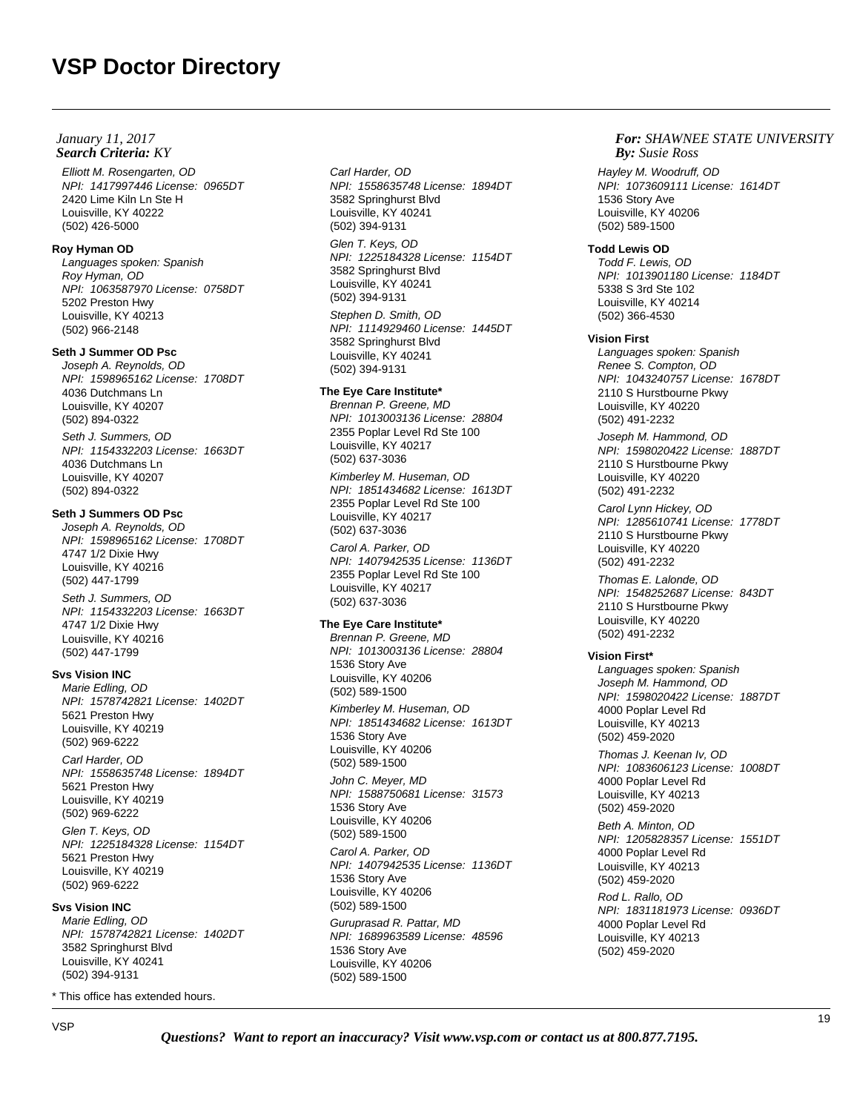Elliott M. Rosengarten, OD NPI: 1417997446 License: 0965DT 2420 Lime Kiln Ln Ste H Louisville, KY 40222 (502) 426-5000

## **Roy Hyman OD**

Languages spoken: Spanish Roy Hyman, OD NPI: 1063587970 License: 0758DT 5202 Preston Hwy Louisville, KY 40213 (502) 966-2148

# **Seth J Summer OD Psc**

Joseph A. Reynolds, OD NPI: 1598965162 License: 1708DT 4036 Dutchmans Ln Louisville, KY 40207 (502) 894-0322 Seth J. Summers, OD

NPI: 1154332203 License: 1663DT 4036 Dutchmans Ln Louisville, KY 40207 (502) 894-0322

# **Seth J Summers OD Psc**

Joseph A. Reynolds, OD NPI: 1598965162 License: 1708DT 4747 1/2 Dixie Hwy Louisville, KY 40216 (502) 447-1799

Seth J. Summers, OD NPI: 1154332203 License: 1663DT 4747 1/2 Dixie Hwy Louisville, KY 40216 (502) 447-1799

# **Svs Vision INC**

Marie Edling, OD NPI: 1578742821 License: 1402DT 5621 Preston Hwy Louisville, KY 40219 (502) 969-6222 Carl Harder, OD NPI: 1558635748 License: 1894DT 5621 Preston Hwy Louisville, KY 40219 (502) 969-6222

Glen T. Keys, OD NPI: 1225184328 License: 1154DT 5621 Preston Hwy Louisville, KY 40219 (502) 969-6222

# **Svs Vision INC**

Marie Edling, OD NPI: 1578742821 License: 1402DT 3582 Springhurst Blvd Louisville, KY 40241 (502) 394-9131

\* This office has extended hours.

Carl Harder, OD NPI: 1558635748 License: 1894DT 3582 Springhurst Blvd Louisville, KY 40241 (502) 394-9131

Glen T. Keys, OD NPI: 1225184328 License: 1154DT 3582 Springhurst Blvd Louisville, KY 40241 (502) 394-9131 Stephen D. Smith, OD

NPI: 1114929460 License: 1445DT 3582 Springhurst Blvd Louisville, KY 40241 (502) 394-9131

# **The Eye Care Institute\***

Brennan P. Greene, MD NPI: 1013003136 License: 28804 2355 Poplar Level Rd Ste 100 Louisville, KY 40217 (502) 637-3036

Kimberley M. Huseman, OD NPI: 1851434682 License: 1613DT 2355 Poplar Level Rd Ste 100 Louisville, KY 40217 (502) 637-3036

Carol A. Parker, OD NPI: 1407942535 License: 1136DT 2355 Poplar Level Rd Ste 100 Louisville, KY 40217 (502) 637-3036

# **The Eye Care Institute\***

Brennan P. Greene, MD NPI: 1013003136 License: 28804 1536 Story Ave Louisville, KY 40206 (502) 589-1500 Kimberley M. Huseman, OD NPI: 1851434682 License: 1613DT 1536 Story Ave Louisville, KY 40206 (502) 589-1500

John C. Meyer, MD NPI: 1588750681 License: 31573 1536 Story Ave Louisville, KY 40206 (502) 589-1500

Carol A. Parker, OD NPI: 1407942535 License: 1136DT 1536 Story Ave Louisville, KY 40206 (502) 589-1500

Guruprasad R. Pattar, MD NPI: 1689963589 License: 48596 1536 Story Ave Louisville, KY 40206 (502) 589-1500

## *For: SHAWNEE STATE UNIVERSITY Susie Ross*

Hayley M. Woodruff, OD NPI: 1073609111 License: 1614DT 1536 Story Ave Louisville, KY 40206 (502) 589-1500

# **Todd Lewis OD**

Todd F. Lewis, OD NPI: 1013901180 License: 1184DT 5338 S 3rd Ste 102 Louisville, KY 40214 (502) 366-4530

# **Vision First**

Languages spoken: Spanish Renee S. Compton, OD NPI: 1043240757 License: 1678DT 2110 S Hurstbourne Pkwy Louisville, KY 40220 (502) 491-2232

Joseph M. Hammond, OD NPI: 1598020422 License: 1887DT 2110 S Hurstbourne Pkwy Louisville, KY 40220 (502) 491-2232

Carol Lynn Hickey, OD NPI: 1285610741 License: 1778DT 2110 S Hurstbourne Pkwy Louisville, KY 40220 (502) 491-2232

Thomas E. Lalonde, OD NPI: 1548252687 License: 843DT 2110 S Hurstbourne Pkwy Louisville, KY 40220 (502) 491-2232

# **Vision First\***

Languages spoken: Spanish Joseph M. Hammond, OD NPI: 1598020422 License: 1887DT 4000 Poplar Level Rd Louisville, KY 40213 (502) 459-2020 Thomas J. Keenan Iv, OD NPI: 1083606123 License: 1008DT 4000 Poplar Level Rd Louisville, KY 40213 (502) 459-2020 Beth A. Minton, OD NPI: 1205828357 License: 1551DT 4000 Poplar Level Rd Louisville, KY 40213 (502) 459-2020 Rod L. Rallo, OD

NPI: 1831181973 License: 0936DT 4000 Poplar Level Rd Louisville, KY 40213 (502) 459-2020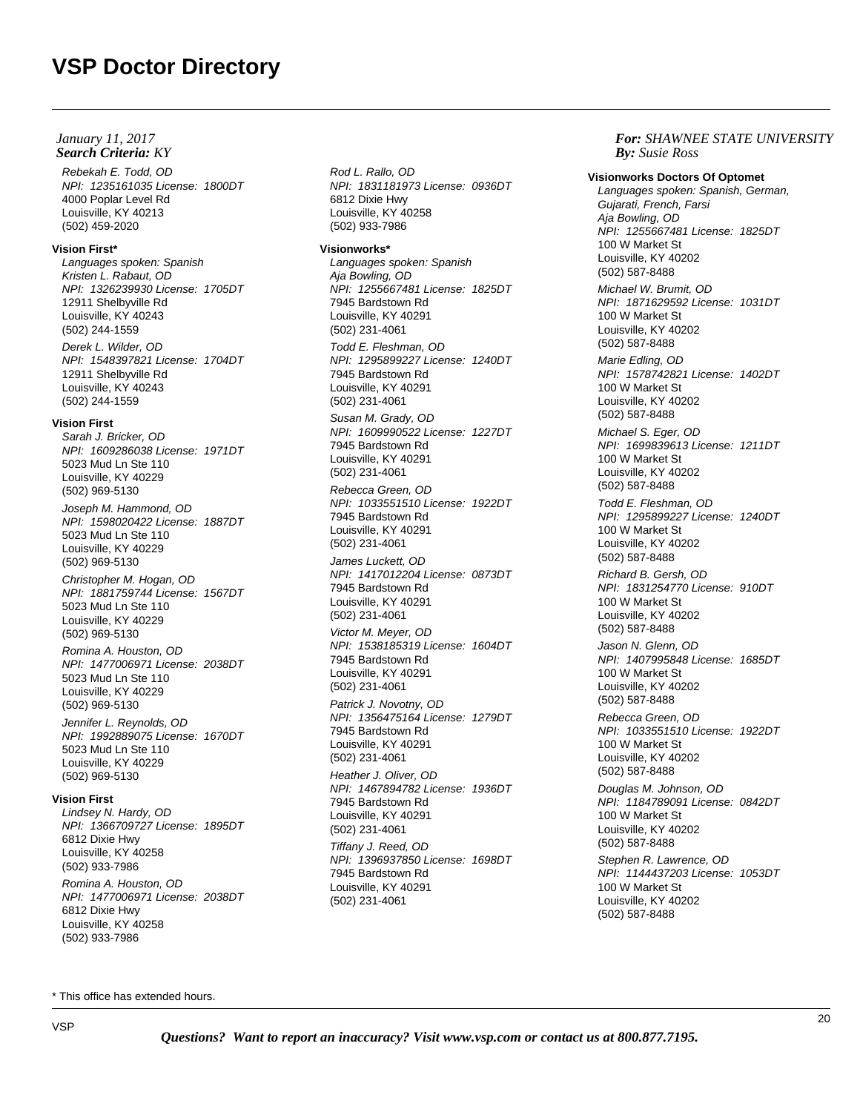Rebekah E. Todd, OD NPI: 1235161035 License: 1800DT 4000 Poplar Level Rd Louisville, KY 40213 (502) 459-2020

# **Vision First\***

Languages spoken: Spanish Kristen L. Rabaut, OD NPI: 1326239930 License: 1705DT 12911 Shelbyville Rd Louisville, KY 40243 (502) 244-1559 Derek L. Wilder, OD NPI: 1548397821 License: 1704DT 12911 Shelbyville Rd Louisville, KY 40243 (502) 244-1559

# **Vision First**

Sarah J. Bricker, OD NPI: 1609286038 License: 1971DT 5023 Mud Ln Ste 110 Louisville, KY 40229 (502) 969-5130 Joseph M. Hammond, OD NPI: 1598020422 License: 1887DT 5023 Mud Ln Ste 110

Louisville, KY 40229 (502) 969-5130 Christopher M. Hogan, OD NPI: 1881759744 License: 1567DT

5023 Mud Ln Ste 110 Louisville, KY 40229 (502) 969-5130 Romina A. Houston, OD

NPI: 1477006971 License: 2038DT 5023 Mud Ln Ste 110 Louisville, KY 40229 (502) 969-5130

Jennifer L. Reynolds, OD NPI: 1992889075 License: 1670DT 5023 Mud Ln Ste 110 Louisville, KY 40229 (502) 969-5130

## **Vision First**

Lindsey N. Hardy, OD NPI: 1366709727 License: 1895DT 6812 Dixie Hwy Louisville, KY 40258 (502) 933-7986 Romina A. Houston, OD NPI: 1477006971 License: 2038DT 6812 Dixie Hwy Louisville, KY 40258 (502) 933-7986

Rod L. Rallo, OD NPI: 1831181973 License: 0936DT 6812 Dixie Hwy Louisville, KY 40258 (502) 933-7986

## **Visionworks\***

Languages spoken: Spanish Aja Bowling, OD NPI: 1255667481 License: 1825DT 7945 Bardstown Rd Louisville, KY 40291 (502) 231-4061 Todd E. Fleshman, OD NPI: 1295899227 License: 1240DT 7945 Bardstown Rd Louisville, KY 40291 (502) 231-4061 Susan M. Grady, OD NPI: 1609990522 License: 1227DT 7945 Bardstown Rd Louisville, KY 40291 (502) 231-4061 Rebecca Green, OD NPI: 1033551510 License: 1922DT 7945 Bardstown Rd Louisville, KY 40291 (502) 231-4061 James Luckett, OD NPI: 1417012204 License: 0873DT 7945 Bardstown Rd Louisville, KY 40291 (502) 231-4061 Victor M. Meyer, OD NPI: 1538185319 License: 1604DT 7945 Bardstown Rd Louisville, KY 40291 (502) 231-4061 Patrick J. Novotny, OD NPI: 1356475164 License: 1279DT 7945 Bardstown Rd Louisville, KY 40291 (502) 231-4061 Heather J. Oliver, OD NPI: 1467894782 License: 1936DT 7945 Bardstown Rd Louisville, KY 40291 (502) 231-4061 Tiffany J. Reed, OD NPI: 1396937850 License: 1698DT 7945 Bardstown Rd Louisville, KY 40291 (502) 231-4061

*For: SHAWNEE STATE UNIVERSITY Susie Ross*

**Visionworks Doctors Of Optomet** Languages spoken: Spanish, German, Gujarati, French, Farsi Aja Bowling, OD NPI: 1255667481 License: 1825DT 100 W Market St Louisville, KY 40202 (502) 587-8488 Michael W. Brumit, OD NPI: 1871629592 License: 1031DT 100 W Market St Louisville, KY 40202 (502) 587-8488 Marie Edling, OD NPI: 1578742821 License: 1402DT 100 W Market St Louisville, KY 40202 (502) 587-8488 Michael S. Eger, OD NPI: 1699839613 License: 1211DT 100 W Market St Louisville, KY 40202 (502) 587-8488 Todd E. Fleshman, OD NPI: 1295899227 License: 1240DT 100 W Market St Louisville, KY 40202 (502) 587-8488 Richard B. Gersh, OD NPI: 1831254770 License: 910DT 100 W Market St Louisville, KY 40202 (502) 587-8488 Jason N. Glenn, OD NPI: 1407995848 License: 1685DT 100 W Market St Louisville, KY 40202 (502) 587-8488 Rebecca Green, OD NPI: 1033551510 License: 1922DT 100 W Market St Louisville, KY 40202 (502) 587-8488 Douglas M. Johnson, OD NPI: 1184789091 License: 0842DT 100 W Market St Louisville, KY 40202 (502) 587-8488 Stephen R. Lawrence, OD NPI: 1144437203 License: 1053DT 100 W Market St

Louisville, KY 40202 (502) 587-8488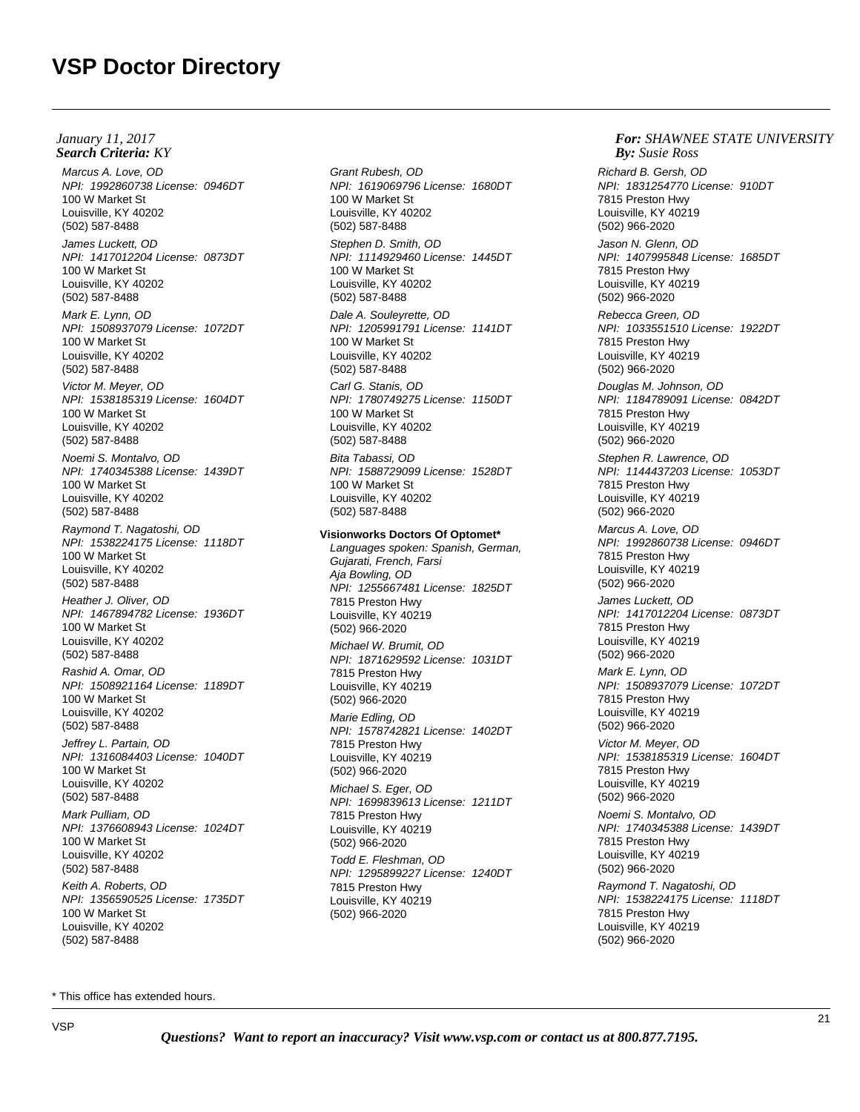Marcus A. Love, OD NPI: 1992860738 License: 0946DT 100 W Market St Louisville, KY 40202 (502) 587-8488 James Luckett, OD NPI: 1417012204 License: 0873DT 100 W Market St Louisville, KY 40202 (502) 587-8488 Mark E. Lynn, OD NPI: 1508937079 License: 1072DT 100 W Market St Louisville, KY 40202 (502) 587-8488 Victor M. Meyer, OD NPI: 1538185319 License: 1604DT 100 W Market St Louisville, KY 40202 (502) 587-8488 Noemi S. Montalvo, OD NPI: 1740345388 License: 1439DT 100 W Market St Louisville, KY 40202 (502) 587-8488 Raymond T. Nagatoshi, OD NPI: 1538224175 License: 1118DT 100 W Market St Louisville, KY 40202 (502) 587-8488 Heather J. Oliver, OD NPI: 1467894782 License: 1936DT 100 W Market St Louisville, KY 40202 (502) 587-8488 Rashid A. Omar, OD NPI: 1508921164 License: 1189DT 100 W Market St Louisville, KY 40202 (502) 587-8488 Jeffrey L. Partain, OD NPI: 1316084403 License: 1040DT 100 W Market St Louisville, KY 40202 (502) 587-8488 Mark Pulliam, OD NPI: 1376608943 License: 1024DT 100 W Market St Louisville, KY 40202 (502) 587-8488 Keith A. Roberts, OD NPI: 1356590525 License: 1735DT 100 W Market St Louisville, KY 40202 (502) 587-8488 **Search Criteria:** KY *By:* **By:** *By: By: By: By: By: By: By: By: By: By: By: By: By: By: By: By: By: By: By: By: By: By: By: January 11, 2017*

Grant Rubesh, OD NPI: 1619069796 License: 1680DT 100 W Market St Louisville, KY 40202 (502) 587-8488 Stephen D. Smith, OD NPI: 1114929460 License: 1445DT 100 W Market St Louisville, KY 40202 (502) 587-8488 Dale A. Souleyrette, OD NPI: 1205991791 License: 1141DT 100 W Market St Louisville, KY 40202 (502) 587-8488 Carl G. Stanis, OD NPI: 1780749275 License: 1150DT 100 W Market St Louisville, KY 40202 (502) 587-8488 Bita Tabassi, OD NPI: 1588729099 License: 1528DT 100 W Market St Louisville, KY 40202 (502) 587-8488 **Visionworks Doctors Of Optomet\*** Languages spoken: Spanish, German, Gujarati, French, Farsi Aja Bowling, OD NPI: 1255667481 License: 1825DT 7815 Preston Hwy Louisville, KY 40219 (502) 966-2020 Michael W. Brumit, OD NPI: 1871629592 License: 1031DT 7815 Preston Hwy Louisville, KY 40219 (502) 966-2020 Marie Edling, OD NPI: 1578742821 License: 1402DT 7815 Preston Hwy Louisville, KY 40219 (502) 966-2020 Michael S. Eger, OD NPI: 1699839613 License: 1211DT 7815 Preston Hwy Louisville, KY 40219 (502) 966-2020

Todd E. Fleshman, OD NPI: 1295899227 License: 1240DT 7815 Preston Hwy Louisville, KY 40219 (502) 966-2020

# *For: SHAWNEE STATE UNIVERSITY Susie Ross*

Richard B. Gersh, OD NPI: 1831254770 License: 910DT 7815 Preston Hwy Louisville, KY 40219 (502) 966-2020 Jason N. Glenn, OD NPI: 1407995848 License: 1685DT 7815 Preston Hwy Louisville, KY 40219 (502) 966-2020 Rebecca Green, OD NPI: 1033551510 License: 1922DT 7815 Preston Hwy Louisville, KY 40219 (502) 966-2020 Douglas M. Johnson, OD NPI: 1184789091 License: 0842DT 7815 Preston Hwy Louisville, KY 40219 (502) 966-2020 Stephen R. Lawrence, OD NPI: 1144437203 License: 1053DT 7815 Preston Hwy Louisville, KY 40219 (502) 966-2020 Marcus A. Love, OD NPI: 1992860738 License: 0946DT 7815 Preston Hwy Louisville, KY 40219 (502) 966-2020 James Luckett, OD NPI: 1417012204 License: 0873DT 7815 Preston Hwy Louisville, KY 40219 (502) 966-2020 Mark E. Lynn, OD NPI: 1508937079 License: 1072DT 7815 Preston Hwy Louisville, KY 40219 (502) 966-2020 Victor M. Meyer, OD NPI: 1538185319 License: 1604DT 7815 Preston Hwy Louisville, KY 40219 (502) 966-2020 Noemi S. Montalvo, OD NPI: 1740345388 License: 1439DT 7815 Preston Hwy Louisville, KY 40219 (502) 966-2020 Raymond T. Nagatoshi, OD NPI: 1538224175 License: 1118DT 7815 Preston Hwy Louisville, KY 40219 (502) 966-2020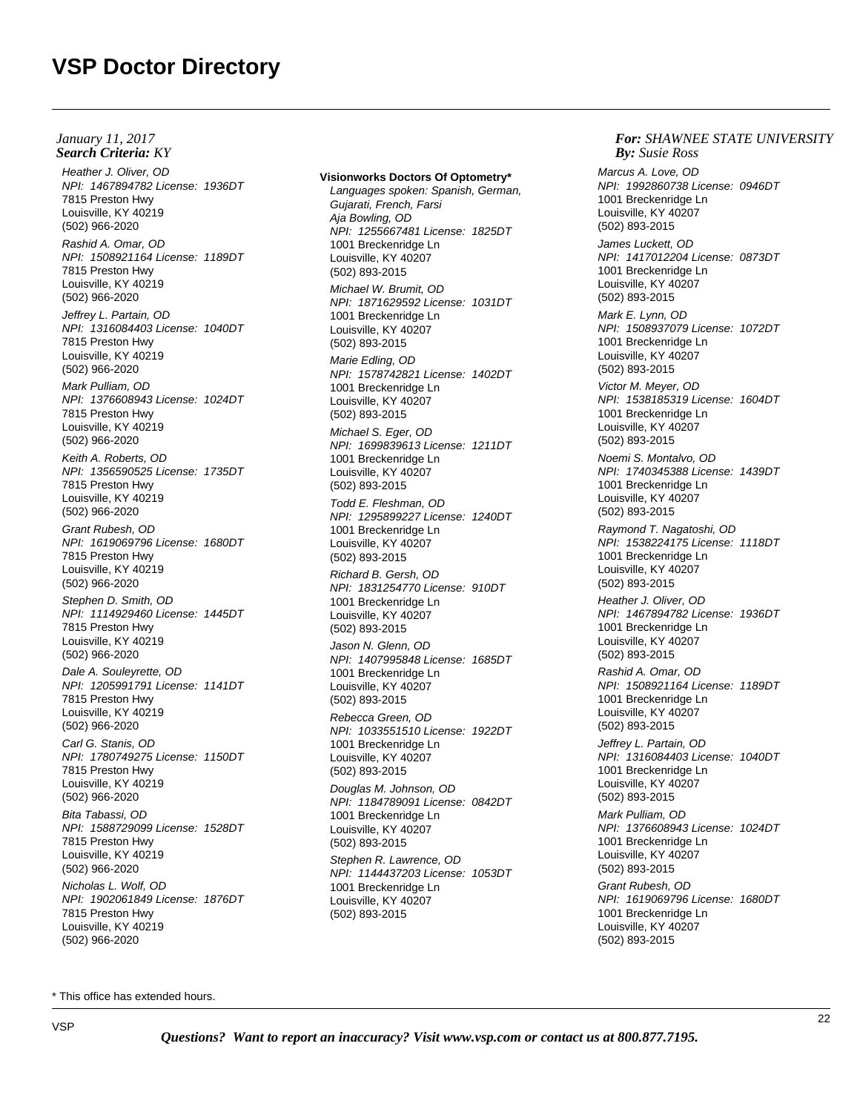Heather J. Oliver, OD NPI: 1467894782 License: 1936DT 7815 Preston Hwy Louisville, KY 40219 (502) 966-2020 Rashid A. Omar, OD NPI: 1508921164 License: 1189DT 7815 Preston Hwy Louisville, KY 40219 (502) 966-2020 Jeffrey L. Partain, OD NPI: 1316084403 License: 1040DT 7815 Preston Hwy Louisville, KY 40219 (502) 966-2020 Mark Pulliam, OD NPI: 1376608943 License: 1024DT 7815 Preston Hwy Louisville, KY 40219 (502) 966-2020 Keith A. Roberts, OD NPI: 1356590525 License: 1735DT 7815 Preston Hwy Louisville, KY 40219 (502) 966-2020 Grant Rubesh, OD NPI: 1619069796 License: 1680DT 7815 Preston Hwy Louisville, KY 40219 (502) 966-2020 Stephen D. Smith, OD NPI: 1114929460 License: 1445DT 7815 Preston Hwy Louisville, KY 40219 (502) 966-2020 Dale A. Souleyrette, OD NPI: 1205991791 License: 1141DT 7815 Preston Hwy Louisville, KY 40219 (502) 966-2020 Carl G. Stanis, OD NPI: 1780749275 License: 1150DT 7815 Preston Hwy Louisville, KY 40219 (502) 966-2020 Bita Tabassi, OD NPI: 1588729099 License: 1528DT 7815 Preston Hwy Louisville, KY 40219 (502) 966-2020 Nicholas L. Wolf, OD NPI: 1902061849 License: 1876DT 7815 Preston Hwy Louisville, KY 40219 (502) 966-2020

### **Visionworks Doctors Of Optometry\***

Languages spoken: Spanish, German, Gujarati, French, Farsi Aja Bowling, OD NPI: 1255667481 License: 1825DT 1001 Breckenridge Ln Louisville, KY 40207 (502) 893-2015 Michael W. Brumit, OD NPI: 1871629592 License: 1031DT 1001 Breckenridge Ln Louisville, KY 40207 (502) 893-2015 Marie Edling, OD NPI: 1578742821 License: 1402DT 1001 Breckenridge Ln Louisville, KY 40207 (502) 893-2015 Michael S. Eger, OD NPI: 1699839613 License: 1211DT 1001 Breckenridge Ln Louisville, KY 40207 (502) 893-2015 Todd E. Fleshman, OD NPI: 1295899227 License: 1240DT 1001 Breckenridge Ln Louisville, KY 40207 (502) 893-2015 Richard B. Gersh, OD NPI: 1831254770 License: 910DT 1001 Breckenridge Ln Louisville, KY 40207 (502) 893-2015 Jason N. Glenn, OD NPI: 1407995848 License: 1685DT 1001 Breckenridge Ln Louisville, KY 40207 (502) 893-2015 Rebecca Green, OD NPI: 1033551510 License: 1922DT 1001 Breckenridge Ln Louisville, KY 40207 (502) 893-2015 Douglas M. Johnson, OD NPI: 1184789091 License: 0842DT 1001 Breckenridge Ln Louisville, KY 40207 (502) 893-2015

1001 Breckenridge Ln Louisville, KY 40207 (502) 893-2015 Mark E. Lynn, OD NPI: 1508937079 License: 1072DT 1001 Breckenridge Ln Louisville, KY 40207 (502) 893-2015 Victor M. Meyer, OD NPI: 1538185319 License: 1604DT 1001 Breckenridge Ln Louisville, KY 40207 (502) 893-2015 Noemi S. Montalvo, OD NPI: 1740345388 License: 1439DT 1001 Breckenridge Ln Louisville, KY 40207 (502) 893-2015 Raymond T. Nagatoshi, OD NPI: 1538224175 License: 1118DT 1001 Breckenridge Ln Louisville, KY 40207 (502) 893-2015 Heather J. Oliver, OD NPI: 1467894782 License: 1936DT 1001 Breckenridge Ln Louisville, KY 40207 (502) 893-2015 Rashid A. Omar, OD NPI: 1508921164 License: 1189DT 1001 Breckenridge Ln Louisville, KY 40207 (502) 893-2015 Jeffrey L. Partain, OD NPI: 1316084403 License: 1040DT 1001 Breckenridge Ln Louisville, KY 40207 (502) 893-2015 Mark Pulliam, OD NPI: 1376608943 License: 1024DT 1001 Breckenridge Ln

Louisville, KY 40207 (502) 893-2015 Grant Rubesh, OD

1001 Breckenridge Ln Louisville, KY 40207 (502) 893-2015

NPI: 1619069796 License: 1680DT

Marcus A. Love, OD

*Susie Ross*

1001 Breckenridge Ln Louisville, KY 40207 (502) 893-2015 James Luckett, OD

NPI: 1992860738 License: 0946DT

*For: SHAWNEE STATE UNIVERSITY*

NPI: 1417012204 License: 0873DT

Stephen R. Lawrence, OD NPI: 1144437203 License: 1053DT 1001 Breckenridge Ln Louisville, KY 40207 (502) 893-2015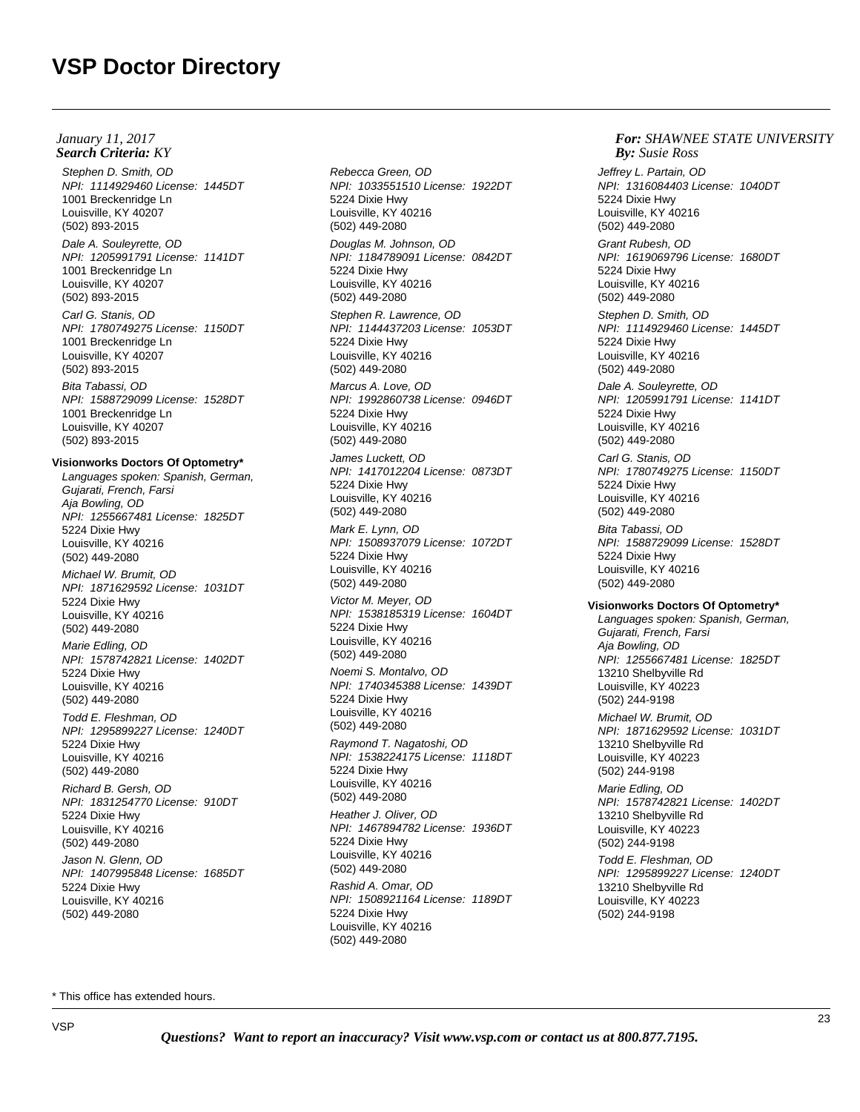Stephen D. Smith, OD NPI: 1114929460 License: 1445DT 1001 Breckenridge Ln Louisville, KY 40207 (502) 893-2015

Dale A. Souleyrette, OD NPI: 1205991791 License: 1141DT 1001 Breckenridge Ln Louisville, KY 40207 (502) 893-2015

Carl G. Stanis, OD NPI: 1780749275 License: 1150DT 1001 Breckenridge Ln Louisville, KY 40207 (502) 893-2015

Bita Tabassi, OD NPI: 1588729099 License: 1528DT 1001 Breckenridge Ln Louisville, KY 40207 (502) 893-2015

### **Visionworks Doctors Of Optometry\***

Languages spoken: Spanish, German, Gujarati, French, Farsi Aja Bowling, OD NPI: 1255667481 License: 1825DT 5224 Dixie Hwy Louisville, KY 40216 (502) 449-2080 Michael W. Brumit, OD NPI: 1871629592 License: 1031DT 5224 Dixie Hwy Louisville, KY 40216 (502) 449-2080 Marie Edling, OD NPI: 1578742821 License: 1402DT 5224 Dixie Hwy Louisville, KY 40216 (502) 449-2080 Todd E. Fleshman, OD NPI: 1295899227 License: 1240DT 5224 Dixie Hwy Louisville, KY 40216 (502) 449-2080 Richard B. Gersh, OD NPI: 1831254770 License: 910DT 5224 Dixie Hwy Louisville, KY 40216 (502) 449-2080

Jason N. Glenn, OD NPI: 1407995848 License: 1685DT 5224 Dixie Hwy Louisville, KY 40216 (502) 449-2080

Rebecca Green, OD NPI: 1033551510 License: 1922DT 5224 Dixie Hwy Louisville, KY 40216 (502) 449-2080 Douglas M. Johnson, OD NPI: 1184789091 License: 0842DT 5224 Dixie Hwy Louisville, KY 40216 (502) 449-2080 Stephen R. Lawrence, OD NPI: 1144437203 License: 1053DT 5224 Dixie Hwy Louisville, KY 40216 (502) 449-2080 Marcus A. Love, OD NPI: 1992860738 License: 0946DT 5224 Dixie Hwy Louisville, KY 40216 (502) 449-2080 James Luckett, OD NPI: 1417012204 License: 0873DT 5224 Dixie Hwy Louisville, KY 40216 (502) 449-2080 Mark E. Lynn, OD NPI: 1508937079 License: 1072DT 5224 Dixie Hwy Louisville, KY 40216 (502) 449-2080 Victor M. Meyer, OD NPI: 1538185319 License: 1604DT 5224 Dixie Hwy Louisville, KY 40216 (502) 449-2080 Noemi S. Montalvo, OD NPI: 1740345388 License: 1439DT 5224 Dixie Hwy Louisville, KY 40216 (502) 449-2080 Raymond T. Nagatoshi, OD NPI: 1538224175 License: 1118DT 5224 Dixie Hwy Louisville, KY 40216 (502) 449-2080 Heather J. Oliver, OD NPI: 1467894782 License: 1936DT 5224 Dixie Hwy Louisville, KY 40216 (502) 449-2080 Rashid A. Omar, OD

#### *For: SHAWNEE STATE UNIVERSITY Susie Ross*

Jeffrey L. Partain, OD NPI: 1316084403 License: 1040DT 5224 Dixie Hwy Louisville, KY 40216 (502) 449-2080

Grant Rubesh, OD NPI: 1619069796 License: 1680DT 5224 Dixie Hwy Louisville, KY 40216 (502) 449-2080

Stephen D. Smith, OD NPI: 1114929460 License: 1445DT 5224 Dixie Hwy Louisville, KY 40216 (502) 449-2080

Dale A. Souleyrette, OD NPI: 1205991791 License: 1141DT 5224 Dixie Hwy Louisville, KY 40216 (502) 449-2080

Carl G. Stanis, OD NPI: 1780749275 License: 1150DT 5224 Dixie Hwy Louisville, KY 40216 (502) 449-2080 Bita Tabassi, OD NPI: 1588729099 License: 1528DT 5224 Dixie Hwy Louisville, KY 40216 (502) 449-2080

#### **Visionworks Doctors Of Optometry\***

Languages spoken: Spanish, German, Gujarati, French, Farsi Aja Bowling, OD NPI: 1255667481 License: 1825DT 13210 Shelbyville Rd Louisville, KY 40223 (502) 244-9198 Michael W. Brumit, OD NPI: 1871629592 License: 1031DT 13210 Shelbyville Rd Louisville, KY 40223 (502) 244-9198 Marie Edling, OD

NPI: 1578742821 License: 1402DT 13210 Shelbyville Rd Louisville, KY 40223 (502) 244-9198

Todd E. Fleshman, OD NPI: 1295899227 License: 1240DT 13210 Shelbyville Rd Louisville, KY 40223 (502) 244-9198

\* This office has extended hours.

NPI: 1508921164 License: 1189DT

5224 Dixie Hwy Louisville, KY 40216 (502) 449-2080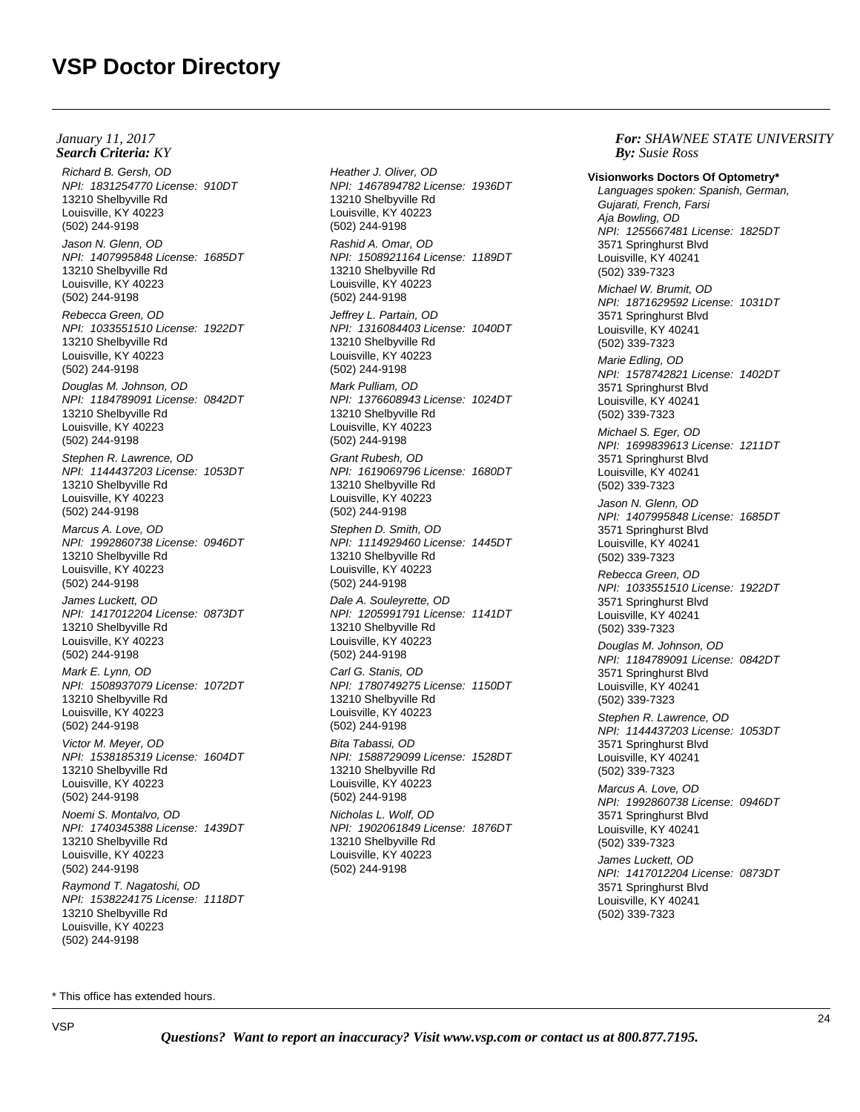Richard B. Gersh, OD NPI: 1831254770 License: 910DT 13210 Shelbyville Rd Louisville, KY 40223 (502) 244-9198 Jason N. Glenn, OD NPI: 1407995848 License: 1685DT 13210 Shelbyville Rd Louisville, KY 40223 (502) 244-9198 Rebecca Green, OD NPI: 1033551510 License: 1922DT 13210 Shelbyville Rd Louisville, KY 40223 (502) 244-9198 Douglas M. Johnson, OD NPI: 1184789091 License: 0842DT 13210 Shelbyville Rd Louisville, KY 40223 (502) 244-9198 Stephen R. Lawrence, OD NPI: 1144437203 License: 1053DT 13210 Shelbyville Rd Louisville, KY 40223 (502) 244-9198 Marcus A. Love, OD NPI: 1992860738 License: 0946DT 13210 Shelbyville Rd Louisville, KY 40223 (502) 244-9198 James Luckett, OD NPI: 1417012204 License: 0873DT 13210 Shelbyville Rd Louisville, KY 40223 (502) 244-9198 Mark E. Lynn, OD NPI: 1508937079 License: 1072DT 13210 Shelbyville Rd Louisville, KY 40223 (502) 244-9198 Victor M. Meyer, OD NPI: 1538185319 License: 1604DT 13210 Shelbyville Rd Louisville, KY 40223 (502) 244-9198 Noemi S. Montalvo, OD NPI: 1740345388 License: 1439DT 13210 Shelbyville Rd Louisville, KY 40223 (502) 244-9198 Raymond T. Nagatoshi, OD NPI: 1538224175 License: 1118DT 13210 Shelbyville Rd Louisville, KY 40223 (502) 244-9198 **Search Criteria:** KY *By:* **By:** *By: By: By: By: By: By: By: By: By: By: By: By: By: By: By: By: By: By: By: By: By: By: By: January 11, 2017*

Heather J. Oliver, OD NPI: 1467894782 License: 1936DT 13210 Shelbyville Rd Louisville, KY 40223 (502) 244-9198 Rashid A. Omar, OD NPI: 1508921164 License: 1189DT 13210 Shelbyville Rd Louisville, KY 40223 (502) 244-9198 Jeffrey L. Partain, OD NPI: 1316084403 License: 1040DT 13210 Shelbyville Rd Louisville, KY 40223 (502) 244-9198 Mark Pulliam, OD NPI: 1376608943 License: 1024DT 13210 Shelbyville Rd Louisville, KY 40223 (502) 244-9198 Grant Rubesh, OD NPI: 1619069796 License: 1680DT 13210 Shelbyville Rd Louisville, KY 40223 (502) 244-9198 Stephen D. Smith, OD NPI: 1114929460 License: 1445DT 13210 Shelbyville Rd Louisville, KY 40223 (502) 244-9198 Dale A. Souleyrette, OD NPI: 1205991791 License: 1141DT 13210 Shelbyville Rd Louisville, KY 40223 (502) 244-9198 Carl G. Stanis, OD NPI: 1780749275 License: 1150DT 13210 Shelbyville Rd Louisville, KY 40223 (502) 244-9198 Bita Tabassi, OD NPI: 1588729099 License: 1528DT 13210 Shelbyville Rd Louisville, KY 40223 (502) 244-9198 Nicholas L. Wolf, OD NPI: 1902061849 License: 1876DT 13210 Shelbyville Rd Louisville, KY 40223 (502) 244-9198

*For: SHAWNEE STATE UNIVERSITY Susie Ross*

**Visionworks Doctors Of Optometry\*** Languages spoken: Spanish, German, Gujarati, French, Farsi Aja Bowling, OD NPI: 1255667481 License: 1825DT 3571 Springhurst Blvd Louisville, KY 40241 (502) 339-7323 Michael W. Brumit, OD NPI: 1871629592 License: 1031DT 3571 Springhurst Blvd Louisville, KY 40241 (502) 339-7323 Marie Edling, OD NPI: 1578742821 License: 1402DT 3571 Springhurst Blvd Louisville, KY 40241 (502) 339-7323 Michael S. Eger, OD NPI: 1699839613 License: 1211DT 3571 Springhurst Blvd Louisville, KY 40241 (502) 339-7323 Jason N. Glenn, OD NPI: 1407995848 License: 1685DT 3571 Springhurst Blvd Louisville, KY 40241 (502) 339-7323 Rebecca Green, OD NPI: 1033551510 License: 1922DT 3571 Springhurst Blvd Louisville, KY 40241 (502) 339-7323 Douglas M. Johnson, OD NPI: 1184789091 License: 0842DT 3571 Springhurst Blvd Louisville, KY 40241 (502) 339-7323 Stephen R. Lawrence, OD NPI: 1144437203 License: 1053DT 3571 Springhurst Blvd Louisville, KY 40241 (502) 339-7323 Marcus A. Love, OD NPI: 1992860738 License: 0946DT 3571 Springhurst Blvd Louisville, KY 40241 (502) 339-7323 James Luckett, OD NPI: 1417012204 License: 0873DT 3571 Springhurst Blvd

Louisville, KY 40241 (502) 339-7323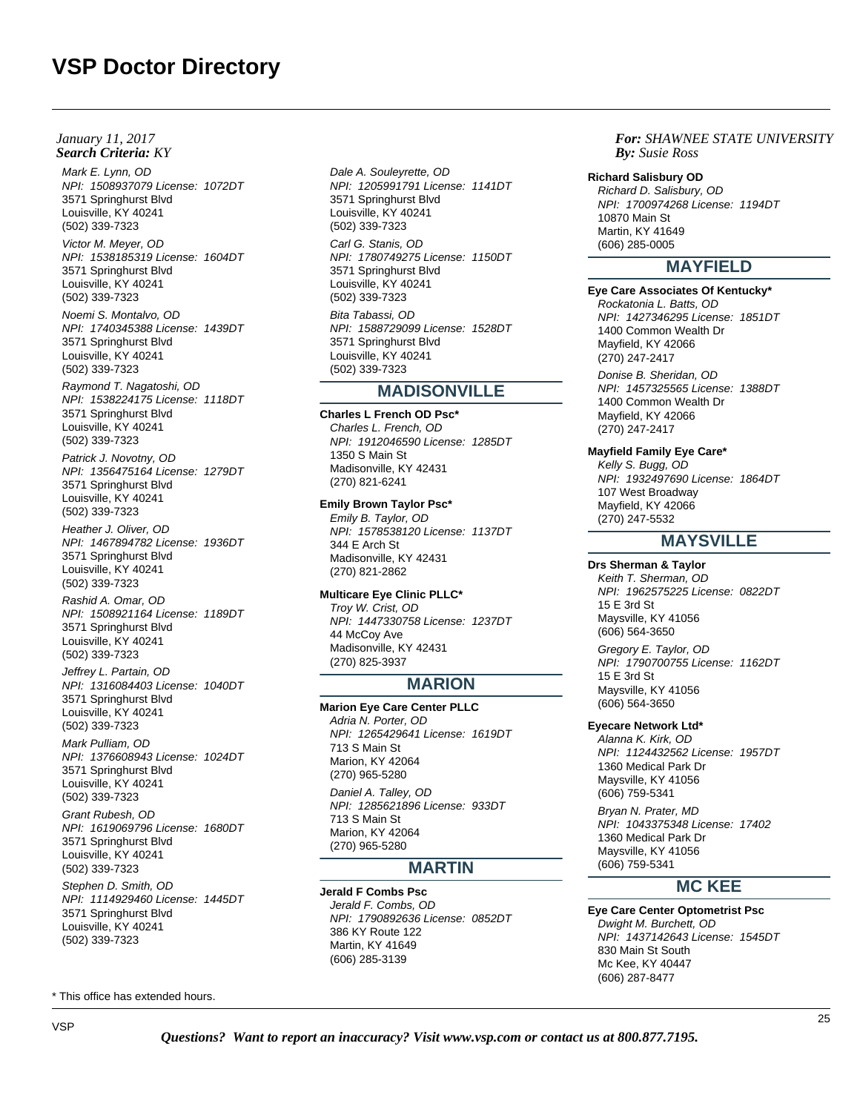## **Search Criteria:** KY *By:* **By:** *By: By: By: By: By: By: By: By: By: By: By: By: By: By: By: By: By: By: By: By: By: By: By: January 11, 2017*

Mark E. Lynn, OD NPI: 1508937079 License: 1072DT 3571 Springhurst Blvd Louisville, KY 40241 (502) 339-7323

Victor M. Meyer, OD NPI: 1538185319 License: 1604DT 3571 Springhurst Blvd Louisville, KY 40241 (502) 339-7323

Noemi S. Montalvo, OD NPI: 1740345388 License: 1439DT 3571 Springhurst Blvd Louisville, KY 40241 (502) 339-7323

Raymond T. Nagatoshi, OD NPI: 1538224175 License: 1118DT 3571 Springhurst Blvd Louisville, KY 40241 (502) 339-7323

Patrick J. Novotny, OD NPI: 1356475164 License: 1279DT 3571 Springhurst Blvd Louisville, KY 40241 (502) 339-7323

Heather J. Oliver, OD NPI: 1467894782 License: 1936DT 3571 Springhurst Blvd Louisville, KY 40241 (502) 339-7323

Rashid A. Omar, OD NPI: 1508921164 License: 1189DT 3571 Springhurst Blvd Louisville, KY 40241 (502) 339-7323

Jeffrey L. Partain, OD NPI: 1316084403 License: 1040DT 3571 Springhurst Blvd Louisville, KY 40241 (502) 339-7323

Mark Pulliam, OD NPI: 1376608943 License: 1024DT 3571 Springhurst Blvd Louisville, KY 40241 (502) 339-7323

Grant Rubesh, OD NPI: 1619069796 License: 1680DT 3571 Springhurst Blvd Louisville, KY 40241 (502) 339-7323 Stephen D. Smith, OD NPI: 1114929460 License: 1445DT 3571 Springhurst Blvd Louisville, KY 40241 (502) 339-7323

\* This office has extended hours.

Dale A. Souleyrette, OD NPI: 1205991791 License: 1141DT 3571 Springhurst Blvd Louisville, KY 40241 (502) 339-7323 Carl G. Stanis, OD NPI: 1780749275 License: 1150DT 3571 Springhurst Blvd Louisville, KY 40241 (502) 339-7323 Bita Tabassi, OD NPI: 1588729099 License: 1528DT 3571 Springhurst Blvd Louisville, KY 40241 (502) 339-7323

# **MADISONVILLE**

**Charles L French OD Psc\*** Charles L. French, OD NPI: 1912046590 License: 1285DT 1350 S Main St Madisonville, KY 42431 (270) 821-6241

**Emily Brown Taylor Psc\*** Emily B. Taylor, OD NPI: 1578538120 License: 1137DT 344 E Arch St Madisonville, KY 42431 (270) 821-2862

**Multicare Eye Clinic PLLC\*** Troy W. Crist, OD NPI: 1447330758 License: 1237DT 44 McCoy Ave Madisonville, KY 42431 (270) 825-3937

# **MARION**

**Marion Eye Care Center PLLC** Adria N. Porter, OD NPI: 1265429641 License: 1619DT 713 S Main St Marion, KY 42064 (270) 965-5280 Daniel A. Talley, OD NPI: 1285621896 License: 933DT 713 S Main St Marion, KY 42064 (270) 965-5280

# **MARTIN**

**Jerald F Combs Psc** Jerald F. Combs, OD NPI: 1790892636 License: 0852DT 386 KY Route 122 Martin, KY 41649 (606) 285-3139

*For: SHAWNEE STATE UNIVERSITY Susie Ross*

#### **Richard Salisbury OD**

Richard D. Salisbury, OD NPI: 1700974268 License: 1194DT 10870 Main St Martin, KY 41649 (606) 285-0005

# **MAYFIELD**

**Eye Care Associates Of Kentucky\***

Rockatonia L. Batts, OD NPI: 1427346295 License: 1851DT 1400 Common Wealth Dr Mayfield, KY 42066 (270) 247-2417 Donise B. Sheridan, OD NPI: 1457325565 License: 1388DT 1400 Common Wealth Dr Mayfield, KY 42066 (270) 247-2417

## **Mayfield Family Eye Care\***

Kelly S. Bugg, OD NPI: 1932497690 License: 1864DT 107 West Broadway Mayfield, KY 42066 (270) 247-5532

# **MAYSVILLE**

**Drs Sherman & Taylor** Keith T. Sherman, OD NPI: 1962575225 License: 0822DT 15 E 3rd St Maysville, KY 41056 (606) 564-3650

Gregory E. Taylor, OD NPI: 1790700755 License: 1162DT 15 E 3rd St Maysville, KY 41056 (606) 564-3650

## **Eyecare Network Ltd\***

Alanna K. Kirk, OD NPI: 1124432562 License: 1957DT 1360 Medical Park Dr Maysville, KY 41056 (606) 759-5341

Bryan N. Prater, MD NPI: 1043375348 License: 17402 1360 Medical Park Dr Maysville, KY 41056 (606) 759-5341

# **MC KEE**

**Eye Care Center Optometrist Psc** Dwight M. Burchett, OD NPI: 1437142643 License: 1545DT 830 Main St South Mc Kee, KY 40447 (606) 287-8477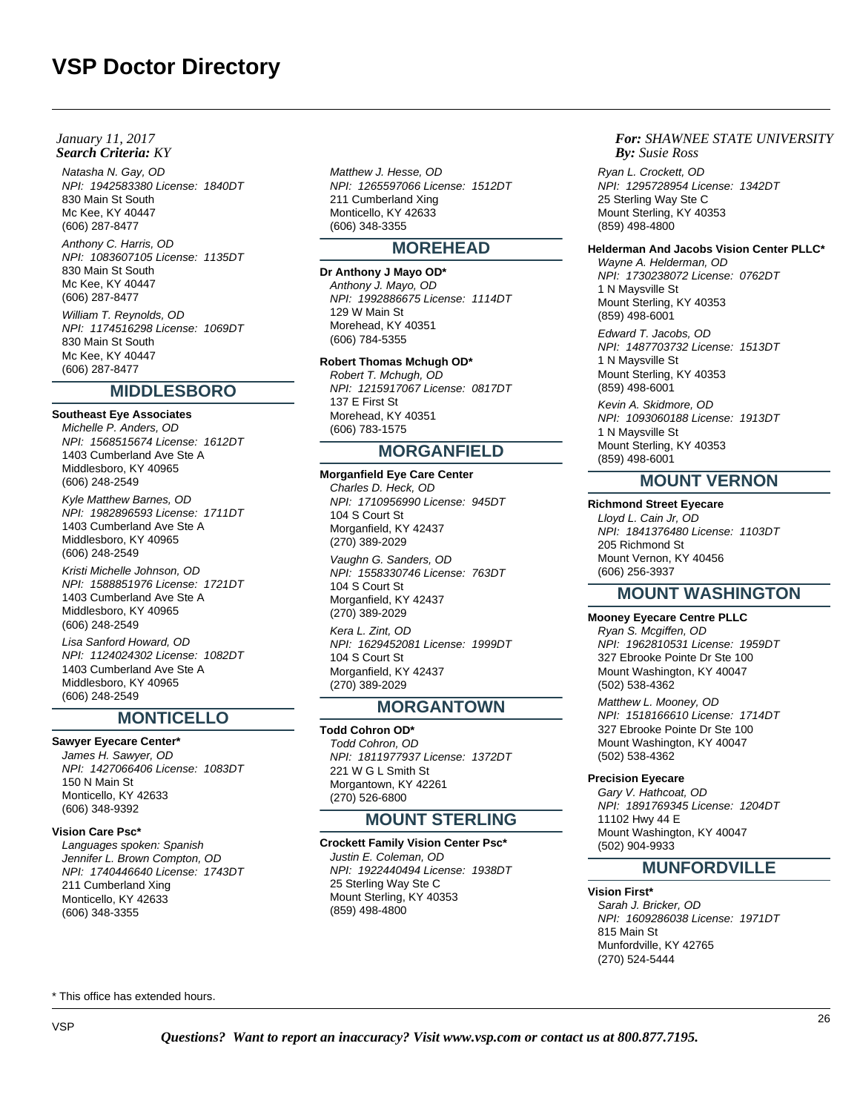Natasha N. Gay, OD NPI: 1942583380 License: 1840DT 830 Main St South Mc Kee, KY 40447 (606) 287-8477 Anthony C. Harris, OD NPI: 1083607105 License: 1135DT 830 Main St South Mc Kee, KY 40447 (606) 287-8477

William T. Reynolds, OD NPI: 1174516298 License: 1069DT 830 Main St South Mc Kee, KY 40447 (606) 287-8477

# **MIDDLESBORO**

**Southeast Eye Associates** Michelle P. Anders, OD NPI: 1568515674 License: 1612DT 1403 Cumberland Ave Ste A Middlesboro, KY 40965 (606) 248-2549 Kyle Matthew Barnes, OD NPI: 1982896593 License: 1711DT

1403 Cumberland Ave Ste A Middlesboro, KY 40965 (606) 248-2549

Kristi Michelle Johnson, OD NPI: 1588851976 License: 1721DT 1403 Cumberland Ave Ste A Middlesboro, KY 40965 (606) 248-2549

Lisa Sanford Howard, OD NPI: 1124024302 License: 1082DT 1403 Cumberland Ave Ste A Middlesboro, KY 40965 (606) 248-2549

# **MONTICELLO**

# **Sawyer Eyecare Center\***

James H. Sawyer, OD NPI: 1427066406 License: 1083DT 150 N Main St Monticello, KY 42633 (606) 348-9392

## **Vision Care Psc\***

Languages spoken: Spanish Jennifer L. Brown Compton, OD NPI: 1740446640 License: 1743DT 211 Cumberland Xing Monticello, KY 42633 (606) 348-3355

Matthew J. Hesse, OD NPI: 1265597066 License: 1512DT 211 Cumberland Xing Monticello, KY 42633 (606) 348-3355

# **MOREHEAD**

**Dr Anthony J Mayo OD\*** Anthony J. Mayo, OD NPI: 1992886675 License: 1114DT 129 W Main St Morehead, KY 40351 (606) 784-5355

## **Robert Thomas Mchugh OD\***

Robert T. Mchugh, OD NPI: 1215917067 License: 0817DT 137 E First St Morehead, KY 40351 (606) 783-1575

# **MORGANFIELD**

**Morganfield Eye Care Center** Charles D. Heck, OD NPI: 1710956990 License: 945DT 104 S Court St Morganfield, KY 42437 (270) 389-2029 Vaughn G. Sanders, OD NPI: 1558330746 License: 763DT 104 S Court St Morganfield, KY 42437 (270) 389-2029 Kera L. Zint, OD NPI: 1629452081 License: 1999DT 104 S Court St Morganfield, KY 42437 (270) 389-2029

# **MORGANTOWN**

**Todd Cohron OD\*** Todd Cohron, OD NPI: 1811977937 License: 1372DT 221 W G L Smith St Morgantown, KY 42261 (270) 526-6800

# **MOUNT STERLING**

**Crockett Family Vision Center Psc\*** Justin E. Coleman, OD NPI: 1922440494 License: 1938DT 25 Sterling Way Ste C Mount Sterling, KY 40353 (859) 498-4800

### *For: SHAWNEE STATE UNIVERSITY Susie Ross*

Ryan L. Crockett, OD NPI: 1295728954 License: 1342DT 25 Sterling Way Ste C Mount Sterling, KY 40353 (859) 498-4800

## **Helderman And Jacobs Vision Center PLLC\***

Wayne A. Helderman, OD NPI: 1730238072 License: 0762DT 1 N Maysville St Mount Sterling, KY 40353 (859) 498-6001

Edward T. Jacobs, OD NPI: 1487703732 License: 1513DT 1 N Maysville St Mount Sterling, KY 40353 (859) 498-6001

Kevin A. Skidmore, OD NPI: 1093060188 License: 1913DT 1 N Maysville St Mount Sterling, KY 40353 (859) 498-6001

# **MOUNT VERNON**

**Richmond Street Eyecare** Lloyd L. Cain Jr, OD NPI: 1841376480 License: 1103DT 205 Richmond St Mount Vernon, KY 40456 (606) 256-3937

# **MOUNT WASHINGTON**

## **Mooney Eyecare Centre PLLC**

Ryan S. Mcgiffen, OD NPI: 1962810531 License: 1959DT 327 Ebrooke Pointe Dr Ste 100 Mount Washington, KY 40047 (502) 538-4362

Matthew L. Mooney, OD NPI: 1518166610 License: 1714DT 327 Ebrooke Pointe Dr Ste 100 Mount Washington, KY 40047 (502) 538-4362

# **Precision Eyecare**

Gary V. Hathcoat, OD NPI: 1891769345 License: 1204DT 11102 Hwy 44 E Mount Washington, KY 40047 (502) 904-9933

# **MUNFORDVILLE**

**Vision First\*** Sarah J. Bricker, OD NPI: 1609286038 License: 1971DT 815 Main St Munfordville, KY 42765 (270) 524-5444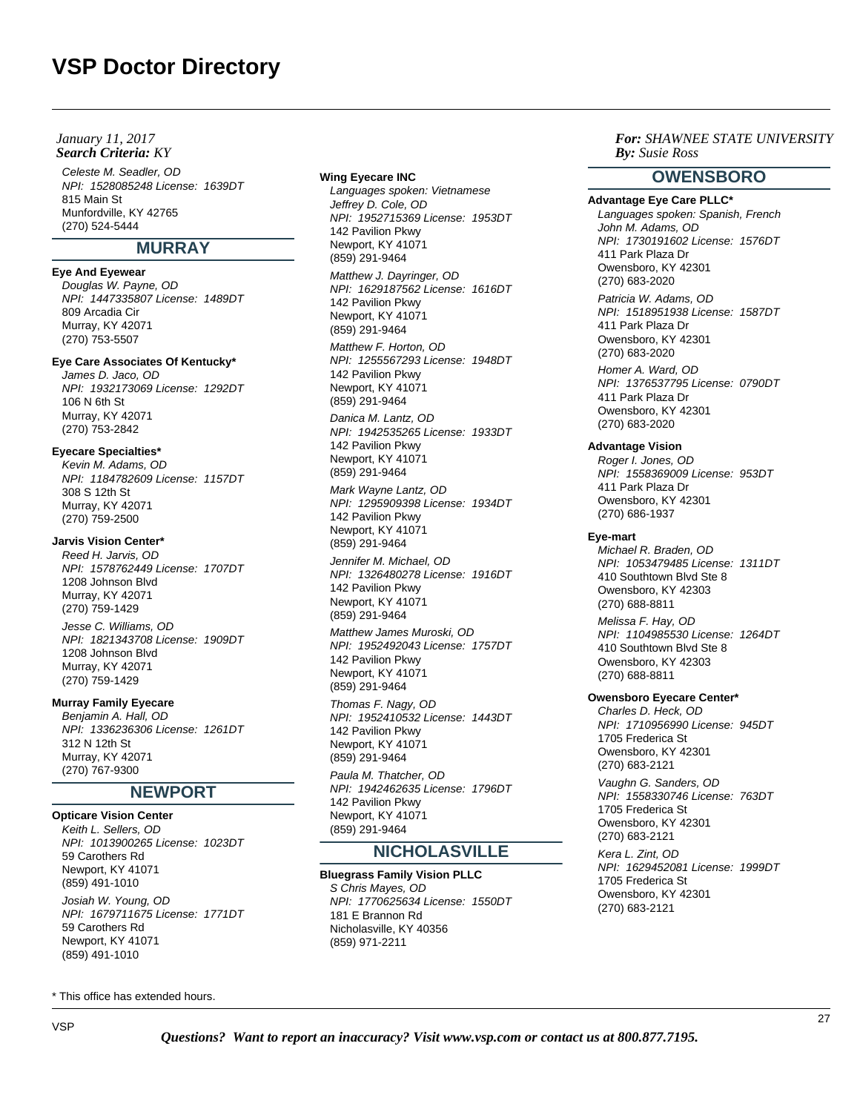## **Search Criteria:** KY *By:* **By:** *By: By: By: By: By: By: By: By: By: By: By: By: By: By: By: By: By: By: By: By: By: By: By: January 11, 2017*

Celeste M. Seadler, OD NPI: 1528085248 License: 1639DT 815 Main St Munfordville, KY 42765 (270) 524-5444

# **MURRAY**

# **Eye And Eyewear**

Douglas W. Payne, OD NPI: 1447335807 License: 1489DT 809 Arcadia Cir Murray, KY 42071 (270) 753-5507

# **Eye Care Associates Of Kentucky\***

James D. Jaco, OD NPI: 1932173069 License: 1292DT 106 N 6th St Murray, KY 42071 (270) 753-2842

# **Eyecare Specialties\***

Kevin M. Adams, OD NPI: 1184782609 License: 1157DT 308 S 12th St Murray, KY 42071 (270) 759-2500

# **Jarvis Vision Center\***

Reed H. Jarvis, OD NPI: 1578762449 License: 1707DT 1208 Johnson Blvd Murray, KY 42071 (270) 759-1429 Jesse C. Williams, OD

NPI: 1821343708 License: 1909DT 1208 Johnson Blvd Murray, KY 42071 (270) 759-1429

# **Murray Family Eyecare**

Benjamin A. Hall, OD NPI: 1336236306 License: 1261DT 312 N 12th St Murray, KY 42071 (270) 767-9300

# **NEWPORT**

**Opticare Vision Center** Keith L. Sellers, OD NPI: 1013900265 License: 1023DT 59 Carothers Rd Newport, KY 41071 (859) 491-1010

Josiah W. Young, OD NPI: 1679711675 License: 1771DT 59 Carothers Rd Newport, KY 41071 (859) 491-1010

\* This office has extended hours.

### **Wing Eyecare INC**

Languages spoken: Vietnamese Jeffrey D. Cole, OD NPI: 1952715369 License: 1953DT 142 Pavilion Pkwy Newport, KY 41071 (859) 291-9464

Matthew J. Dayringer, OD NPI: 1629187562 License: 1616DT 142 Pavilion Pkwy Newport, KY 41071 (859) 291-9464 Matthew F. Horton, OD

NPI: 1255567293 License: 1948DT 142 Pavilion Pkwy Newport, KY 41071 (859) 291-9464

Danica M. Lantz, OD NPI: 1942535265 License: 1933DT 142 Pavilion Pkwy Newport, KY 41071 (859) 291-9464

Mark Wayne Lantz, OD NPI: 1295909398 License: 1934DT 142 Pavilion Pkwy Newport, KY 41071 (859) 291-9464

Jennifer M. Michael, OD NPI: 1326480278 License: 1916DT 142 Pavilion Pkwy Newport, KY 41071 (859) 291-9464

Matthew James Muroski, OD NPI: 1952492043 License: 1757DT 142 Pavilion Pkwy Newport, KY 41071 (859) 291-9464

Thomas F. Nagy, OD NPI: 1952410532 License: 1443DT 142 Pavilion Pkwy Newport, KY 41071 (859) 291-9464 Paula M. Thatcher, OD

NPI: 1942462635 License: 1796DT 142 Pavilion Pkwy Newport, KY 41071 (859) 291-9464

# **NICHOLASVILLE**

**Bluegrass Family Vision PLLC** S Chris Mayes, OD NPI: 1770625634 License: 1550DT 181 E Brannon Rd Nicholasville, KY 40356 (859) 971-2211

*For: SHAWNEE STATE UNIVERSITY Susie Ross*

# **OWENSBORO**

**Advantage Eye Care PLLC\*** Languages spoken: Spanish, French John M. Adams, OD NPI: 1730191602 License: 1576DT 411 Park Plaza Dr Owensboro, KY 42301 (270) 683-2020 Patricia W. Adams, OD NPI: 1518951938 License: 1587DT 411 Park Plaza Dr Owensboro, KY 42301 (270) 683-2020 Homer A. Ward, OD NPI: 1376537795 License: 0790DT 411 Park Plaza Dr Owensboro, KY 42301 (270) 683-2020

#### **Advantage Vision**

Roger I. Jones, OD NPI: 1558369009 License: 953DT 411 Park Plaza Dr Owensboro, KY 42301 (270) 686-1937

#### **Eye-mart**

Michael R. Braden, OD NPI: 1053479485 License: 1311DT 410 Southtown Blvd Ste 8 Owensboro, KY 42303 (270) 688-8811

Melissa F. Hay, OD NPI: 1104985530 License: 1264DT 410 Southtown Blvd Ste 8 Owensboro, KY 42303 (270) 688-8811

## **Owensboro Eyecare Center\***

Charles D. Heck, OD NPI: 1710956990 License: 945DT 1705 Frederica St Owensboro, KY 42301 (270) 683-2121

Vaughn G. Sanders, OD NPI: 1558330746 License: 763DT 1705 Frederica St Owensboro, KY 42301 (270) 683-2121

Kera L. Zint, OD NPI: 1629452081 License: 1999DT 1705 Frederica St Owensboro, KY 42301 (270) 683-2121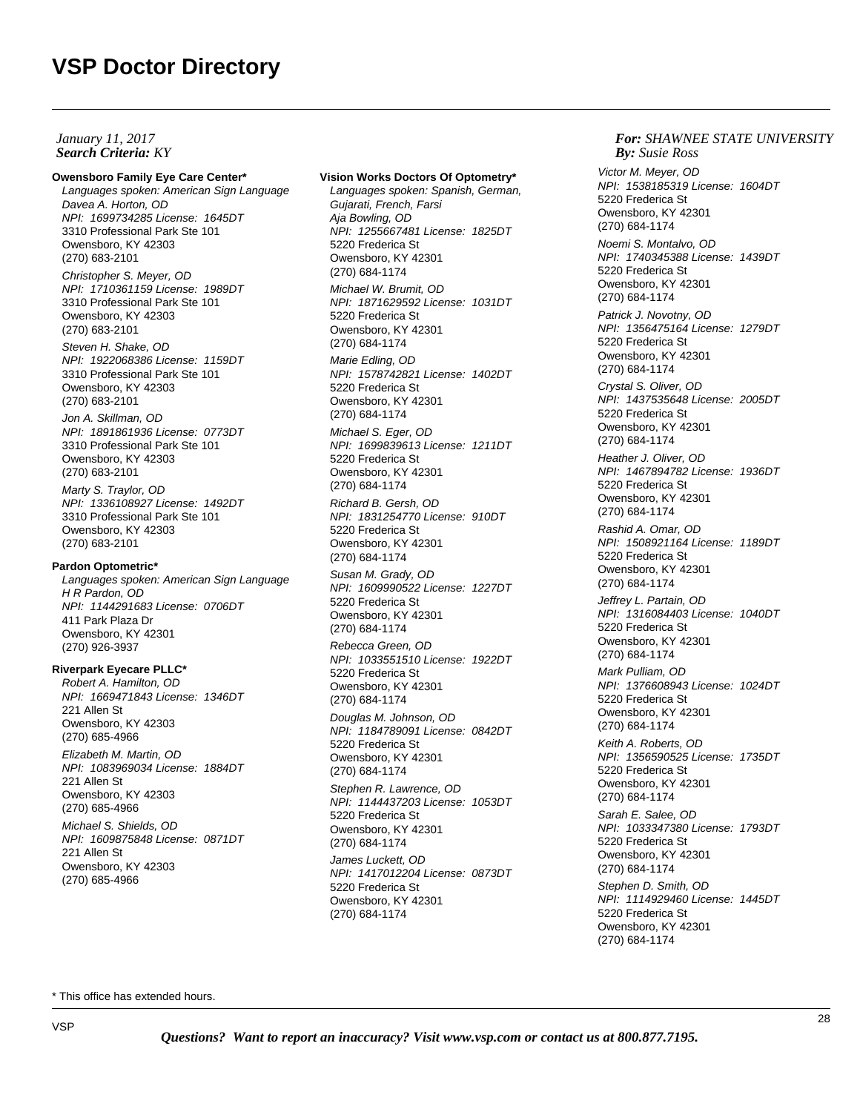## **Search Criteria:** KY *By:* **By:** *By: By: By: By: By: By: By: By: By: By: By: By: By: By: By: By: By: By: By: By: By: By: By: January 11, 2017*

**Owensboro Family Eye Care Center\*** Languages spoken: American Sign Language Davea A. Horton, OD NPI: 1699734285 License: 1645DT 3310 Professional Park Ste 101 Owensboro, KY 42303 (270) 683-2101

Christopher S. Meyer, OD NPI: 1710361159 License: 1989DT 3310 Professional Park Ste 101 Owensboro, KY 42303 (270) 683-2101

Steven H. Shake, OD NPI: 1922068386 License: 1159DT 3310 Professional Park Ste 101 Owensboro, KY 42303 (270) 683-2101

Jon A. Skillman, OD NPI: 1891861936 License: 0773DT 3310 Professional Park Ste 101 Owensboro, KY 42303 (270) 683-2101

Marty S. Traylor, OD NPI: 1336108927 License: 1492DT 3310 Professional Park Ste 101 Owensboro, KY 42303 (270) 683-2101

## **Pardon Optometric\***

Languages spoken: American Sign Language H R Pardon, OD NPI: 1144291683 License: 0706DT 411 Park Plaza Dr Owensboro, KY 42301 (270) 926-3937

## **Riverpark Eyecare PLLC\***

Robert A. Hamilton, OD NPI: 1669471843 License: 1346DT 221 Allen St Owensboro, KY 42303 (270) 685-4966 Elizabeth M. Martin, OD NPI: 1083969034 License: 1884DT 221 Allen St Owensboro, KY 42303 (270) 685-4966 Michael S. Shields, OD NPI: 1609875848 License: 0871DT 221 Allen St Owensboro, KY 42303 (270) 685-4966

## **Vision Works Doctors Of Optometry\***

Languages spoken: Spanish, German, Gujarati, French, Farsi Aja Bowling, OD NPI: 1255667481 License: 1825DT 5220 Frederica St Owensboro, KY 42301 (270) 684-1174 Michael W. Brumit, OD NPI: 1871629592 License: 1031DT 5220 Frederica St Owensboro, KY 42301 (270) 684-1174 Marie Edling, OD NPI: 1578742821 License: 1402DT 5220 Frederica St Owensboro, KY 42301 (270) 684-1174 Michael S. Eger, OD NPI: 1699839613 License: 1211DT 5220 Frederica St Owensboro, KY 42301 (270) 684-1174 Richard B. Gersh, OD NPI: 1831254770 License: 910DT 5220 Frederica St Owensboro, KY 42301 (270) 684-1174 Susan M. Grady, OD NPI: 1609990522 License: 1227DT 5220 Frederica St Owensboro, KY 42301 (270) 684-1174 Rebecca Green, OD NPI: 1033551510 License: 1922DT 5220 Frederica St Owensboro, KY 42301 (270) 684-1174 Douglas M. Johnson, OD NPI: 1184789091 License: 0842DT

5220 Frederica St Owensboro, KY 42301 (270) 684-1174

Stephen R. Lawrence, OD NPI: 1144437203 License: 1053DT 5220 Frederica St Owensboro, KY 42301 (270) 684-1174

James Luckett, OD NPI: 1417012204 License: 0873DT 5220 Frederica St Owensboro, KY 42301 (270) 684-1174

### *For: SHAWNEE STATE UNIVERSITY Susie Ross*

Victor M. Meyer, OD NPI: 1538185319 License: 1604DT 5220 Frederica St Owensboro, KY 42301 (270) 684-1174 Noemi S. Montalvo, OD NPI: 1740345388 License: 1439DT 5220 Frederica St Owensboro, KY 42301 (270) 684-1174 Patrick J. Novotny, OD NPI: 1356475164 License: 1279DT 5220 Frederica St Owensboro, KY 42301 (270) 684-1174 Crystal S. Oliver, OD NPI: 1437535648 License: 2005DT 5220 Frederica St Owensboro, KY 42301 (270) 684-1174 Heather J. Oliver, OD NPI: 1467894782 License: 1936DT 5220 Frederica St Owensboro, KY 42301 (270) 684-1174 Rashid A. Omar, OD NPI: 1508921164 License: 1189DT 5220 Frederica St Owensboro, KY 42301 (270) 684-1174 Jeffrey L. Partain, OD NPI: 1316084403 License: 1040DT 5220 Frederica St Owensboro, KY 42301 (270) 684-1174 Mark Pulliam, OD NPI: 1376608943 License: 1024DT 5220 Frederica St Owensboro, KY 42301 (270) 684-1174 Keith A. Roberts, OD NPI: 1356590525 License: 1735DT 5220 Frederica St Owensboro, KY 42301 (270) 684-1174 Sarah E. Salee, OD NPI: 1033347380 License: 1793DT 5220 Frederica St Owensboro, KY 42301 (270) 684-1174 Stephen D. Smith, OD NPI: 1114929460 License: 1445DT 5220 Frederica St Owensboro, KY 42301 (270) 684-1174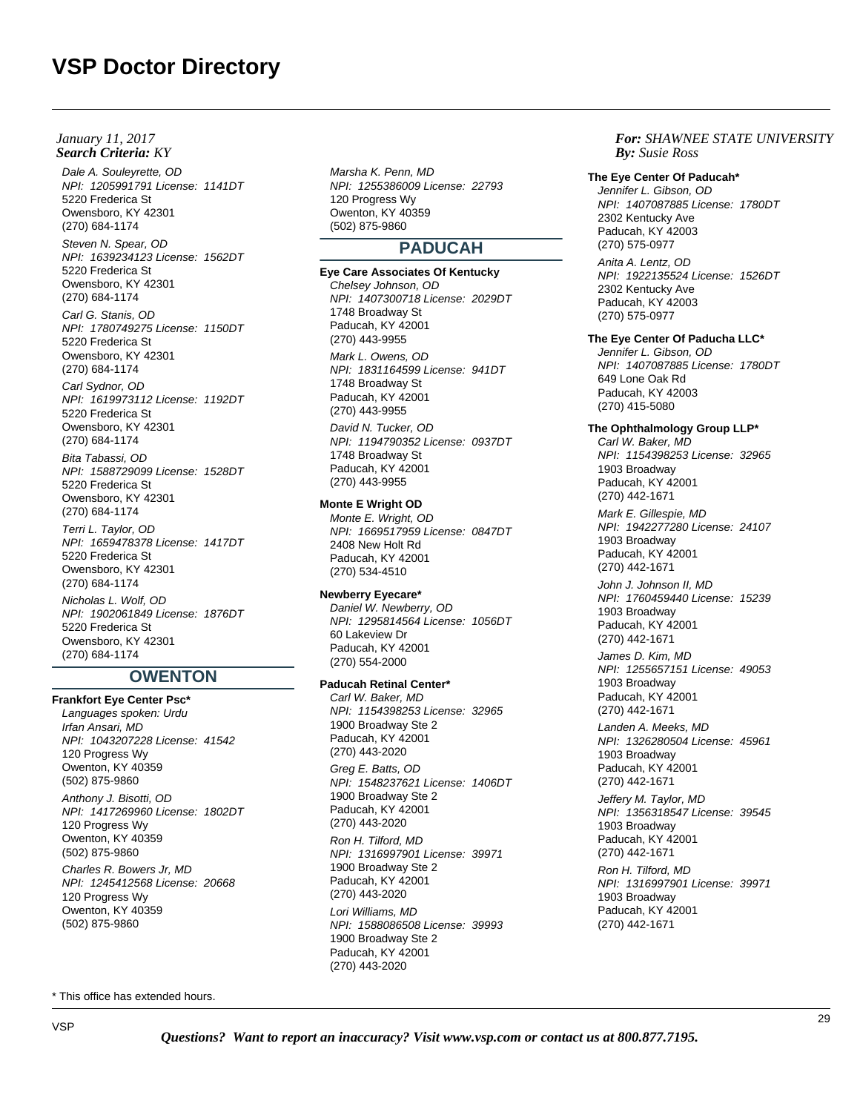Dale A. Souleyrette, OD NPI: 1205991791 License: 1141DT 5220 Frederica St Owensboro, KY 42301 (270) 684-1174

Steven N. Spear, OD NPI: 1639234123 License: 1562DT 5220 Frederica St Owensboro, KY 42301 (270) 684-1174

Carl G. Stanis, OD NPI: 1780749275 License: 1150DT 5220 Frederica St Owensboro, KY 42301 (270) 684-1174

Carl Sydnor, OD NPI: 1619973112 License: 1192DT 5220 Frederica St Owensboro, KY 42301 (270) 684-1174

Bita Tabassi, OD NPI: 1588729099 License: 1528DT 5220 Frederica St Owensboro, KY 42301 (270) 684-1174

Terri L. Taylor, OD NPI: 1659478378 License: 1417DT 5220 Frederica St Owensboro, KY 42301 (270) 684-1174 Nicholas L. Wolf, OD

NPI: 1902061849 License: 1876DT 5220 Frederica St Owensboro, KY 42301 (270) 684-1174

# **OWENTON**

**Frankfort Eye Center Psc\*** Languages spoken: Urdu Irfan Ansari, MD NPI: 1043207228 License: 41542 120 Progress Wy Owenton, KY 40359 (502) 875-9860

Anthony J. Bisotti, OD NPI: 1417269960 License: 1802DT 120 Progress Wy Owenton, KY 40359 (502) 875-9860

Charles R. Bowers Jr, MD NPI: 1245412568 License: 20668 120 Progress Wy Owenton, KY 40359 (502) 875-9860

Marsha K. Penn, MD NPI: 1255386009 License: 22793 120 Progress Wy Owenton, KY 40359 (502) 875-9860

# **PADUCAH**

**Eye Care Associates Of Kentucky** Chelsey Johnson, OD NPI: 1407300718 License: 2029DT 1748 Broadway St Paducah, KY 42001 (270) 443-9955 Mark L. Owens, OD NPI: 1831164599 License: 941DT 1748 Broadway St Paducah, KY 42001 (270) 443-9955 David N. Tucker, OD NPI: 1194790352 License: 0937DT 1748 Broadway St Paducah, KY 42001 (270) 443-9955

#### **Monte E Wright OD**

Monte E. Wright, OD NPI: 1669517959 License: 0847DT 2408 New Holt Rd Paducah, KY 42001 (270) 534-4510

## **Newberry Eyecare\***

Daniel W. Newberry, OD NPI: 1295814564 License: 1056DT 60 Lakeview Dr Paducah, KY 42001 (270) 554-2000

## **Paducah Retinal Center\***

Carl W. Baker, MD NPI: 1154398253 License: 32965 1900 Broadway Ste 2 Paducah, KY 42001 (270) 443-2020 Greg E. Batts, OD NPI: 1548237621 License: 1406DT 1900 Broadway Ste 2 Paducah, KY 42001 (270) 443-2020 Ron H. Tilford, MD NPI: 1316997901 License: 39971 1900 Broadway Ste 2 Paducah, KY 42001 (270) 443-2020 Lori Williams, MD

NPI: 1588086508 License: 39993 1900 Broadway Ste 2 Paducah, KY 42001 (270) 443-2020

*For: SHAWNEE STATE UNIVERSITY Susie Ross*

#### **The Eye Center Of Paducah\***

Jennifer L. Gibson, OD NPI: 1407087885 License: 1780DT 2302 Kentucky Ave Paducah, KY 42003 (270) 575-0977

Anita A. Lentz, OD NPI: 1922135524 License: 1526DT 2302 Kentucky Ave Paducah, KY 42003 (270) 575-0977

## **The Eye Center Of Paducha LLC\***

Jennifer L. Gibson, OD NPI: 1407087885 License: 1780DT 649 Lone Oak Rd Paducah, KY 42003 (270) 415-5080

# **The Ophthalmology Group LLP\***

Carl W. Baker, MD NPI: 1154398253 License: 32965 1903 Broadway Paducah, KY 42001 (270) 442-1671 Mark E. Gillespie, MD NPI: 1942277280 License: 24107 1903 Broadway Paducah, KY 42001 (270) 442-1671 John J. Johnson II, MD

NPI: 1760459440 License: 15239 1903 Broadway Paducah, KY 42001 (270) 442-1671

James D. Kim, MD NPI: 1255657151 License: 49053 1903 Broadway Paducah, KY 42001 (270) 442-1671

Landen A. Meeks, MD NPI: 1326280504 License: 45961 1903 Broadway Paducah, KY 42001 (270) 442-1671

Jeffery M. Taylor, MD NPI: 1356318547 License: 39545 1903 Broadway Paducah, KY 42001 (270) 442-1671 Ron H. Tilford, MD NPI: 1316997901 License: 39971 1903 Broadway Paducah, KY 42001 (270) 442-1671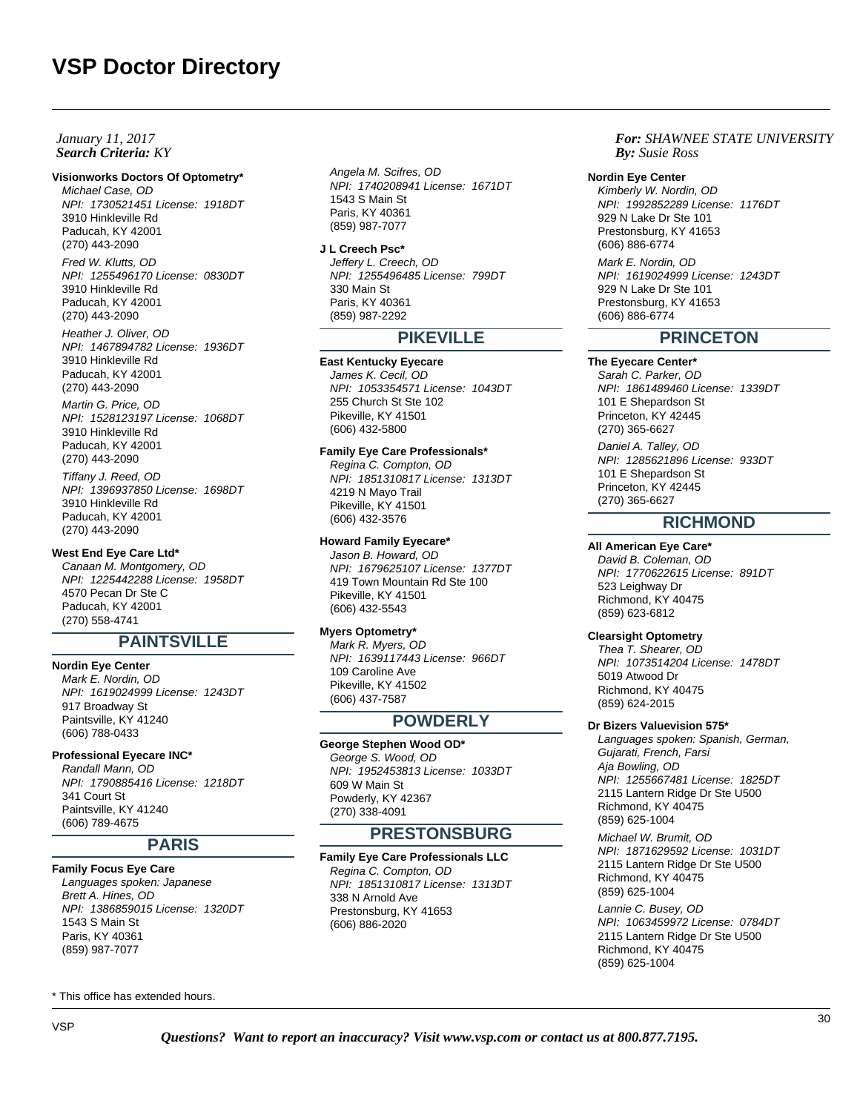## **Search Criteria:** KY *By: By: January 11, 2017*

## **Visionworks Doctors Of Optometry\***

Michael Case, OD NPI: 1730521451 License: 1918DT 3910 Hinkleville Rd Paducah, KY 42001 (270) 443-2090

Fred W. Klutts, OD NPI: 1255496170 License: 0830DT 3910 Hinkleville Rd Paducah, KY 42001 (270) 443-2090

Heather J. Oliver, OD NPI: 1467894782 License: 1936DT 3910 Hinkleville Rd Paducah, KY 42001 (270) 443-2090

Martin G. Price, OD NPI: 1528123197 License: 1068DT 3910 Hinkleville Rd Paducah, KY 42001 (270) 443-2090

Tiffany J. Reed, OD NPI: 1396937850 License: 1698DT 3910 Hinkleville Rd Paducah, KY 42001 (270) 443-2090

#### **West End Eye Care Ltd\***

Canaan M. Montgomery, OD NPI: 1225442288 License: 1958DT 4570 Pecan Dr Ste C Paducah, KY 42001 (270) 558-4741

# **PAINTSVILLE**

#### **Nordin Eye Center**

Mark E. Nordin, OD NPI: 1619024999 License: 1243DT 917 Broadway St Paintsville, KY 41240 (606) 788-0433

#### **Professional Eyecare INC\***

Randall Mann, OD NPI: 1790885416 License: 1218DT 341 Court St Paintsville, KY 41240 (606) 789-4675

# **PARIS**

**Family Focus Eye Care**

Languages spoken: Japanese Brett A. Hines, OD NPI: 1386859015 License: 1320DT 1543 S Main St Paris, KY 40361 (859) 987-7077

\* This office has extended hours.

Angela M. Scifres, OD NPI: 1740208941 License: 1671DT 1543 S Main St Paris, KY 40361 (859) 987-7077

**J L Creech Psc\*** Jeffery L. Creech, OD NPI: 1255496485 License: 799DT 330 Main St Paris, KY 40361 (859) 987-2292

# **PIKEVILLE**

# **East Kentucky Eyecare**

James K. Cecil, OD NPI: 1053354571 License: 1043DT 255 Church St Ste 102 Pikeville, KY 41501 (606) 432-5800

#### **Family Eye Care Professionals\***

Regina C. Compton, OD NPI: 1851310817 License: 1313DT 4219 N Mayo Trail Pikeville, KY 41501 (606) 432-3576

## **Howard Family Eyecare\***

Jason B. Howard, OD NPI: 1679625107 License: 1377DT 419 Town Mountain Rd Ste 100 Pikeville, KY 41501 (606) 432-5543

### **Myers Optometry\***

Mark R. Myers, OD NPI: 1639117443 License: 966DT 109 Caroline Ave Pikeville, KY 41502 (606) 437-7587

# **POWDERLY**

## **George Stephen Wood OD\***

George S. Wood, OD NPI: 1952453813 License: 1033DT 609 W Main St Powderly, KY 42367 (270) 338-4091

# **PRESTONSBURG**

**Family Eye Care Professionals LLC** Regina C. Compton, OD NPI: 1851310817 License: 1313DT 338 N Arnold Ave Prestonsburg, KY 41653 (606) 886-2020

*For: SHAWNEE STATE UNIVERSITY Susie Ross*

#### **Nordin Eye Center**

Kimberly W. Nordin, OD NPI: 1992852289 License: 1176DT 929 N Lake Dr Ste 101 Prestonsburg, KY 41653 (606) 886-6774

Mark E. Nordin, OD NPI: 1619024999 License: 1243DT 929 N Lake Dr Ste 101 Prestonsburg, KY 41653 (606) 886-6774

# **PRINCETON**

### **The Eyecare Center\***

Sarah C. Parker, OD NPI: 1861489460 License: 1339DT 101 E Shepardson St Princeton, KY 42445 (270) 365-6627

Daniel A. Talley, OD NPI: 1285621896 License: 933DT 101 E Shepardson St Princeton, KY 42445 (270) 365-6627

# **RICHMOND**

#### **All American Eye Care\***

David B. Coleman, OD NPI: 1770622615 License: 891DT 523 Leighway Dr Richmond, KY 40475 (859) 623-6812

## **Clearsight Optometry**

Thea T. Shearer, OD NPI: 1073514204 License: 1478DT 5019 Atwood Dr Richmond, KY 40475 (859) 624-2015

#### **Dr Bizers Valuevision 575\***

Languages spoken: Spanish, German, Gujarati, French, Farsi Aja Bowling, OD NPI: 1255667481 License: 1825DT 2115 Lantern Ridge Dr Ste U500 Richmond, KY 40475 (859) 625-1004

Michael W. Brumit, OD NPI: 1871629592 License: 1031DT 2115 Lantern Ridge Dr Ste U500 Richmond, KY 40475 (859) 625-1004

Lannie C. Busey, OD NPI: 1063459972 License: 0784DT 2115 Lantern Ridge Dr Ste U500 Richmond, KY 40475 (859) 625-1004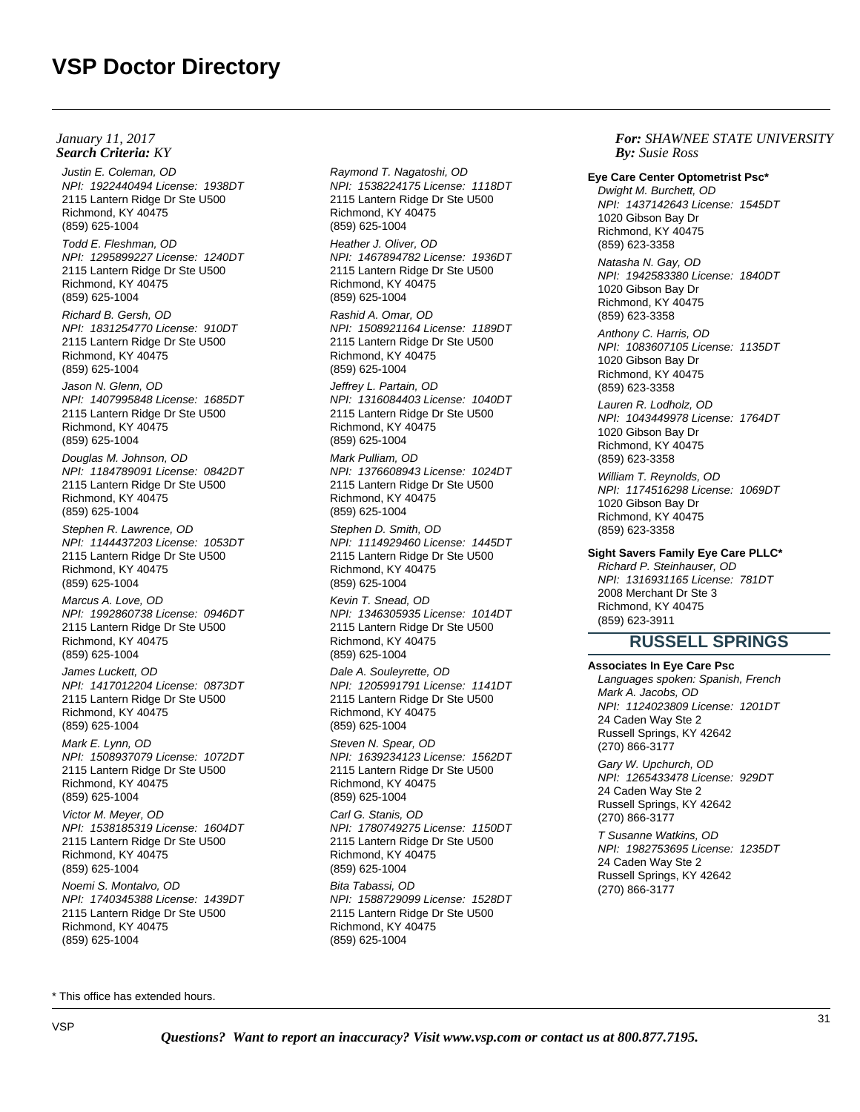**Search Criteria:** KY *By: By: January 11, 2017*

Justin E. Coleman, OD NPI: 1922440494 License: 1938DT 2115 Lantern Ridge Dr Ste U500 Richmond, KY 40475 (859) 625-1004

Todd E. Fleshman, OD NPI: 1295899227 License: 1240DT 2115 Lantern Ridge Dr Ste U500 Richmond, KY 40475 (859) 625-1004

Richard B. Gersh, OD NPI: 1831254770 License: 910DT 2115 Lantern Ridge Dr Ste U500 Richmond, KY 40475 (859) 625-1004

Jason N. Glenn, OD NPI: 1407995848 License: 1685DT 2115 Lantern Ridge Dr Ste U500 Richmond, KY 40475 (859) 625-1004

Douglas M. Johnson, OD NPI: 1184789091 License: 0842DT 2115 Lantern Ridge Dr Ste U500 Richmond, KY 40475 (859) 625-1004

Stephen R. Lawrence, OD NPI: 1144437203 License: 1053DT 2115 Lantern Ridge Dr Ste U500 Richmond, KY 40475 (859) 625-1004

Marcus A. Love, OD NPI: 1992860738 License: 0946DT 2115 Lantern Ridge Dr Ste U500 Richmond, KY 40475 (859) 625-1004

James Luckett, OD NPI: 1417012204 License: 0873DT 2115 Lantern Ridge Dr Ste U500 Richmond, KY 40475 (859) 625-1004

Mark E. Lynn, OD NPI: 1508937079 License: 1072DT 2115 Lantern Ridge Dr Ste U500 Richmond, KY 40475 (859) 625-1004

Victor M. Meyer, OD NPI: 1538185319 License: 1604DT 2115 Lantern Ridge Dr Ste U500 Richmond, KY 40475 (859) 625-1004 Noemi S. Montalvo, OD NPI: 1740345388 License: 1439DT 2115 Lantern Ridge Dr Ste U500 Richmond, KY 40475 (859) 625-1004

Raymond T. Nagatoshi, OD NPI: 1538224175 License: 1118DT 2115 Lantern Ridge Dr Ste U500 Richmond, KY 40475 (859) 625-1004

Heather J. Oliver, OD NPI: 1467894782 License: 1936DT 2115 Lantern Ridge Dr Ste U500 Richmond, KY 40475 (859) 625-1004

Rashid A. Omar, OD NPI: 1508921164 License: 1189DT 2115 Lantern Ridge Dr Ste U500 Richmond, KY 40475 (859) 625-1004

Jeffrey L. Partain, OD NPI: 1316084403 License: 1040DT 2115 Lantern Ridge Dr Ste U500 Richmond, KY 40475 (859) 625-1004

Mark Pulliam, OD NPI: 1376608943 License: 1024DT 2115 Lantern Ridge Dr Ste U500 Richmond, KY 40475 (859) 625-1004

Stephen D. Smith, OD NPI: 1114929460 License: 1445DT 2115 Lantern Ridge Dr Ste U500 Richmond, KY 40475 (859) 625-1004

Kevin T. Snead, OD NPI: 1346305935 License: 1014DT 2115 Lantern Ridge Dr Ste U500 Richmond, KY 40475 (859) 625-1004

Dale A. Souleyrette, OD NPI: 1205991791 License: 1141DT 2115 Lantern Ridge Dr Ste U500 Richmond, KY 40475 (859) 625-1004

Steven N. Spear, OD NPI: 1639234123 License: 1562DT 2115 Lantern Ridge Dr Ste U500 Richmond, KY 40475 (859) 625-1004

Carl G. Stanis, OD NPI: 1780749275 License: 1150DT 2115 Lantern Ridge Dr Ste U500 Richmond, KY 40475 (859) 625-1004 Bita Tabassi, OD NPI: 1588729099 License: 1528DT 2115 Lantern Ridge Dr Ste U500 Richmond, KY 40475 (859) 625-1004

*For: SHAWNEE STATE UNIVERSITY Susie Ross*

**Eye Care Center Optometrist Psc\***

Dwight M. Burchett, OD NPI: 1437142643 License: 1545DT 1020 Gibson Bay Dr Richmond, KY 40475 (859) 623-3358

Natasha N. Gay, OD NPI: 1942583380 License: 1840DT 1020 Gibson Bay Dr Richmond, KY 40475 (859) 623-3358

Anthony C. Harris, OD NPI: 1083607105 License: 1135DT 1020 Gibson Bay Dr Richmond, KY 40475 (859) 623-3358

Lauren R. Lodholz, OD NPI: 1043449978 License: 1764DT 1020 Gibson Bay Dr Richmond, KY 40475 (859) 623-3358

William T. Reynolds, OD NPI: 1174516298 License: 1069DT 1020 Gibson Bay Dr Richmond, KY 40475 (859) 623-3358

# **Sight Savers Family Eye Care PLLC\***

Richard P. Steinhauser, OD NPI: 1316931165 License: 781DT 2008 Merchant Dr Ste 3 Richmond, KY 40475 (859) 623-3911

# **RUSSELL SPRINGS**

**Associates In Eye Care Psc** Languages spoken: Spanish, French Mark A. Jacobs, OD NPI: 1124023809 License: 1201DT 24 Caden Way Ste 2 Russell Springs, KY 42642 (270) 866-3177 Gary W. Upchurch, OD NPI: 1265433478 License: 929DT 24 Caden Way Ste 2 Russell Springs, KY 42642 (270) 866-3177 T Susanne Watkins, OD NPI: 1982753695 License: 1235DT 24 Caden Way Ste 2 Russell Springs, KY 42642

(270) 866-3177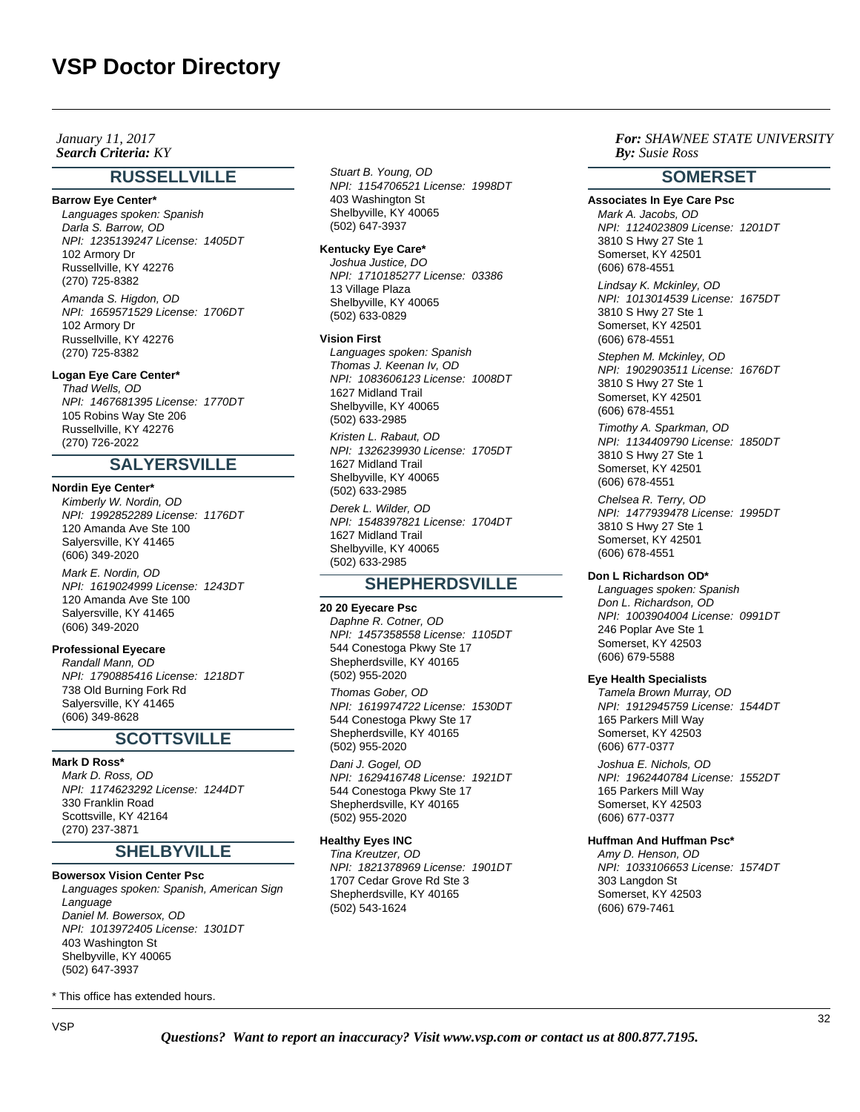**Search Criteria:** KY *By: By: January 11, 2017*

# **RUSSELLVILLE**

#### **Barrow Eye Center\***

Languages spoken: Spanish Darla S. Barrow, OD NPI: 1235139247 License: 1405DT 102 Armory Dr Russellville, KY 42276 (270) 725-8382 Amanda S. Higdon, OD

NPI: 1659571529 License: 1706DT 102 Armory Dr Russellville, KY 42276 (270) 725-8382

## **Logan Eye Care Center\***

Thad Wells, OD NPI: 1467681395 License: 1770DT 105 Robins Way Ste 206 Russellville, KY 42276 (270) 726-2022

# **SALYERSVILLE**

## **Nordin Eye Center\***

Kimberly W. Nordin, OD NPI: 1992852289 License: 1176DT 120 Amanda Ave Ste 100 Salyersville, KY 41465 (606) 349-2020

Mark E. Nordin, OD NPI: 1619024999 License: 1243DT 120 Amanda Ave Ste 100 Salyersville, KY 41465 (606) 349-2020

# **Professional Eyecare**

Randall Mann, OD NPI: 1790885416 License: 1218DT 738 Old Burning Fork Rd Salyersville, KY 41465 (606) 349-8628

# **SCOTTSVILLE**

## **Mark D Ross\***

Mark D. Ross, OD NPI: 1174623292 License: 1244DT 330 Franklin Road Scottsville, KY 42164 (270) 237-3871

# **SHELBYVILLE**

#### **Bowersox Vision Center Psc**

Languages spoken: Spanish, American Sign Language Daniel M. Bowersox, OD NPI: 1013972405 License: 1301DT 403 Washington St Shelbyville, KY 40065 (502) 647-3937

\* This office has extended hours.

Stuart B. Young, OD NPI: 1154706521 License: 1998DT 403 Washington St Shelbyville, KY 40065 (502) 647-3937

#### **Kentucky Eye Care\***

Joshua Justice, DO NPI: 1710185277 License: 03386 13 Village Plaza Shelbyville, KY 40065 (502) 633-0829

#### **Vision First**

Languages spoken: Spanish Thomas J. Keenan Iv, OD NPI: 1083606123 License: 1008DT 1627 Midland Trail Shelbyville, KY 40065 (502) 633-2985

Kristen L. Rabaut, OD NPI: 1326239930 License: 1705DT 1627 Midland Trail Shelbyville, KY 40065 (502) 633-2985

Derek L. Wilder, OD NPI: 1548397821 License: 1704DT 1627 Midland Trail Shelbyville, KY 40065 (502) 633-2985

# **SHEPHERDSVILLE**

#### **20 20 Eyecare Psc**

Daphne R. Cotner, OD NPI: 1457358558 License: 1105DT 544 Conestoga Pkwy Ste 17 Shepherdsville, KY 40165 (502) 955-2020

Thomas Gober, OD NPI: 1619974722 License: 1530DT 544 Conestoga Pkwy Ste 17 Shepherdsville, KY 40165 (502) 955-2020

Dani J. Gogel, OD NPI: 1629416748 License: 1921DT 544 Conestoga Pkwy Ste 17 Shepherdsville, KY 40165 (502) 955-2020

#### **Healthy Eyes INC**

Tina Kreutzer, OD NPI: 1821378969 License: 1901DT 1707 Cedar Grove Rd Ste 3 Shepherdsville, KY 40165 (502) 543-1624

*For: SHAWNEE STATE UNIVERSITY Susie Ross*

# **SOMERSET**

**Associates In Eye Care Psc** Mark A. Jacobs, OD NPI: 1124023809 License: 1201DT 3810 S Hwy 27 Ste 1 Somerset, KY 42501 (606) 678-4551

Lindsay K. Mckinley, OD NPI: 1013014539 License: 1675DT 3810 S Hwy 27 Ste 1 Somerset, KY 42501 (606) 678-4551

Stephen M. Mckinley, OD NPI: 1902903511 License: 1676DT 3810 S Hwy 27 Ste 1 Somerset, KY 42501 (606) 678-4551

Timothy A. Sparkman, OD NPI: 1134409790 License: 1850DT 3810 S Hwy 27 Ste 1 Somerset, KY 42501 (606) 678-4551

Chelsea R. Terry, OD NPI: 1477939478 License: 1995DT 3810 S Hwy 27 Ste 1 Somerset, KY 42501 (606) 678-4551

## **Don L Richardson OD\***

Languages spoken: Spanish Don L. Richardson, OD NPI: 1003904004 License: 0991DT 246 Poplar Ave Ste 1 Somerset, KY 42503 (606) 679-5588

## **Eye Health Specialists**

Tamela Brown Murray, OD NPI: 1912945759 License: 1544DT 165 Parkers Mill Way Somerset, KY 42503 (606) 677-0377

Joshua E. Nichols, OD NPI: 1962440784 License: 1552DT 165 Parkers Mill Way Somerset, KY 42503 (606) 677-0377

#### **Huffman And Huffman Psc\***

Amy D. Henson, OD NPI: 1033106653 License: 1574DT 303 Langdon St Somerset, KY 42503 (606) 679-7461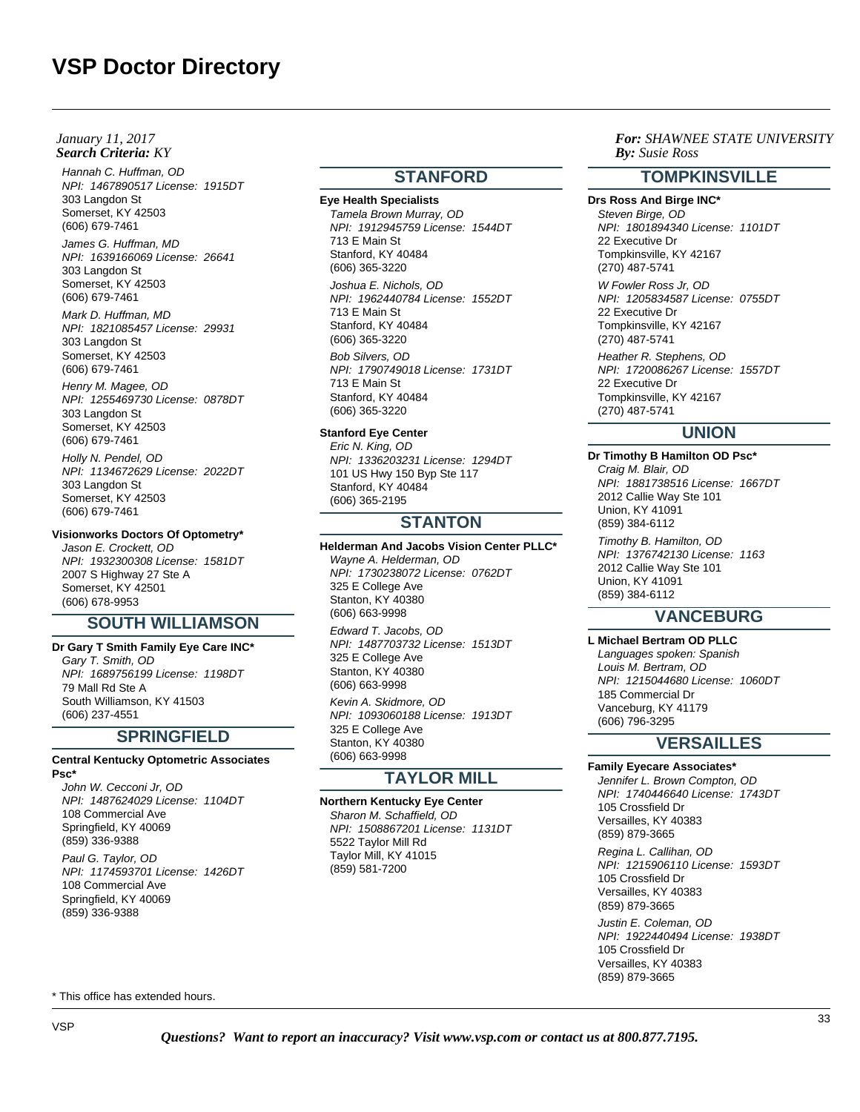## **Search Criteria:** KY *By: By: January 11, 2017*

Hannah C. Huffman, OD NPI: 1467890517 License: 1915DT 303 Langdon St Somerset, KY 42503 (606) 679-7461

James G. Huffman, MD NPI: 1639166069 License: 26641 303 Langdon St Somerset, KY 42503 (606) 679-7461

Mark D. Huffman, MD NPI: 1821085457 License: 29931 303 Langdon St Somerset, KY 42503 (606) 679-7461

Henry M. Magee, OD NPI: 1255469730 License: 0878DT 303 Langdon St Somerset, KY 42503 (606) 679-7461

Holly N. Pendel, OD NPI: 1134672629 License: 2022DT 303 Langdon St Somerset, KY 42503 (606) 679-7461

## **Visionworks Doctors Of Optometry\***

Jason E. Crockett, OD NPI: 1932300308 License: 1581DT 2007 S Highway 27 Ste A Somerset, KY 42501 (606) 678-9953

# **SOUTH WILLIAMSON**

**Dr Gary T Smith Family Eye Care INC\*** Gary T. Smith, OD NPI: 1689756199 License: 1198DT 79 Mall Rd Ste A South Williamson, KY 41503 (606) 237-4551

# **SPRINGFIELD**

#### **Central Kentucky Optometric Associates Psc\***

John W. Cecconi Jr, OD NPI: 1487624029 License: 1104DT 108 Commercial Ave Springfield, KY 40069 (859) 336-9388 Paul G. Taylor, OD NPI: 1174593701 License: 1426DT 108 Commercial Ave Springfield, KY 40069 (859) 336-9388

# **STANFORD**

**Eye Health Specialists** Tamela Brown Murray, OD NPI: 1912945759 License: 1544DT 713 E Main St Stanford, KY 40484 (606) 365-3220 Joshua E. Nichols, OD

NPI: 1962440784 License: 1552DT 713 E Main St Stanford, KY 40484 (606) 365-3220

Bob Silvers, OD NPI: 1790749018 License: 1731DT 713 E Main St Stanford, KY 40484 (606) 365-3220

**Stanford Eye Center**

Eric N. King, OD NPI: 1336203231 License: 1294DT 101 US Hwy 150 Byp Ste 117 Stanford, KY 40484 (606) 365-2195

# **STANTON**

**Helderman And Jacobs Vision Center PLLC\*** Wayne A. Helderman, OD NPI: 1730238072 License: 0762DT 325 E College Ave Stanton, KY 40380 (606) 663-9998

Edward T. Jacobs, OD NPI: 1487703732 License: 1513DT 325 E College Ave Stanton, KY 40380 (606) 663-9998

Kevin A. Skidmore, OD NPI: 1093060188 License: 1913DT 325 E College Ave Stanton, KY 40380 (606) 663-9998

# **TAYLOR MILL**

# **Northern Kentucky Eye Center**

Sharon M. Schaffield, OD NPI: 1508867201 License: 1131DT 5522 Taylor Mill Rd Taylor Mill, KY 41015 (859) 581-7200

*For: SHAWNEE STATE UNIVERSITY Susie Ross*

# **TOMPKINSVILLE**

**Drs Ross And Birge INC\*** Steven Birge, OD NPI: 1801894340 License: 1101DT 22 Executive Dr Tompkinsville, KY 42167 (270) 487-5741

W Fowler Ross Jr, OD NPI: 1205834587 License: 0755DT 22 Executive Dr Tompkinsville, KY 42167 (270) 487-5741

Heather R. Stephens, OD NPI: 1720086267 License: 1557DT 22 Executive Dr Tompkinsville, KY 42167 (270) 487-5741

# **UNION**

**Dr Timothy B Hamilton OD Psc\*** Craig M. Blair, OD NPI: 1881738516 License: 1667DT 2012 Callie Way Ste 101 Union, KY 41091 (859) 384-6112

Timothy B. Hamilton, OD NPI: 1376742130 License: 1163 2012 Callie Way Ste 101 Union, KY 41091 (859) 384-6112

# **VANCEBURG**

**L Michael Bertram OD PLLC** Languages spoken: Spanish Louis M. Bertram, OD NPI: 1215044680 License: 1060DT 185 Commercial Dr Vanceburg, KY 41179 (606) 796-3295

# **VERSAILLES**

**Family Eyecare Associates\*** Jennifer L. Brown Compton, OD NPI: 1740446640 License: 1743DT 105 Crossfield Dr Versailles, KY 40383 (859) 879-3665

Regina L. Callihan, OD NPI: 1215906110 License: 1593DT 105 Crossfield Dr Versailles, KY 40383 (859) 879-3665

Justin E. Coleman, OD NPI: 1922440494 License: 1938DT 105 Crossfield Dr Versailles, KY 40383 (859) 879-3665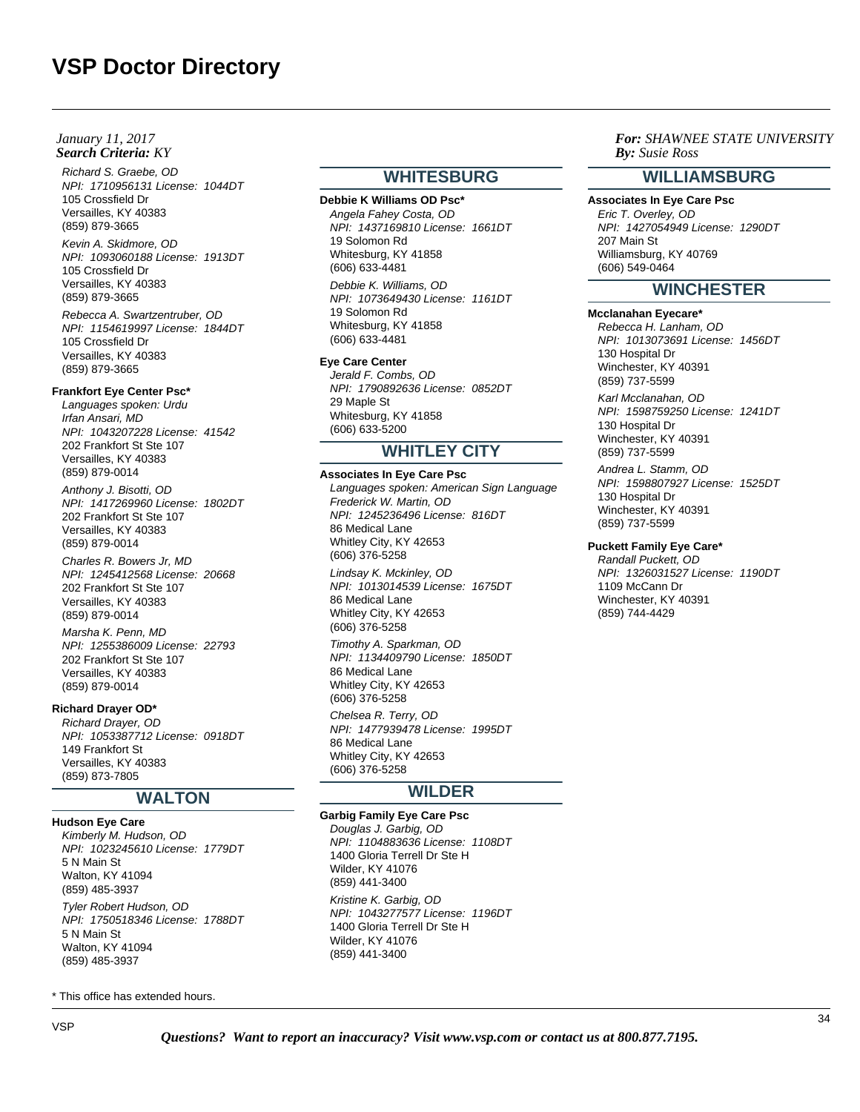## **Search Criteria:** KY *By: By: January 11, 2017*

Richard S. Graebe, OD NPI: 1710956131 License: 1044DT 105 Crossfield Dr Versailles, KY 40383 (859) 879-3665

Kevin A. Skidmore, OD NPI: 1093060188 License: 1913DT 105 Crossfield Dr Versailles, KY 40383 (859) 879-3665

Rebecca A. Swartzentruber, OD NPI: 1154619997 License: 1844DT 105 Crossfield Dr Versailles, KY 40383 (859) 879-3665

#### **Frankfort Eye Center Psc\***

Languages spoken: Urdu Irfan Ansari, MD NPI: 1043207228 License: 41542 202 Frankfort St Ste 107 Versailles, KY 40383 (859) 879-0014

Anthony J. Bisotti, OD NPI: 1417269960 License: 1802DT 202 Frankfort St Ste 107 Versailles, KY 40383 (859) 879-0014

Charles R. Bowers Jr, MD NPI: 1245412568 License: 20668 202 Frankfort St Ste 107 Versailles, KY 40383 (859) 879-0014

Marsha K. Penn, MD NPI: 1255386009 License: 22793 202 Frankfort St Ste 107 Versailles, KY 40383 (859) 879-0014

## **Richard Drayer OD\***

Richard Drayer, OD NPI: 1053387712 License: 0918DT 149 Frankfort St Versailles, KY 40383 (859) 873-7805

# **WALTON**

**Hudson Eye Care** Kimberly M. Hudson, OD

NPI: 1023245610 License: 1779DT 5 N Main St Walton, KY 41094 (859) 485-3937

Tyler Robert Hudson, OD NPI: 1750518346 License: 1788DT 5 N Main St Walton, KY 41094 (859) 485-3937

\* This office has extended hours.

# **WHITESBURG**

**Debbie K Williams OD Psc\*** Angela Fahey Costa, OD NPI: 1437169810 License: 1661DT 19 Solomon Rd Whitesburg, KY 41858 (606) 633-4481

Debbie K. Williams, OD NPI: 1073649430 License: 1161DT 19 Solomon Rd Whitesburg, KY 41858 (606) 633-4481

#### **Eye Care Center**

Jerald F. Combs, OD NPI: 1790892636 License: 0852DT 29 Maple St Whitesburg, KY 41858 (606) 633-5200

# **WHITLEY CITY**

#### **Associates In Eye Care Psc**

Languages spoken: American Sign Language Frederick W. Martin, OD NPI: 1245236496 License: 816DT 86 Medical Lane Whitley City, KY 42653 (606) 376-5258

Lindsay K. Mckinley, OD NPI: 1013014539 License: 1675DT 86 Medical Lane Whitley City, KY 42653 (606) 376-5258

Timothy A. Sparkman, OD NPI: 1134409790 License: 1850DT 86 Medical Lane Whitley City, KY 42653 (606) 376-5258

Chelsea R. Terry, OD NPI: 1477939478 License: 1995DT 86 Medical Lane Whitley City, KY 42653 (606) 376-5258

# **WILDER**

# **Garbig Family Eye Care Psc**

Douglas J. Garbig, OD NPI: 1104883636 License: 1108DT 1400 Gloria Terrell Dr Ste H Wilder, KY 41076 (859) 441-3400 Kristine K. Garbig, OD NPI: 1043277577 License: 1196DT 1400 Gloria Terrell Dr Ste H Wilder, KY 41076 (859) 441-3400

# *For: SHAWNEE STATE UNIVERSITY Susie Ross*

# **WILLIAMSBURG**

**Associates In Eye Care Psc** Eric T. Overley, OD NPI: 1427054949 License: 1290DT 207 Main St Williamsburg, KY 40769 (606) 549-0464

# **WINCHESTER**

## **Mcclanahan Eyecare\***

Rebecca H. Lanham, OD NPI: 1013073691 License: 1456DT 130 Hospital Dr Winchester, KY 40391 (859) 737-5599

Karl Mcclanahan, OD NPI: 1598759250 License: 1241DT 130 Hospital Dr Winchester, KY 40391 (859) 737-5599

Andrea L. Stamm, OD NPI: 1598807927 License: 1525DT 130 Hospital Dr Winchester, KY 40391 (859) 737-5599

#### **Puckett Family Eye Care\***

Randall Puckett, OD NPI: 1326031527 License: 1190DT 1109 McCann Dr Winchester, KY 40391 (859) 744-4429